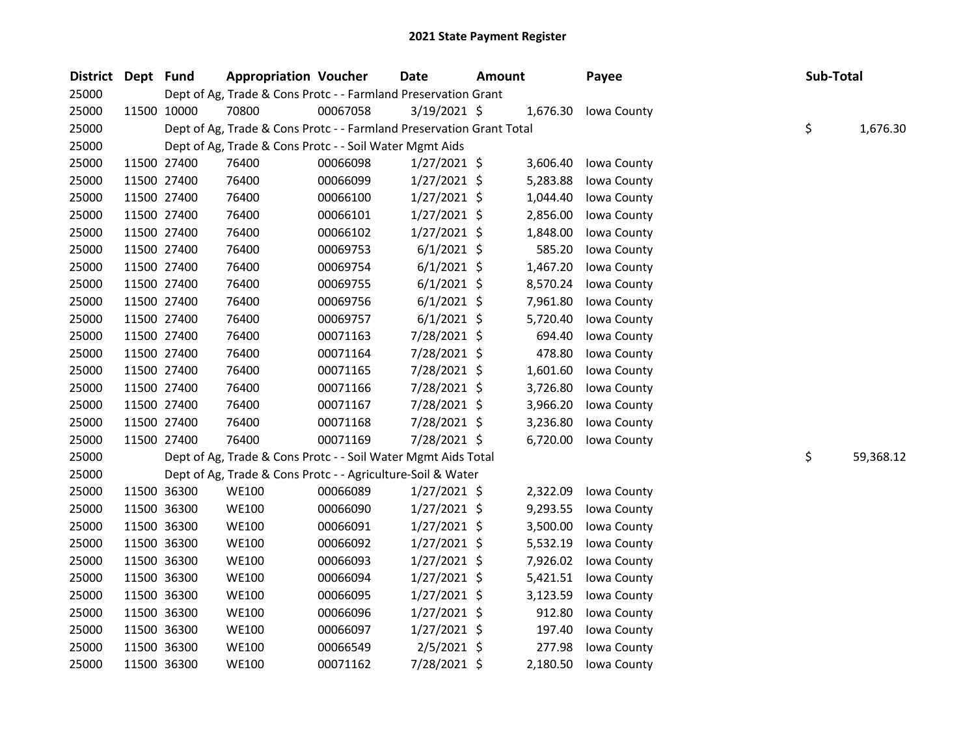| District Dept Fund |             | <b>Appropriation Voucher</b>                                         |          | <b>Date</b>    | <b>Amount</b> |          | Payee       | Sub-Total |           |
|--------------------|-------------|----------------------------------------------------------------------|----------|----------------|---------------|----------|-------------|-----------|-----------|
| 25000              |             | Dept of Ag, Trade & Cons Protc - - Farmland Preservation Grant       |          |                |               |          |             |           |           |
| 25000              | 11500 10000 | 70800                                                                | 00067058 | $3/19/2021$ \$ |               | 1,676.30 | Iowa County |           |           |
| 25000              |             | Dept of Ag, Trade & Cons Protc - - Farmland Preservation Grant Total |          |                |               |          |             | \$        | 1,676.30  |
| 25000              |             | Dept of Ag, Trade & Cons Protc - - Soil Water Mgmt Aids              |          |                |               |          |             |           |           |
| 25000              | 11500 27400 | 76400                                                                | 00066098 | $1/27/2021$ \$ |               | 3,606.40 | Iowa County |           |           |
| 25000              | 11500 27400 | 76400                                                                | 00066099 | $1/27/2021$ \$ |               | 5,283.88 | Iowa County |           |           |
| 25000              | 11500 27400 | 76400                                                                | 00066100 | $1/27/2021$ \$ |               | 1,044.40 | Iowa County |           |           |
| 25000              | 11500 27400 | 76400                                                                | 00066101 | $1/27/2021$ \$ |               | 2,856.00 | Iowa County |           |           |
| 25000              | 11500 27400 | 76400                                                                | 00066102 | $1/27/2021$ \$ |               | 1,848.00 | Iowa County |           |           |
| 25000              | 11500 27400 | 76400                                                                | 00069753 | $6/1/2021$ \$  |               | 585.20   | Iowa County |           |           |
| 25000              | 11500 27400 | 76400                                                                | 00069754 | $6/1/2021$ \$  |               | 1,467.20 | Iowa County |           |           |
| 25000              | 11500 27400 | 76400                                                                | 00069755 | $6/1/2021$ \$  |               | 8,570.24 | Iowa County |           |           |
| 25000              | 11500 27400 | 76400                                                                | 00069756 | $6/1/2021$ \$  |               | 7,961.80 | Iowa County |           |           |
| 25000              | 11500 27400 | 76400                                                                | 00069757 | $6/1/2021$ \$  |               | 5,720.40 | Iowa County |           |           |
| 25000              | 11500 27400 | 76400                                                                | 00071163 | 7/28/2021 \$   |               | 694.40   | Iowa County |           |           |
| 25000              | 11500 27400 | 76400                                                                | 00071164 | 7/28/2021 \$   |               | 478.80   | Iowa County |           |           |
| 25000              | 11500 27400 | 76400                                                                | 00071165 | 7/28/2021 \$   |               | 1,601.60 | Iowa County |           |           |
| 25000              | 11500 27400 | 76400                                                                | 00071166 | 7/28/2021 \$   |               | 3,726.80 | Iowa County |           |           |
| 25000              | 11500 27400 | 76400                                                                | 00071167 | 7/28/2021 \$   |               | 3,966.20 | Iowa County |           |           |
| 25000              | 11500 27400 | 76400                                                                | 00071168 | 7/28/2021 \$   |               | 3,236.80 | Iowa County |           |           |
| 25000              | 11500 27400 | 76400                                                                | 00071169 | 7/28/2021 \$   |               | 6,720.00 | Iowa County |           |           |
| 25000              |             | Dept of Ag, Trade & Cons Protc - - Soil Water Mgmt Aids Total        |          |                |               |          |             | \$        | 59,368.12 |
| 25000              |             | Dept of Ag, Trade & Cons Protc - - Agriculture-Soil & Water          |          |                |               |          |             |           |           |
| 25000              | 11500 36300 | <b>WE100</b>                                                         | 00066089 | $1/27/2021$ \$ |               | 2,322.09 | Iowa County |           |           |
| 25000              | 11500 36300 | <b>WE100</b>                                                         | 00066090 | 1/27/2021 \$   |               | 9,293.55 | Iowa County |           |           |
| 25000              | 11500 36300 | <b>WE100</b>                                                         | 00066091 | $1/27/2021$ \$ |               | 3,500.00 | Iowa County |           |           |
| 25000              | 11500 36300 | <b>WE100</b>                                                         | 00066092 | $1/27/2021$ \$ |               | 5,532.19 | Iowa County |           |           |
| 25000              | 11500 36300 | <b>WE100</b>                                                         | 00066093 | $1/27/2021$ \$ |               | 7,926.02 | Iowa County |           |           |
| 25000              | 11500 36300 | <b>WE100</b>                                                         | 00066094 | $1/27/2021$ \$ |               | 5,421.51 | Iowa County |           |           |
| 25000              | 11500 36300 | <b>WE100</b>                                                         | 00066095 | $1/27/2021$ \$ |               | 3,123.59 | Iowa County |           |           |
| 25000              | 11500 36300 | <b>WE100</b>                                                         | 00066096 | $1/27/2021$ \$ |               | 912.80   | Iowa County |           |           |
| 25000              | 11500 36300 | <b>WE100</b>                                                         | 00066097 | $1/27/2021$ \$ |               | 197.40   | Iowa County |           |           |
| 25000              | 11500 36300 | <b>WE100</b>                                                         | 00066549 | $2/5/2021$ \$  |               | 277.98   | Iowa County |           |           |
| 25000              | 11500 36300 | <b>WE100</b>                                                         | 00071162 | 7/28/2021 \$   |               | 2,180.50 | Iowa County |           |           |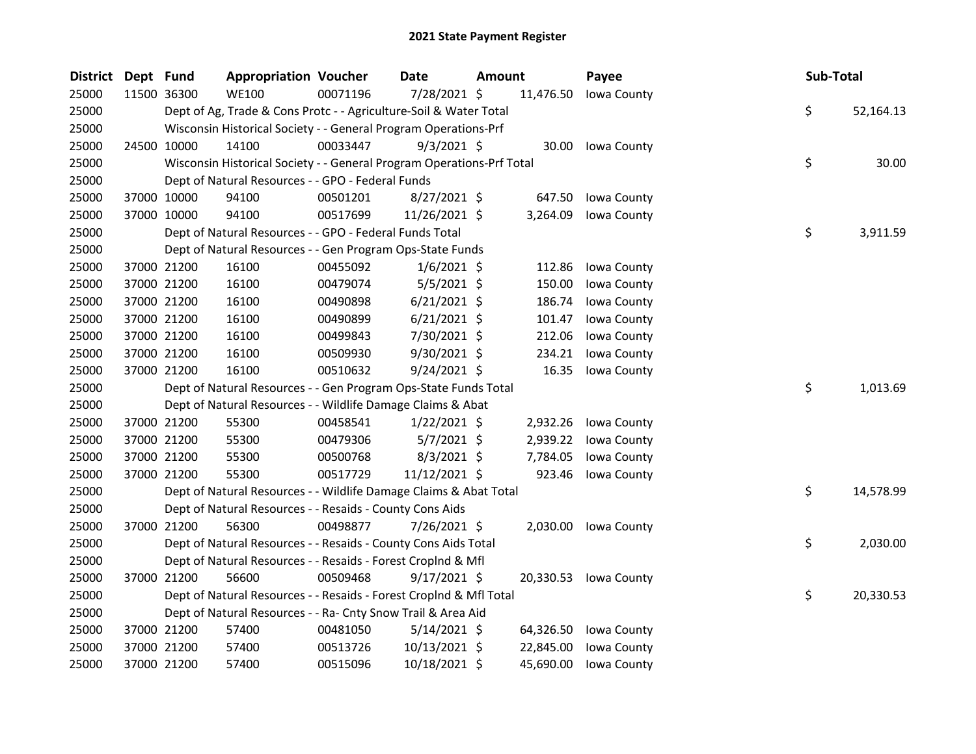| District Dept Fund |             | <b>Appropriation Voucher</b>                                          |          | Date           | Amount |           | Payee                 | Sub-Total |           |
|--------------------|-------------|-----------------------------------------------------------------------|----------|----------------|--------|-----------|-----------------------|-----------|-----------|
| 25000              | 11500 36300 | <b>WE100</b>                                                          | 00071196 | 7/28/2021 \$   |        | 11,476.50 | Iowa County           |           |           |
| 25000              |             | Dept of Ag, Trade & Cons Protc - - Agriculture-Soil & Water Total     |          |                |        |           |                       | \$        | 52,164.13 |
| 25000              |             | Wisconsin Historical Society - - General Program Operations-Prf       |          |                |        |           |                       |           |           |
| 25000              | 24500 10000 | 14100                                                                 | 00033447 | $9/3/2021$ \$  |        |           | 30.00 Iowa County     |           |           |
| 25000              |             | Wisconsin Historical Society - - General Program Operations-Prf Total |          |                |        |           |                       | \$        | 30.00     |
| 25000              |             | Dept of Natural Resources - - GPO - Federal Funds                     |          |                |        |           |                       |           |           |
| 25000              | 37000 10000 | 94100                                                                 | 00501201 | 8/27/2021 \$   |        | 647.50    | Iowa County           |           |           |
| 25000              | 37000 10000 | 94100                                                                 | 00517699 | 11/26/2021 \$  |        | 3,264.09  | Iowa County           |           |           |
| 25000              |             | Dept of Natural Resources - - GPO - Federal Funds Total               |          |                |        |           |                       | \$        | 3,911.59  |
| 25000              |             | Dept of Natural Resources - - Gen Program Ops-State Funds             |          |                |        |           |                       |           |           |
| 25000              | 37000 21200 | 16100                                                                 | 00455092 | $1/6/2021$ \$  |        | 112.86    | Iowa County           |           |           |
| 25000              | 37000 21200 | 16100                                                                 | 00479074 | $5/5/2021$ \$  |        | 150.00    | Iowa County           |           |           |
| 25000              | 37000 21200 | 16100                                                                 | 00490898 | $6/21/2021$ \$ |        | 186.74    | Iowa County           |           |           |
| 25000              | 37000 21200 | 16100                                                                 | 00490899 | $6/21/2021$ \$ |        | 101.47    | Iowa County           |           |           |
| 25000              | 37000 21200 | 16100                                                                 | 00499843 | 7/30/2021 \$   |        | 212.06    | Iowa County           |           |           |
| 25000              | 37000 21200 | 16100                                                                 | 00509930 | 9/30/2021 \$   |        | 234.21    | Iowa County           |           |           |
| 25000              | 37000 21200 | 16100                                                                 | 00510632 | $9/24/2021$ \$ |        | 16.35     | Iowa County           |           |           |
| 25000              |             | Dept of Natural Resources - - Gen Program Ops-State Funds Total       |          |                |        |           |                       | \$        | 1,013.69  |
| 25000              |             | Dept of Natural Resources - - Wildlife Damage Claims & Abat           |          |                |        |           |                       |           |           |
| 25000              | 37000 21200 | 55300                                                                 | 00458541 | $1/22/2021$ \$ |        | 2,932.26  | Iowa County           |           |           |
| 25000              | 37000 21200 | 55300                                                                 | 00479306 | $5/7/2021$ \$  |        | 2,939.22  | Iowa County           |           |           |
| 25000              | 37000 21200 | 55300                                                                 | 00500768 | $8/3/2021$ \$  |        | 7,784.05  | Iowa County           |           |           |
| 25000              | 37000 21200 | 55300                                                                 | 00517729 | 11/12/2021 \$  |        | 923.46    | Iowa County           |           |           |
| 25000              |             | Dept of Natural Resources - - Wildlife Damage Claims & Abat Total     |          |                |        |           |                       | \$        | 14,578.99 |
| 25000              |             | Dept of Natural Resources - - Resaids - County Cons Aids              |          |                |        |           |                       |           |           |
| 25000              | 37000 21200 | 56300                                                                 | 00498877 | 7/26/2021 \$   |        |           | 2,030.00 Iowa County  |           |           |
| 25000              |             | Dept of Natural Resources - - Resaids - County Cons Aids Total        |          |                |        |           |                       | \$        | 2,030.00  |
| 25000              |             | Dept of Natural Resources - - Resaids - Forest Croplnd & Mfl          |          |                |        |           |                       |           |           |
| 25000              | 37000 21200 | 56600                                                                 | 00509468 | $9/17/2021$ \$ |        |           | 20,330.53 Iowa County |           |           |
| 25000              |             | Dept of Natural Resources - - Resaids - Forest CropInd & Mfl Total    |          |                |        |           |                       | \$        | 20,330.53 |
| 25000              |             | Dept of Natural Resources - - Ra- Cnty Snow Trail & Area Aid          |          |                |        |           |                       |           |           |
| 25000              | 37000 21200 | 57400                                                                 | 00481050 | $5/14/2021$ \$ |        | 64,326.50 | Iowa County           |           |           |
| 25000              | 37000 21200 | 57400                                                                 | 00513726 | 10/13/2021 \$  |        | 22,845.00 | Iowa County           |           |           |
| 25000              | 37000 21200 | 57400                                                                 | 00515096 | 10/18/2021 \$  |        | 45,690.00 | Iowa County           |           |           |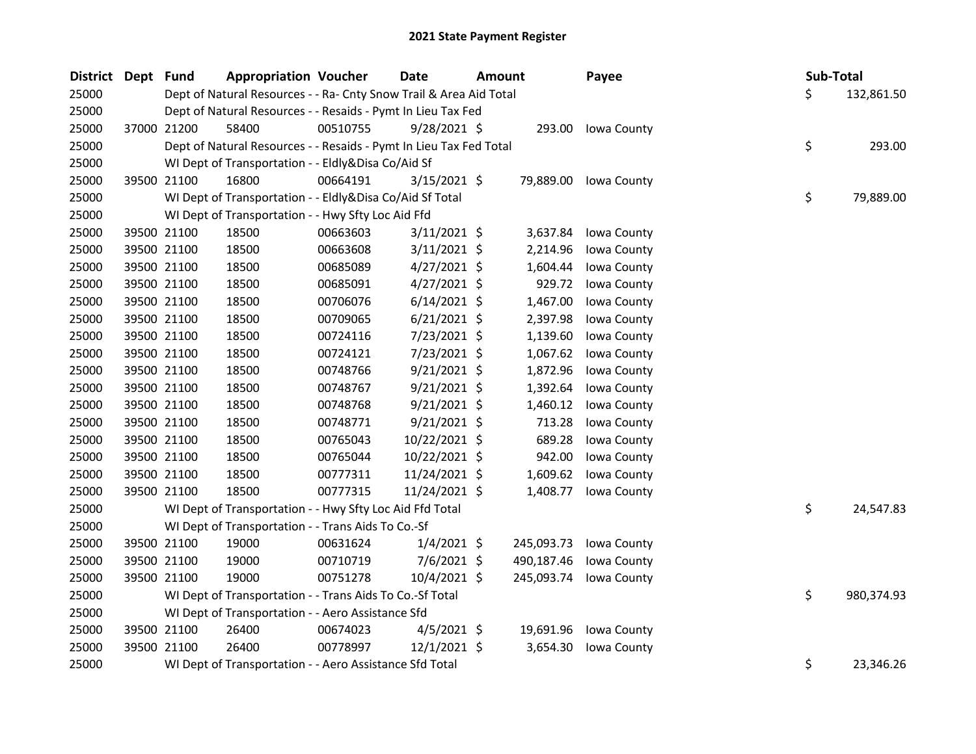| <b>District</b> | Dept Fund |             | <b>Appropriation Voucher</b>                                       |          | Date           |                                                                    | <b>Amount</b> | Payee       | Sub-Total |            |
|-----------------|-----------|-------------|--------------------------------------------------------------------|----------|----------------|--------------------------------------------------------------------|---------------|-------------|-----------|------------|
| 25000           |           |             |                                                                    |          |                | Dept of Natural Resources - - Ra- Cnty Snow Trail & Area Aid Total |               |             | \$        | 132,861.50 |
| 25000           |           |             | Dept of Natural Resources - - Resaids - Pymt In Lieu Tax Fed       |          |                |                                                                    |               |             |           |            |
| 25000           |           | 37000 21200 | 58400                                                              | 00510755 | $9/28/2021$ \$ |                                                                    | 293.00        | Iowa County |           |            |
| 25000           |           |             | Dept of Natural Resources - - Resaids - Pymt In Lieu Tax Fed Total |          |                |                                                                    |               |             | \$        | 293.00     |
| 25000           |           |             | WI Dept of Transportation - - Eldly&Disa Co/Aid Sf                 |          |                |                                                                    |               |             |           |            |
| 25000           |           | 39500 21100 | 16800                                                              | 00664191 | $3/15/2021$ \$ |                                                                    | 79,889.00     | Iowa County |           |            |
| 25000           |           |             | WI Dept of Transportation - - Eldly&Disa Co/Aid Sf Total           |          |                |                                                                    |               |             | \$        | 79,889.00  |
| 25000           |           |             | WI Dept of Transportation - - Hwy Sfty Loc Aid Ffd                 |          |                |                                                                    |               |             |           |            |
| 25000           |           | 39500 21100 | 18500                                                              | 00663603 | $3/11/2021$ \$ |                                                                    | 3,637.84      | Iowa County |           |            |
| 25000           |           | 39500 21100 | 18500                                                              | 00663608 | $3/11/2021$ \$ |                                                                    | 2,214.96      | Iowa County |           |            |
| 25000           |           | 39500 21100 | 18500                                                              | 00685089 | $4/27/2021$ \$ |                                                                    | 1,604.44      | Iowa County |           |            |
| 25000           |           | 39500 21100 | 18500                                                              | 00685091 | $4/27/2021$ \$ |                                                                    | 929.72        | Iowa County |           |            |
| 25000           |           | 39500 21100 | 18500                                                              | 00706076 | $6/14/2021$ \$ |                                                                    | 1,467.00      | Iowa County |           |            |
| 25000           |           | 39500 21100 | 18500                                                              | 00709065 | $6/21/2021$ \$ |                                                                    | 2,397.98      | Iowa County |           |            |
| 25000           |           | 39500 21100 | 18500                                                              | 00724116 | 7/23/2021 \$   |                                                                    | 1,139.60      | Iowa County |           |            |
| 25000           |           | 39500 21100 | 18500                                                              | 00724121 | 7/23/2021 \$   |                                                                    | 1,067.62      | Iowa County |           |            |
| 25000           |           | 39500 21100 | 18500                                                              | 00748766 | $9/21/2021$ \$ |                                                                    | 1,872.96      | Iowa County |           |            |
| 25000           |           | 39500 21100 | 18500                                                              | 00748767 | 9/21/2021 \$   |                                                                    | 1,392.64      | Iowa County |           |            |
| 25000           |           | 39500 21100 | 18500                                                              | 00748768 | $9/21/2021$ \$ |                                                                    | 1,460.12      | Iowa County |           |            |
| 25000           |           | 39500 21100 | 18500                                                              | 00748771 | $9/21/2021$ \$ |                                                                    | 713.28        | Iowa County |           |            |
| 25000           |           | 39500 21100 | 18500                                                              | 00765043 | 10/22/2021 \$  |                                                                    | 689.28        | Iowa County |           |            |
| 25000           |           | 39500 21100 | 18500                                                              | 00765044 | 10/22/2021 \$  |                                                                    | 942.00        | Iowa County |           |            |
| 25000           |           | 39500 21100 | 18500                                                              | 00777311 | 11/24/2021 \$  |                                                                    | 1,609.62      | Iowa County |           |            |
| 25000           |           | 39500 21100 | 18500                                                              | 00777315 | 11/24/2021 \$  |                                                                    | 1,408.77      | Iowa County |           |            |
| 25000           |           |             | WI Dept of Transportation - - Hwy Sfty Loc Aid Ffd Total           |          |                |                                                                    |               |             | \$        | 24,547.83  |
| 25000           |           |             | WI Dept of Transportation - - Trans Aids To Co.-Sf                 |          |                |                                                                    |               |             |           |            |
| 25000           |           | 39500 21100 | 19000                                                              | 00631624 | $1/4/2021$ \$  |                                                                    | 245,093.73    | Iowa County |           |            |
| 25000           |           | 39500 21100 | 19000                                                              | 00710719 | $7/6/2021$ \$  |                                                                    | 490,187.46    | Iowa County |           |            |
| 25000           |           | 39500 21100 | 19000                                                              | 00751278 | $10/4/2021$ \$ |                                                                    | 245,093.74    | Iowa County |           |            |
| 25000           |           |             | WI Dept of Transportation - - Trans Aids To Co.-Sf Total           |          |                |                                                                    |               |             | \$        | 980,374.93 |
| 25000           |           |             | WI Dept of Transportation - - Aero Assistance Sfd                  |          |                |                                                                    |               |             |           |            |
| 25000           |           | 39500 21100 | 26400                                                              | 00674023 | $4/5/2021$ \$  |                                                                    | 19,691.96     | Iowa County |           |            |
| 25000           |           | 39500 21100 | 26400                                                              | 00778997 | $12/1/2021$ \$ |                                                                    | 3,654.30      | Iowa County |           |            |
| 25000           |           |             | WI Dept of Transportation - - Aero Assistance Sfd Total            |          |                |                                                                    |               |             | \$        | 23,346.26  |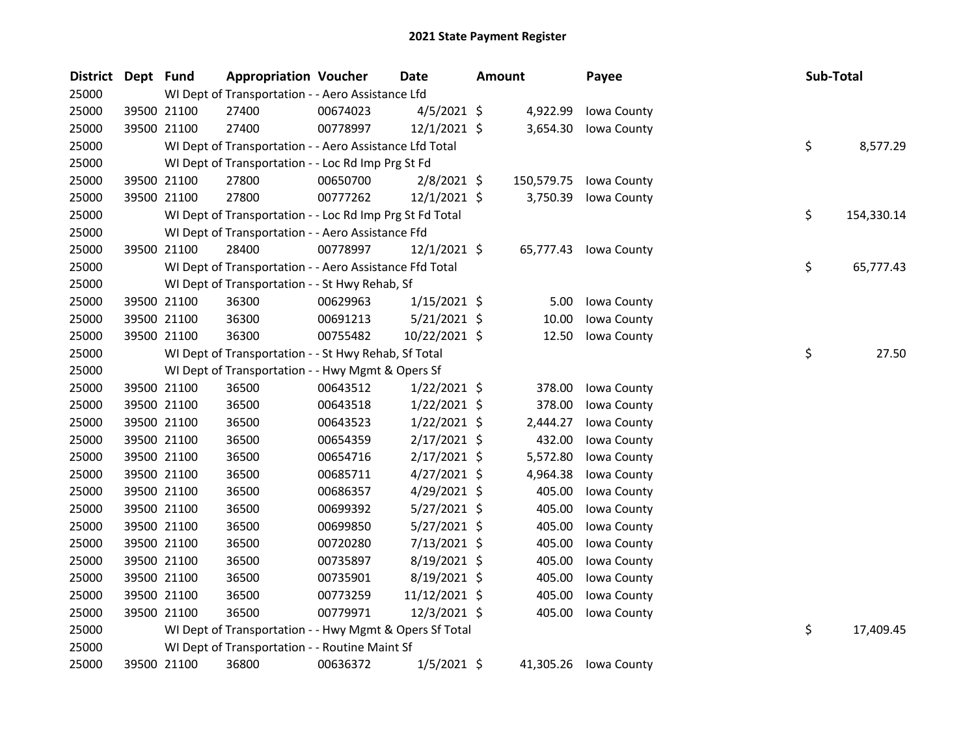| <b>District</b> | Dept Fund |             | <b>Appropriation Voucher</b>                             |          | <b>Date</b>    | <b>Amount</b> |            | Payee       | Sub-Total |            |
|-----------------|-----------|-------------|----------------------------------------------------------|----------|----------------|---------------|------------|-------------|-----------|------------|
| 25000           |           |             | WI Dept of Transportation - - Aero Assistance Lfd        |          |                |               |            |             |           |            |
| 25000           |           | 39500 21100 | 27400                                                    | 00674023 | $4/5/2021$ \$  |               | 4,922.99   | Iowa County |           |            |
| 25000           |           | 39500 21100 | 27400                                                    | 00778997 | $12/1/2021$ \$ |               | 3,654.30   | Iowa County |           |            |
| 25000           |           |             | WI Dept of Transportation - - Aero Assistance Lfd Total  |          |                |               |            |             | \$.       | 8,577.29   |
| 25000           |           |             | WI Dept of Transportation - - Loc Rd Imp Prg St Fd       |          |                |               |            |             |           |            |
| 25000           |           | 39500 21100 | 27800                                                    | 00650700 | $2/8/2021$ \$  |               | 150,579.75 | Iowa County |           |            |
| 25000           |           | 39500 21100 | 27800                                                    | 00777262 | $12/1/2021$ \$ |               | 3,750.39   | Iowa County |           |            |
| 25000           |           |             | WI Dept of Transportation - - Loc Rd Imp Prg St Fd Total |          |                |               |            |             | \$        | 154,330.14 |
| 25000           |           |             | WI Dept of Transportation - - Aero Assistance Ffd        |          |                |               |            |             |           |            |
| 25000           |           | 39500 21100 | 28400                                                    | 00778997 | $12/1/2021$ \$ |               | 65,777.43  | Iowa County |           |            |
| 25000           |           |             | WI Dept of Transportation - - Aero Assistance Ffd Total  |          |                |               |            |             | \$        | 65,777.43  |
| 25000           |           |             | WI Dept of Transportation - - St Hwy Rehab, Sf           |          |                |               |            |             |           |            |
| 25000           |           | 39500 21100 | 36300                                                    | 00629963 | $1/15/2021$ \$ |               | 5.00       | Iowa County |           |            |
| 25000           |           | 39500 21100 | 36300                                                    | 00691213 | 5/21/2021 \$   |               | 10.00      | Iowa County |           |            |
| 25000           |           | 39500 21100 | 36300                                                    | 00755482 | 10/22/2021 \$  |               | 12.50      | Iowa County |           |            |
| 25000           |           |             | WI Dept of Transportation - - St Hwy Rehab, Sf Total     |          |                |               |            |             | \$        | 27.50      |
| 25000           |           |             | WI Dept of Transportation - - Hwy Mgmt & Opers Sf        |          |                |               |            |             |           |            |
| 25000           |           | 39500 21100 | 36500                                                    | 00643512 | $1/22/2021$ \$ |               | 378.00     | Iowa County |           |            |
| 25000           |           | 39500 21100 | 36500                                                    | 00643518 | $1/22/2021$ \$ |               | 378.00     | Iowa County |           |            |
| 25000           |           | 39500 21100 | 36500                                                    | 00643523 | $1/22/2021$ \$ |               | 2,444.27   | Iowa County |           |            |
| 25000           |           | 39500 21100 | 36500                                                    | 00654359 | $2/17/2021$ \$ |               | 432.00     | Iowa County |           |            |
| 25000           |           | 39500 21100 | 36500                                                    | 00654716 | $2/17/2021$ \$ |               | 5,572.80   | Iowa County |           |            |
| 25000           |           | 39500 21100 | 36500                                                    | 00685711 | $4/27/2021$ \$ |               | 4,964.38   | Iowa County |           |            |
| 25000           |           | 39500 21100 | 36500                                                    | 00686357 | $4/29/2021$ \$ |               | 405.00     | Iowa County |           |            |
| 25000           |           | 39500 21100 | 36500                                                    | 00699392 | 5/27/2021 \$   |               | 405.00     | Iowa County |           |            |
| 25000           |           | 39500 21100 | 36500                                                    | 00699850 | 5/27/2021 \$   |               | 405.00     | Iowa County |           |            |
| 25000           |           | 39500 21100 | 36500                                                    | 00720280 | 7/13/2021 \$   |               | 405.00     | Iowa County |           |            |
| 25000           |           | 39500 21100 | 36500                                                    | 00735897 | 8/19/2021 \$   |               | 405.00     | Iowa County |           |            |
| 25000           |           | 39500 21100 | 36500                                                    | 00735901 | $8/19/2021$ \$ |               | 405.00     | Iowa County |           |            |
| 25000           |           | 39500 21100 | 36500                                                    | 00773259 | 11/12/2021 \$  |               | 405.00     | Iowa County |           |            |
| 25000           |           | 39500 21100 | 36500                                                    | 00779971 | 12/3/2021 \$   |               | 405.00     | Iowa County |           |            |
| 25000           |           |             | WI Dept of Transportation - - Hwy Mgmt & Opers Sf Total  |          |                |               |            |             | \$        | 17,409.45  |
| 25000           |           |             | WI Dept of Transportation - - Routine Maint Sf           |          |                |               |            |             |           |            |
| 25000           |           | 39500 21100 | 36800                                                    | 00636372 | $1/5/2021$ \$  |               | 41,305.26  | Iowa County |           |            |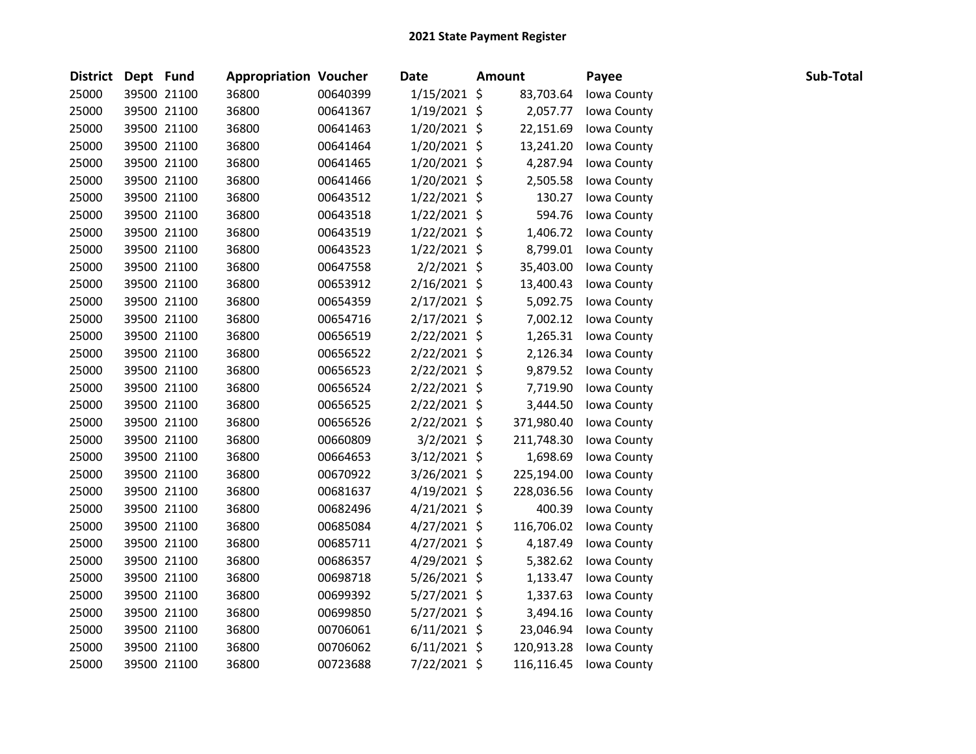| District Dept Fund |             | <b>Appropriation Voucher</b> |          | <b>Date</b>    | <b>Amount</b> | Payee       | Sub-Total |
|--------------------|-------------|------------------------------|----------|----------------|---------------|-------------|-----------|
| 25000              | 39500 21100 | 36800                        | 00640399 | $1/15/2021$ \$ | 83,703.64     | Iowa County |           |
| 25000              | 39500 21100 | 36800                        | 00641367 | $1/19/2021$ \$ | 2,057.77      | Iowa County |           |
| 25000              | 39500 21100 | 36800                        | 00641463 | 1/20/2021 \$   | 22,151.69     | Iowa County |           |
| 25000              | 39500 21100 | 36800                        | 00641464 | 1/20/2021 \$   | 13,241.20     | Iowa County |           |
| 25000              | 39500 21100 | 36800                        | 00641465 | $1/20/2021$ \$ | 4,287.94      | Iowa County |           |
| 25000              | 39500 21100 | 36800                        | 00641466 | $1/20/2021$ \$ | 2,505.58      | Iowa County |           |
| 25000              | 39500 21100 | 36800                        | 00643512 | $1/22/2021$ \$ | 130.27        | Iowa County |           |
| 25000              | 39500 21100 | 36800                        | 00643518 | $1/22/2021$ \$ | 594.76        | Iowa County |           |
| 25000              | 39500 21100 | 36800                        | 00643519 | $1/22/2021$ \$ | 1,406.72      | Iowa County |           |
| 25000              | 39500 21100 | 36800                        | 00643523 | $1/22/2021$ \$ | 8,799.01      | Iowa County |           |
| 25000              | 39500 21100 | 36800                        | 00647558 | $2/2/2021$ \$  | 35,403.00     | Iowa County |           |
| 25000              | 39500 21100 | 36800                        | 00653912 | $2/16/2021$ \$ | 13,400.43     | Iowa County |           |
| 25000              | 39500 21100 | 36800                        | 00654359 | $2/17/2021$ \$ | 5,092.75      | Iowa County |           |
| 25000              | 39500 21100 | 36800                        | 00654716 | $2/17/2021$ \$ | 7,002.12      | Iowa County |           |
| 25000              | 39500 21100 | 36800                        | 00656519 | $2/22/2021$ \$ | 1,265.31      | Iowa County |           |
| 25000              | 39500 21100 | 36800                        | 00656522 | $2/22/2021$ \$ | 2,126.34      | Iowa County |           |
| 25000              | 39500 21100 | 36800                        | 00656523 | $2/22/2021$ \$ | 9,879.52      | Iowa County |           |
| 25000              | 39500 21100 | 36800                        | 00656524 | $2/22/2021$ \$ | 7,719.90      | Iowa County |           |
| 25000              | 39500 21100 | 36800                        | 00656525 | $2/22/2021$ \$ | 3,444.50      | Iowa County |           |
| 25000              | 39500 21100 | 36800                        | 00656526 | $2/22/2021$ \$ | 371,980.40    | Iowa County |           |
| 25000              | 39500 21100 | 36800                        | 00660809 | $3/2/2021$ \$  | 211,748.30    | Iowa County |           |
| 25000              | 39500 21100 | 36800                        | 00664653 | $3/12/2021$ \$ | 1,698.69      | Iowa County |           |
| 25000              | 39500 21100 | 36800                        | 00670922 | $3/26/2021$ \$ | 225,194.00    | Iowa County |           |
| 25000              | 39500 21100 | 36800                        | 00681637 | $4/19/2021$ \$ | 228,036.56    | Iowa County |           |
| 25000              | 39500 21100 | 36800                        | 00682496 | $4/21/2021$ \$ | 400.39        | Iowa County |           |
| 25000              | 39500 21100 | 36800                        | 00685084 | $4/27/2021$ \$ | 116,706.02    | Iowa County |           |
| 25000              | 39500 21100 | 36800                        | 00685711 | $4/27/2021$ \$ | 4,187.49      | Iowa County |           |
| 25000              | 39500 21100 | 36800                        | 00686357 | $4/29/2021$ \$ | 5,382.62      | Iowa County |           |
| 25000              | 39500 21100 | 36800                        | 00698718 | $5/26/2021$ \$ | 1,133.47      | Iowa County |           |
| 25000              | 39500 21100 | 36800                        | 00699392 | $5/27/2021$ \$ | 1,337.63      | Iowa County |           |
| 25000              | 39500 21100 | 36800                        | 00699850 | $5/27/2021$ \$ | 3,494.16      | Iowa County |           |
| 25000              | 39500 21100 | 36800                        | 00706061 | $6/11/2021$ \$ | 23,046.94     | Iowa County |           |
| 25000              | 39500 21100 | 36800                        | 00706062 | $6/11/2021$ \$ | 120,913.28    | Iowa County |           |
| 25000              | 39500 21100 | 36800                        | 00723688 | 7/22/2021 \$   | 116,116.45    | Iowa County |           |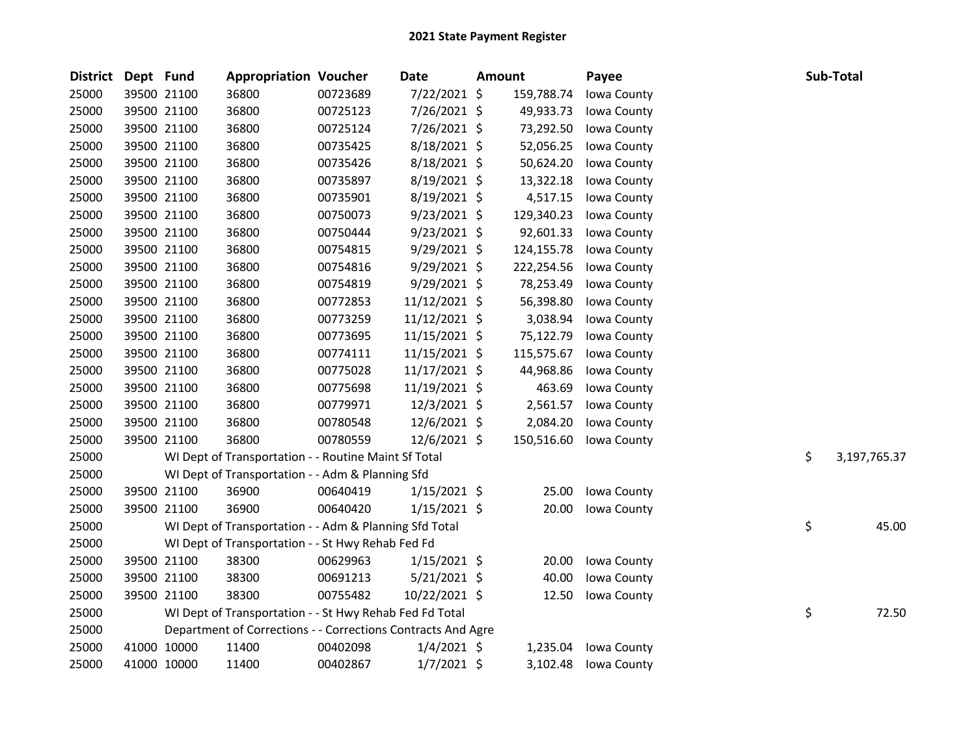| <b>District</b> | Dept Fund   |             | <b>Appropriation Voucher</b>                                 |          | Date           | <b>Amount</b> |            | Payee       |    | Sub-Total    |
|-----------------|-------------|-------------|--------------------------------------------------------------|----------|----------------|---------------|------------|-------------|----|--------------|
| 25000           |             | 39500 21100 | 36800                                                        | 00723689 | 7/22/2021 \$   |               | 159,788.74 | Iowa County |    |              |
| 25000           |             | 39500 21100 | 36800                                                        | 00725123 | 7/26/2021 \$   |               | 49,933.73  | Iowa County |    |              |
| 25000           |             | 39500 21100 | 36800                                                        | 00725124 | 7/26/2021 \$   |               | 73,292.50  | Iowa County |    |              |
| 25000           |             | 39500 21100 | 36800                                                        | 00735425 | 8/18/2021 \$   |               | 52,056.25  | Iowa County |    |              |
| 25000           |             | 39500 21100 | 36800                                                        | 00735426 | 8/18/2021 \$   |               | 50,624.20  | Iowa County |    |              |
| 25000           |             | 39500 21100 | 36800                                                        | 00735897 | 8/19/2021 \$   |               | 13,322.18  | Iowa County |    |              |
| 25000           |             | 39500 21100 | 36800                                                        | 00735901 | 8/19/2021 \$   |               | 4,517.15   | Iowa County |    |              |
| 25000           |             | 39500 21100 | 36800                                                        | 00750073 | $9/23/2021$ \$ |               | 129,340.23 | Iowa County |    |              |
| 25000           |             | 39500 21100 | 36800                                                        | 00750444 | $9/23/2021$ \$ |               | 92,601.33  | Iowa County |    |              |
| 25000           |             | 39500 21100 | 36800                                                        | 00754815 | $9/29/2021$ \$ |               | 124,155.78 | Iowa County |    |              |
| 25000           |             | 39500 21100 | 36800                                                        | 00754816 | 9/29/2021 \$   |               | 222,254.56 | Iowa County |    |              |
| 25000           |             | 39500 21100 | 36800                                                        | 00754819 | 9/29/2021 \$   |               | 78,253.49  | Iowa County |    |              |
| 25000           |             | 39500 21100 | 36800                                                        | 00772853 | 11/12/2021 \$  |               | 56,398.80  | Iowa County |    |              |
| 25000           |             | 39500 21100 | 36800                                                        | 00773259 | 11/12/2021 \$  |               | 3,038.94   | Iowa County |    |              |
| 25000           |             | 39500 21100 | 36800                                                        | 00773695 | 11/15/2021 \$  |               | 75,122.79  | Iowa County |    |              |
| 25000           |             | 39500 21100 | 36800                                                        | 00774111 | 11/15/2021 \$  |               | 115,575.67 | Iowa County |    |              |
| 25000           |             | 39500 21100 | 36800                                                        | 00775028 | 11/17/2021 \$  |               | 44,968.86  | Iowa County |    |              |
| 25000           |             | 39500 21100 | 36800                                                        | 00775698 | 11/19/2021 \$  |               | 463.69     | Iowa County |    |              |
| 25000           |             | 39500 21100 | 36800                                                        | 00779971 | 12/3/2021 \$   |               | 2,561.57   | Iowa County |    |              |
| 25000           |             | 39500 21100 | 36800                                                        | 00780548 | $12/6/2021$ \$ |               | 2,084.20   | Iowa County |    |              |
| 25000           |             | 39500 21100 | 36800                                                        | 00780559 | 12/6/2021 \$   |               | 150,516.60 | Iowa County |    |              |
| 25000           |             |             | WI Dept of Transportation - - Routine Maint Sf Total         |          |                |               |            |             | \$ | 3,197,765.37 |
| 25000           |             |             | WI Dept of Transportation - - Adm & Planning Sfd             |          |                |               |            |             |    |              |
| 25000           |             | 39500 21100 | 36900                                                        | 00640419 | $1/15/2021$ \$ |               | 25.00      | Iowa County |    |              |
| 25000           |             | 39500 21100 | 36900                                                        | 00640420 | $1/15/2021$ \$ |               | 20.00      | Iowa County |    |              |
| 25000           |             |             | WI Dept of Transportation - - Adm & Planning Sfd Total       |          |                |               |            |             | \$ | 45.00        |
| 25000           |             |             | WI Dept of Transportation - - St Hwy Rehab Fed Fd            |          |                |               |            |             |    |              |
| 25000           |             | 39500 21100 | 38300                                                        | 00629963 | $1/15/2021$ \$ |               | 20.00      | Iowa County |    |              |
| 25000           |             | 39500 21100 | 38300                                                        | 00691213 | $5/21/2021$ \$ |               | 40.00      | Iowa County |    |              |
| 25000           |             | 39500 21100 | 38300                                                        | 00755482 | 10/22/2021 \$  |               | 12.50      | Iowa County |    |              |
| 25000           |             |             | WI Dept of Transportation - - St Hwy Rehab Fed Fd Total      |          |                |               |            |             | \$ | 72.50        |
| 25000           |             |             | Department of Corrections - - Corrections Contracts And Agre |          |                |               |            |             |    |              |
| 25000           |             | 41000 10000 | 11400                                                        | 00402098 | $1/4/2021$ \$  |               | 1,235.04   | Iowa County |    |              |
| 25000           | 41000 10000 |             | 11400                                                        | 00402867 | $1/7/2021$ \$  |               | 3,102.48   | Iowa County |    |              |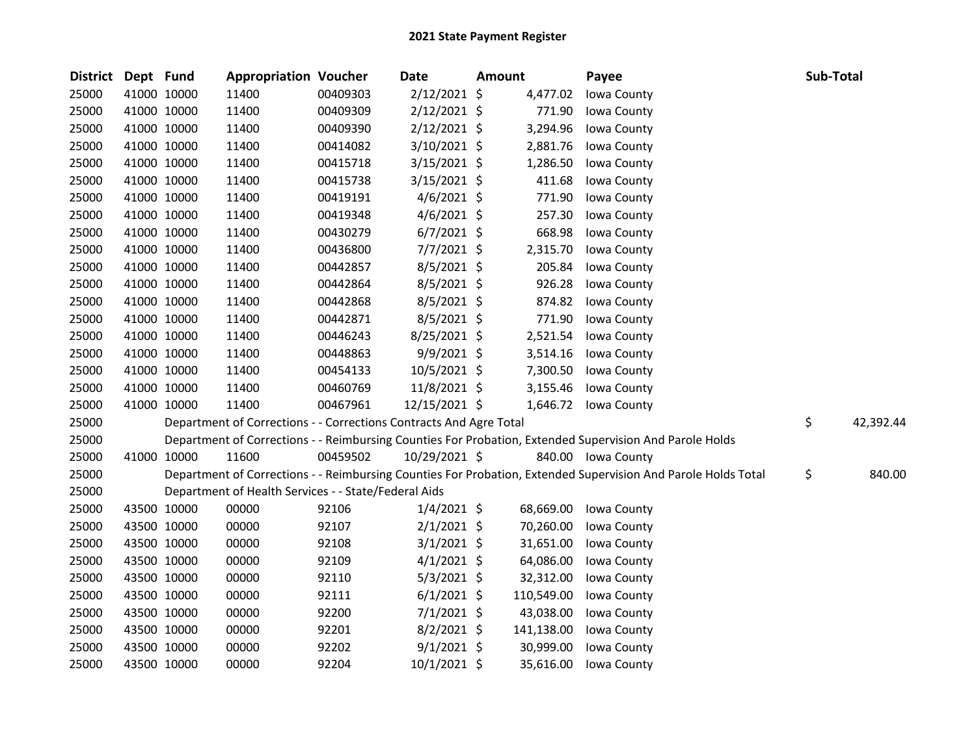| <b>District</b> | Dept Fund |             | <b>Appropriation Voucher</b>                                       |          | <b>Date</b>    | <b>Amount</b> |            | Payee                                                                                                         | Sub-Total |           |
|-----------------|-----------|-------------|--------------------------------------------------------------------|----------|----------------|---------------|------------|---------------------------------------------------------------------------------------------------------------|-----------|-----------|
| 25000           |           | 41000 10000 | 11400                                                              | 00409303 | 2/12/2021 \$   |               | 4,477.02   | Iowa County                                                                                                   |           |           |
| 25000           |           | 41000 10000 | 11400                                                              | 00409309 | $2/12/2021$ \$ |               | 771.90     | Iowa County                                                                                                   |           |           |
| 25000           |           | 41000 10000 | 11400                                                              | 00409390 | $2/12/2021$ \$ |               | 3,294.96   | Iowa County                                                                                                   |           |           |
| 25000           |           | 41000 10000 | 11400                                                              | 00414082 | 3/10/2021 \$   |               | 2,881.76   | Iowa County                                                                                                   |           |           |
| 25000           |           | 41000 10000 | 11400                                                              | 00415718 | $3/15/2021$ \$ |               | 1,286.50   | Iowa County                                                                                                   |           |           |
| 25000           |           | 41000 10000 | 11400                                                              | 00415738 | $3/15/2021$ \$ |               | 411.68     | Iowa County                                                                                                   |           |           |
| 25000           |           | 41000 10000 | 11400                                                              | 00419191 | $4/6/2021$ \$  |               | 771.90     | Iowa County                                                                                                   |           |           |
| 25000           |           | 41000 10000 | 11400                                                              | 00419348 | $4/6/2021$ \$  |               | 257.30     | Iowa County                                                                                                   |           |           |
| 25000           |           | 41000 10000 | 11400                                                              | 00430279 | $6/7/2021$ \$  |               | 668.98     | Iowa County                                                                                                   |           |           |
| 25000           |           | 41000 10000 | 11400                                                              | 00436800 | $7/7/2021$ \$  |               | 2,315.70   | Iowa County                                                                                                   |           |           |
| 25000           |           | 41000 10000 | 11400                                                              | 00442857 | 8/5/2021 \$    |               | 205.84     | Iowa County                                                                                                   |           |           |
| 25000           |           | 41000 10000 | 11400                                                              | 00442864 | $8/5/2021$ \$  |               | 926.28     | Iowa County                                                                                                   |           |           |
| 25000           |           | 41000 10000 | 11400                                                              | 00442868 | $8/5/2021$ \$  |               | 874.82     | Iowa County                                                                                                   |           |           |
| 25000           |           | 41000 10000 | 11400                                                              | 00442871 | 8/5/2021 \$    |               | 771.90     | Iowa County                                                                                                   |           |           |
| 25000           |           | 41000 10000 | 11400                                                              | 00446243 | 8/25/2021 \$   |               | 2,521.54   | Iowa County                                                                                                   |           |           |
| 25000           |           | 41000 10000 | 11400                                                              | 00448863 | 9/9/2021 \$    |               | 3,514.16   | Iowa County                                                                                                   |           |           |
| 25000           |           | 41000 10000 | 11400                                                              | 00454133 | 10/5/2021 \$   |               | 7,300.50   | Iowa County                                                                                                   |           |           |
| 25000           |           | 41000 10000 | 11400                                                              | 00460769 | 11/8/2021 \$   |               | 3,155.46   | Iowa County                                                                                                   |           |           |
| 25000           |           | 41000 10000 | 11400                                                              | 00467961 | 12/15/2021 \$  |               |            | 1,646.72 Iowa County                                                                                          |           |           |
| 25000           |           |             | Department of Corrections - - Corrections Contracts And Agre Total |          |                |               |            |                                                                                                               | \$        | 42,392.44 |
| 25000           |           |             |                                                                    |          |                |               |            | Department of Corrections - - Reimbursing Counties For Probation, Extended Supervision And Parole Holds       |           |           |
| 25000           |           | 41000 10000 | 11600                                                              | 00459502 | 10/29/2021 \$  |               |            | 840.00 Iowa County                                                                                            |           |           |
| 25000           |           |             |                                                                    |          |                |               |            | Department of Corrections - - Reimbursing Counties For Probation, Extended Supervision And Parole Holds Total | \$        | 840.00    |
| 25000           |           |             | Department of Health Services - - State/Federal Aids               |          |                |               |            |                                                                                                               |           |           |
| 25000           |           | 43500 10000 | 00000                                                              | 92106    | $1/4/2021$ \$  |               | 68,669.00  | Iowa County                                                                                                   |           |           |
| 25000           |           | 43500 10000 | 00000                                                              | 92107    | $2/1/2021$ \$  |               | 70,260.00  | Iowa County                                                                                                   |           |           |
| 25000           |           | 43500 10000 | 00000                                                              | 92108    | $3/1/2021$ \$  |               | 31,651.00  | Iowa County                                                                                                   |           |           |
| 25000           |           | 43500 10000 | 00000                                                              | 92109    | $4/1/2021$ \$  |               | 64,086.00  | Iowa County                                                                                                   |           |           |
| 25000           |           | 43500 10000 | 00000                                                              | 92110    | $5/3/2021$ \$  |               | 32,312.00  | Iowa County                                                                                                   |           |           |
| 25000           |           | 43500 10000 | 00000                                                              | 92111    | $6/1/2021$ \$  |               | 110,549.00 | Iowa County                                                                                                   |           |           |
| 25000           |           | 43500 10000 | 00000                                                              | 92200    | $7/1/2021$ \$  |               | 43,038.00  | Iowa County                                                                                                   |           |           |
| 25000           |           | 43500 10000 | 00000                                                              | 92201    | $8/2/2021$ \$  |               | 141,138.00 | Iowa County                                                                                                   |           |           |
| 25000           |           | 43500 10000 | 00000                                                              | 92202    | $9/1/2021$ \$  |               | 30,999.00  | Iowa County                                                                                                   |           |           |
| 25000           |           | 43500 10000 | 00000                                                              | 92204    | 10/1/2021 \$   |               | 35,616.00  | Iowa County                                                                                                   |           |           |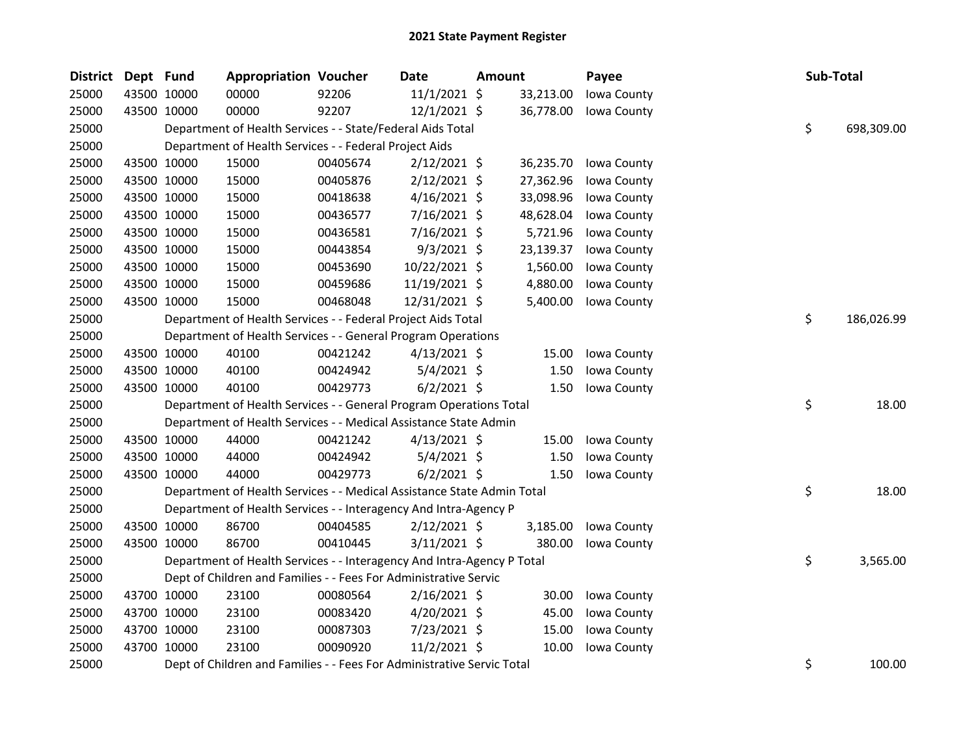| <b>District</b> | Dept Fund |             | <b>Appropriation Voucher</b>                                           |          | <b>Date</b>    | Amount |           | Payee       | Sub-Total |            |
|-----------------|-----------|-------------|------------------------------------------------------------------------|----------|----------------|--------|-----------|-------------|-----------|------------|
| 25000           |           | 43500 10000 | 00000                                                                  | 92206    | 11/1/2021 \$   |        | 33,213.00 | Iowa County |           |            |
| 25000           |           | 43500 10000 | 00000                                                                  | 92207    | 12/1/2021 \$   |        | 36,778.00 | Iowa County |           |            |
| 25000           |           |             | Department of Health Services - - State/Federal Aids Total             |          |                |        |           |             | \$        | 698,309.00 |
| 25000           |           |             | Department of Health Services - - Federal Project Aids                 |          |                |        |           |             |           |            |
| 25000           |           | 43500 10000 | 15000                                                                  | 00405674 | $2/12/2021$ \$ |        | 36,235.70 | Iowa County |           |            |
| 25000           |           | 43500 10000 | 15000                                                                  | 00405876 | $2/12/2021$ \$ |        | 27,362.96 | Iowa County |           |            |
| 25000           |           | 43500 10000 | 15000                                                                  | 00418638 | $4/16/2021$ \$ |        | 33,098.96 | Iowa County |           |            |
| 25000           |           | 43500 10000 | 15000                                                                  | 00436577 | 7/16/2021 \$   |        | 48,628.04 | Iowa County |           |            |
| 25000           |           | 43500 10000 | 15000                                                                  | 00436581 | 7/16/2021 \$   |        | 5,721.96  | Iowa County |           |            |
| 25000           |           | 43500 10000 | 15000                                                                  | 00443854 | $9/3/2021$ \$  |        | 23,139.37 | Iowa County |           |            |
| 25000           |           | 43500 10000 | 15000                                                                  | 00453690 | 10/22/2021 \$  |        | 1,560.00  | Iowa County |           |            |
| 25000           |           | 43500 10000 | 15000                                                                  | 00459686 | 11/19/2021 \$  |        | 4,880.00  | Iowa County |           |            |
| 25000           |           | 43500 10000 | 15000                                                                  | 00468048 | 12/31/2021 \$  |        | 5,400.00  | Iowa County |           |            |
| 25000           |           |             | Department of Health Services - - Federal Project Aids Total           |          |                |        |           |             | \$        | 186,026.99 |
| 25000           |           |             | Department of Health Services - - General Program Operations           |          |                |        |           |             |           |            |
| 25000           |           | 43500 10000 | 40100                                                                  | 00421242 | $4/13/2021$ \$ |        | 15.00     | Iowa County |           |            |
| 25000           |           | 43500 10000 | 40100                                                                  | 00424942 | $5/4/2021$ \$  |        | 1.50      | Iowa County |           |            |
| 25000           |           | 43500 10000 | 40100                                                                  | 00429773 | $6/2/2021$ \$  |        | 1.50      | Iowa County |           |            |
| 25000           |           |             | Department of Health Services - - General Program Operations Total     |          |                |        |           |             | \$        | 18.00      |
| 25000           |           |             | Department of Health Services - - Medical Assistance State Admin       |          |                |        |           |             |           |            |
| 25000           |           | 43500 10000 | 44000                                                                  | 00421242 | $4/13/2021$ \$ |        | 15.00     | Iowa County |           |            |
| 25000           |           | 43500 10000 | 44000                                                                  | 00424942 | $5/4/2021$ \$  |        | 1.50      | Iowa County |           |            |
| 25000           |           | 43500 10000 | 44000                                                                  | 00429773 | $6/2/2021$ \$  |        | 1.50      | Iowa County |           |            |
| 25000           |           |             | Department of Health Services - - Medical Assistance State Admin Total |          |                |        |           |             | \$        | 18.00      |
| 25000           |           |             | Department of Health Services - - Interagency And Intra-Agency P       |          |                |        |           |             |           |            |
| 25000           |           | 43500 10000 | 86700                                                                  | 00404585 | $2/12/2021$ \$ |        | 3,185.00  | Iowa County |           |            |
| 25000           |           | 43500 10000 | 86700                                                                  | 00410445 | $3/11/2021$ \$ |        | 380.00    | Iowa County |           |            |
| 25000           |           |             | Department of Health Services - - Interagency And Intra-Agency P Total |          |                |        |           |             | \$        | 3,565.00   |
| 25000           |           |             | Dept of Children and Families - - Fees For Administrative Servic       |          |                |        |           |             |           |            |
| 25000           |           | 43700 10000 | 23100                                                                  | 00080564 | $2/16/2021$ \$ |        | 30.00     | Iowa County |           |            |
| 25000           |           | 43700 10000 | 23100                                                                  | 00083420 | 4/20/2021 \$   |        | 45.00     | Iowa County |           |            |
| 25000           |           | 43700 10000 | 23100                                                                  | 00087303 | 7/23/2021 \$   |        | 15.00     | Iowa County |           |            |
| 25000           |           | 43700 10000 | 23100                                                                  | 00090920 | 11/2/2021 \$   |        | 10.00     | Iowa County |           |            |
| 25000           |           |             | Dept of Children and Families - - Fees For Administrative Servic Total |          |                |        |           |             | \$        | 100.00     |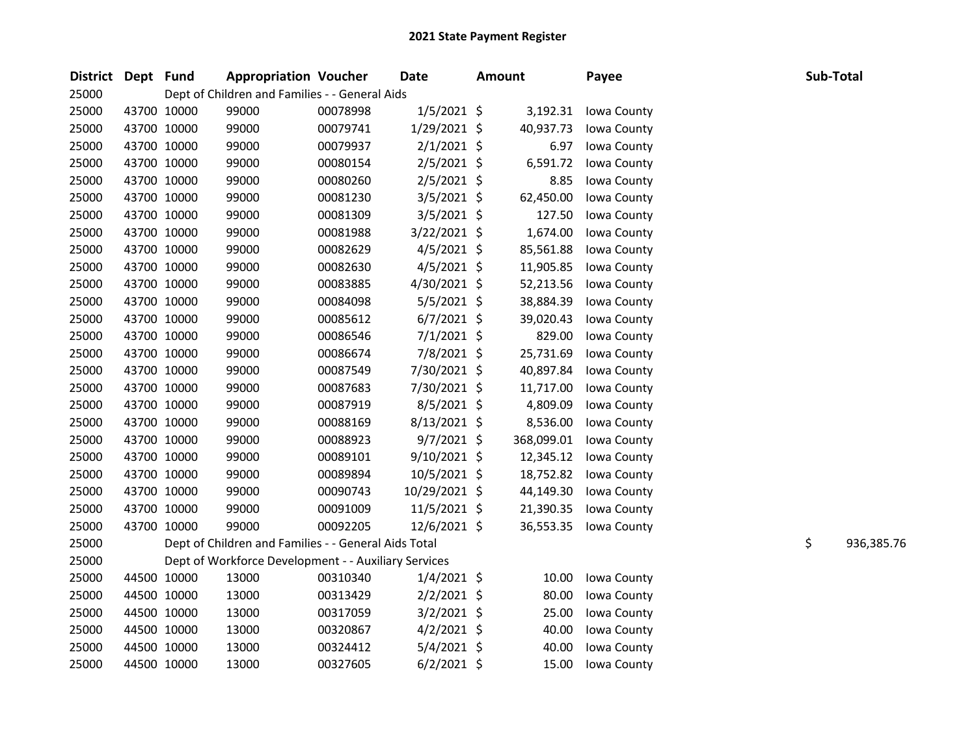| District Dept Fund |             | <b>Appropriation Voucher</b>                         |          | <b>Date</b>    | <b>Amount</b> |            | Payee       | Sub-Total |            |
|--------------------|-------------|------------------------------------------------------|----------|----------------|---------------|------------|-------------|-----------|------------|
| 25000              |             | Dept of Children and Families - - General Aids       |          |                |               |            |             |           |            |
| 25000              | 43700 10000 | 99000                                                | 00078998 | $1/5/2021$ \$  |               | 3,192.31   | Iowa County |           |            |
| 25000              | 43700 10000 | 99000                                                | 00079741 | 1/29/2021 \$   |               | 40,937.73  | Iowa County |           |            |
| 25000              | 43700 10000 | 99000                                                | 00079937 | $2/1/2021$ \$  |               | 6.97       | Iowa County |           |            |
| 25000              | 43700 10000 | 99000                                                | 00080154 | 2/5/2021 \$    |               | 6,591.72   | Iowa County |           |            |
| 25000              | 43700 10000 | 99000                                                | 00080260 | 2/5/2021 \$    |               | 8.85       | Iowa County |           |            |
| 25000              | 43700 10000 | 99000                                                | 00081230 | $3/5/2021$ \$  |               | 62,450.00  | Iowa County |           |            |
| 25000              | 43700 10000 | 99000                                                | 00081309 | $3/5/2021$ \$  |               | 127.50     | Iowa County |           |            |
| 25000              | 43700 10000 | 99000                                                | 00081988 | 3/22/2021 \$   |               | 1,674.00   | Iowa County |           |            |
| 25000              | 43700 10000 | 99000                                                | 00082629 | $4/5/2021$ \$  |               | 85,561.88  | Iowa County |           |            |
| 25000              | 43700 10000 | 99000                                                | 00082630 | $4/5/2021$ \$  |               | 11,905.85  | Iowa County |           |            |
| 25000              | 43700 10000 | 99000                                                | 00083885 | 4/30/2021 \$   |               | 52,213.56  | Iowa County |           |            |
| 25000              | 43700 10000 | 99000                                                | 00084098 | 5/5/2021 \$    |               | 38,884.39  | Iowa County |           |            |
| 25000              | 43700 10000 | 99000                                                | 00085612 | $6/7/2021$ \$  |               | 39,020.43  | Iowa County |           |            |
| 25000              | 43700 10000 | 99000                                                | 00086546 | $7/1/2021$ \$  |               | 829.00     | Iowa County |           |            |
| 25000              | 43700 10000 | 99000                                                | 00086674 | 7/8/2021 \$    |               | 25,731.69  | Iowa County |           |            |
| 25000              | 43700 10000 | 99000                                                | 00087549 | 7/30/2021 \$   |               | 40,897.84  | Iowa County |           |            |
| 25000              | 43700 10000 | 99000                                                | 00087683 | 7/30/2021 \$   |               | 11,717.00  | Iowa County |           |            |
| 25000              | 43700 10000 | 99000                                                | 00087919 | 8/5/2021 \$    |               | 4,809.09   | Iowa County |           |            |
| 25000              | 43700 10000 | 99000                                                | 00088169 | 8/13/2021 \$   |               | 8,536.00   | Iowa County |           |            |
| 25000              | 43700 10000 | 99000                                                | 00088923 | 9/7/2021 \$    |               | 368,099.01 | Iowa County |           |            |
| 25000              | 43700 10000 | 99000                                                | 00089101 | $9/10/2021$ \$ |               | 12,345.12  | Iowa County |           |            |
| 25000              | 43700 10000 | 99000                                                | 00089894 | $10/5/2021$ \$ |               | 18,752.82  | Iowa County |           |            |
| 25000              | 43700 10000 | 99000                                                | 00090743 | 10/29/2021 \$  |               | 44,149.30  | Iowa County |           |            |
| 25000              | 43700 10000 | 99000                                                | 00091009 | $11/5/2021$ \$ |               | 21,390.35  | Iowa County |           |            |
| 25000              | 43700 10000 | 99000                                                | 00092205 | 12/6/2021 \$   |               | 36,553.35  | Iowa County |           |            |
| 25000              |             | Dept of Children and Families - - General Aids Total |          |                |               |            |             | \$        | 936,385.76 |
| 25000              |             | Dept of Workforce Development - - Auxiliary Services |          |                |               |            |             |           |            |
| 25000              | 44500 10000 | 13000                                                | 00310340 | $1/4/2021$ \$  |               | 10.00      | Iowa County |           |            |
| 25000              | 44500 10000 | 13000                                                | 00313429 | $2/2/2021$ \$  |               | 80.00      | Iowa County |           |            |
| 25000              | 44500 10000 | 13000                                                | 00317059 | $3/2/2021$ \$  |               | 25.00      | Iowa County |           |            |
| 25000              | 44500 10000 | 13000                                                | 00320867 | $4/2/2021$ \$  |               | 40.00      | Iowa County |           |            |
| 25000              | 44500 10000 | 13000                                                | 00324412 | $5/4/2021$ \$  |               | 40.00      | Iowa County |           |            |
| 25000              | 44500 10000 | 13000                                                | 00327605 | $6/2/2021$ \$  |               | 15.00      | Iowa County |           |            |
|                    |             |                                                      |          |                |               |            |             |           |            |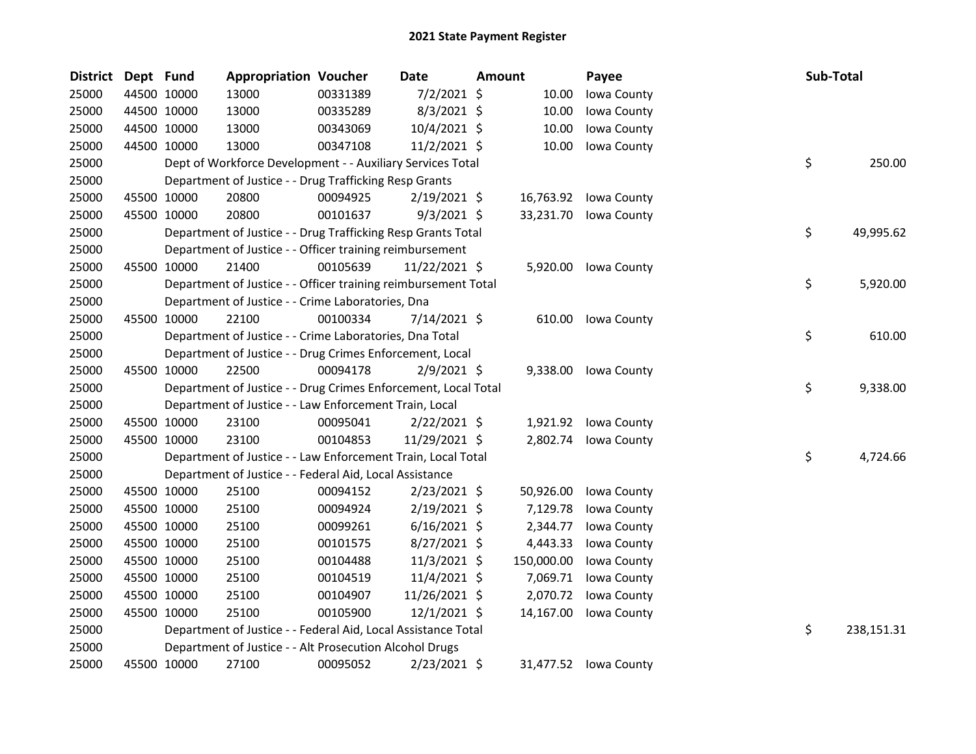| District | Dept Fund   |             | <b>Appropriation Voucher</b>                                   |          | Date           | <b>Amount</b> |            | Payee                 | Sub-Total |            |
|----------|-------------|-------------|----------------------------------------------------------------|----------|----------------|---------------|------------|-----------------------|-----------|------------|
| 25000    |             | 44500 10000 | 13000                                                          | 00331389 | $7/2/2021$ \$  |               | 10.00      | Iowa County           |           |            |
| 25000    |             | 44500 10000 | 13000                                                          | 00335289 | $8/3/2021$ \$  |               | 10.00      | Iowa County           |           |            |
| 25000    | 44500 10000 |             | 13000                                                          | 00343069 | 10/4/2021 \$   |               | 10.00      | Iowa County           |           |            |
| 25000    | 44500 10000 |             | 13000                                                          | 00347108 | $11/2/2021$ \$ |               | 10.00      | Iowa County           |           |            |
| 25000    |             |             | Dept of Workforce Development - - Auxiliary Services Total     |          |                |               |            |                       | \$        | 250.00     |
| 25000    |             |             | Department of Justice - - Drug Trafficking Resp Grants         |          |                |               |            |                       |           |            |
| 25000    |             | 45500 10000 | 20800                                                          | 00094925 | $2/19/2021$ \$ |               | 16,763.92  | Iowa County           |           |            |
| 25000    |             | 45500 10000 | 20800                                                          | 00101637 | $9/3/2021$ \$  |               | 33,231.70  | Iowa County           |           |            |
| 25000    |             |             | Department of Justice - - Drug Trafficking Resp Grants Total   |          |                |               |            |                       | \$        | 49,995.62  |
| 25000    |             |             | Department of Justice - - Officer training reimbursement       |          |                |               |            |                       |           |            |
| 25000    |             | 45500 10000 | 21400                                                          | 00105639 | 11/22/2021 \$  |               | 5,920.00   | Iowa County           |           |            |
| 25000    |             |             | Department of Justice - - Officer training reimbursement Total |          |                |               |            |                       | \$        | 5,920.00   |
| 25000    |             |             | Department of Justice - - Crime Laboratories, Dna              |          |                |               |            |                       |           |            |
| 25000    |             | 45500 10000 | 22100                                                          | 00100334 | 7/14/2021 \$   |               | 610.00     | Iowa County           |           |            |
| 25000    |             |             | Department of Justice - - Crime Laboratories, Dna Total        |          |                |               |            |                       | \$        | 610.00     |
| 25000    |             |             | Department of Justice - - Drug Crimes Enforcement, Local       |          |                |               |            |                       |           |            |
| 25000    |             | 45500 10000 | 22500                                                          | 00094178 | $2/9/2021$ \$  |               | 9,338.00   | Iowa County           |           |            |
| 25000    |             |             | Department of Justice - - Drug Crimes Enforcement, Local Total |          |                |               |            |                       | \$        | 9,338.00   |
| 25000    |             |             | Department of Justice - - Law Enforcement Train, Local         |          |                |               |            |                       |           |            |
| 25000    |             | 45500 10000 | 23100                                                          | 00095041 | $2/22/2021$ \$ |               |            | 1,921.92 Iowa County  |           |            |
| 25000    |             | 45500 10000 | 23100                                                          | 00104853 | 11/29/2021 \$  |               | 2,802.74   | Iowa County           |           |            |
| 25000    |             |             | Department of Justice - - Law Enforcement Train, Local Total   |          |                |               |            |                       | \$        | 4,724.66   |
| 25000    |             |             | Department of Justice - - Federal Aid, Local Assistance        |          |                |               |            |                       |           |            |
| 25000    |             | 45500 10000 | 25100                                                          | 00094152 | 2/23/2021 \$   |               | 50,926.00  | Iowa County           |           |            |
| 25000    |             | 45500 10000 | 25100                                                          | 00094924 | 2/19/2021 \$   |               | 7,129.78   | Iowa County           |           |            |
| 25000    |             | 45500 10000 | 25100                                                          | 00099261 | $6/16/2021$ \$ |               | 2,344.77   | Iowa County           |           |            |
| 25000    | 45500 10000 |             | 25100                                                          | 00101575 | 8/27/2021 \$   |               | 4,443.33   | Iowa County           |           |            |
| 25000    |             | 45500 10000 | 25100                                                          | 00104488 | 11/3/2021 \$   |               | 150,000.00 | Iowa County           |           |            |
| 25000    |             | 45500 10000 | 25100                                                          | 00104519 | 11/4/2021 \$   |               | 7,069.71   | Iowa County           |           |            |
| 25000    |             | 45500 10000 | 25100                                                          | 00104907 | 11/26/2021 \$  |               | 2,070.72   | Iowa County           |           |            |
| 25000    | 45500 10000 |             | 25100                                                          | 00105900 | 12/1/2021 \$   |               | 14,167.00  | Iowa County           |           |            |
| 25000    |             |             | Department of Justice - - Federal Aid, Local Assistance Total  |          |                |               |            |                       | \$        | 238,151.31 |
| 25000    |             |             | Department of Justice - - Alt Prosecution Alcohol Drugs        |          |                |               |            |                       |           |            |
| 25000    |             | 45500 10000 | 27100                                                          | 00095052 | 2/23/2021 \$   |               |            | 31,477.52 Iowa County |           |            |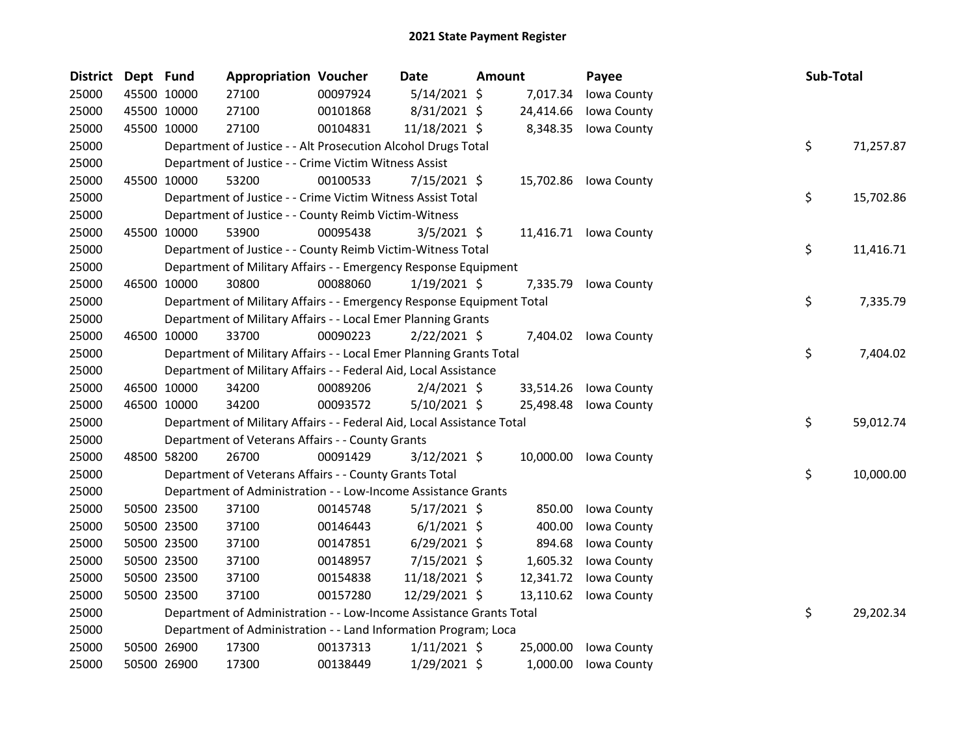| District Dept Fund |             | <b>Appropriation Voucher</b>                                           |          | <b>Date</b>    | Amount |           | Payee                 | Sub-Total |           |
|--------------------|-------------|------------------------------------------------------------------------|----------|----------------|--------|-----------|-----------------------|-----------|-----------|
| 25000              | 45500 10000 | 27100                                                                  | 00097924 | 5/14/2021 \$   |        | 7,017.34  | Iowa County           |           |           |
| 25000              | 45500 10000 | 27100                                                                  | 00101868 | 8/31/2021 \$   |        | 24,414.66 | Iowa County           |           |           |
| 25000              | 45500 10000 | 27100                                                                  | 00104831 | 11/18/2021 \$  |        | 8,348.35  | Iowa County           |           |           |
| 25000              |             | Department of Justice - - Alt Prosecution Alcohol Drugs Total          |          |                |        |           |                       | \$        | 71,257.87 |
| 25000              |             | Department of Justice - - Crime Victim Witness Assist                  |          |                |        |           |                       |           |           |
| 25000              | 45500 10000 | 53200                                                                  | 00100533 | $7/15/2021$ \$ |        |           | 15,702.86 Iowa County |           |           |
| 25000              |             | Department of Justice - - Crime Victim Witness Assist Total            |          |                |        |           |                       | \$        | 15,702.86 |
| 25000              |             | Department of Justice - - County Reimb Victim-Witness                  |          |                |        |           |                       |           |           |
| 25000              | 45500 10000 | 53900                                                                  | 00095438 | $3/5/2021$ \$  |        |           | 11,416.71 Iowa County |           |           |
| 25000              |             | Department of Justice - - County Reimb Victim-Witness Total            |          |                |        |           |                       | \$        | 11,416.71 |
| 25000              |             | Department of Military Affairs - - Emergency Response Equipment        |          |                |        |           |                       |           |           |
| 25000              | 46500 10000 | 30800                                                                  | 00088060 | $1/19/2021$ \$ |        | 7,335.79  | Iowa County           |           |           |
| 25000              |             | Department of Military Affairs - - Emergency Response Equipment Total  |          |                |        |           |                       | \$        | 7,335.79  |
| 25000              |             | Department of Military Affairs - - Local Emer Planning Grants          |          |                |        |           |                       |           |           |
| 25000              | 46500 10000 | 33700                                                                  | 00090223 | $2/22/2021$ \$ |        |           | 7,404.02 Iowa County  |           |           |
| 25000              |             | Department of Military Affairs - - Local Emer Planning Grants Total    |          |                |        |           |                       | \$        | 7,404.02  |
| 25000              |             | Department of Military Affairs - - Federal Aid, Local Assistance       |          |                |        |           |                       |           |           |
| 25000              | 46500 10000 | 34200                                                                  | 00089206 | $2/4/2021$ \$  |        | 33,514.26 | Iowa County           |           |           |
| 25000              | 46500 10000 | 34200                                                                  | 00093572 | 5/10/2021 \$   |        | 25,498.48 | Iowa County           |           |           |
| 25000              |             | Department of Military Affairs - - Federal Aid, Local Assistance Total |          |                |        |           |                       | \$        | 59,012.74 |
| 25000              |             | Department of Veterans Affairs - - County Grants                       |          |                |        |           |                       |           |           |
| 25000              | 48500 58200 | 26700                                                                  | 00091429 | $3/12/2021$ \$ |        |           | 10,000.00 Iowa County |           |           |
| 25000              |             | Department of Veterans Affairs - - County Grants Total                 |          |                |        |           |                       | \$        | 10,000.00 |
| 25000              |             | Department of Administration - - Low-Income Assistance Grants          |          |                |        |           |                       |           |           |
| 25000              | 50500 23500 | 37100                                                                  | 00145748 | $5/17/2021$ \$ |        | 850.00    | Iowa County           |           |           |
| 25000              | 50500 23500 | 37100                                                                  | 00146443 | $6/1/2021$ \$  |        | 400.00    | Iowa County           |           |           |
| 25000              | 50500 23500 | 37100                                                                  | 00147851 | $6/29/2021$ \$ |        | 894.68    | Iowa County           |           |           |
| 25000              | 50500 23500 | 37100                                                                  | 00148957 | $7/15/2021$ \$ |        | 1,605.32  | Iowa County           |           |           |
| 25000              | 50500 23500 | 37100                                                                  | 00154838 | 11/18/2021 \$  |        | 12,341.72 | Iowa County           |           |           |
| 25000              | 50500 23500 | 37100                                                                  | 00157280 | 12/29/2021 \$  |        | 13,110.62 | Iowa County           |           |           |
| 25000              |             | Department of Administration - - Low-Income Assistance Grants Total    |          |                |        |           |                       | \$        | 29,202.34 |
| 25000              |             | Department of Administration - - Land Information Program; Loca        |          |                |        |           |                       |           |           |
| 25000              | 50500 26900 | 17300                                                                  | 00137313 | $1/11/2021$ \$ |        | 25,000.00 | Iowa County           |           |           |
| 25000              | 50500 26900 | 17300                                                                  | 00138449 | 1/29/2021 \$   |        | 1,000.00  | Iowa County           |           |           |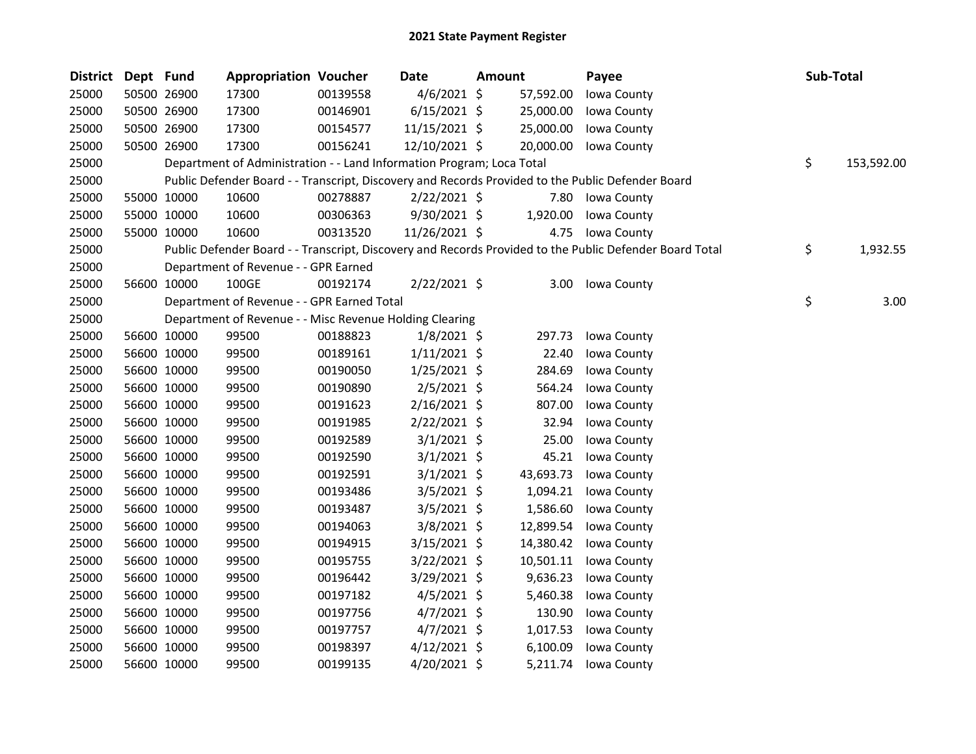| <b>District</b> | Dept Fund |             | <b>Appropriation Voucher</b>                                          |          | <b>Date</b>    | <b>Amount</b> | Payee                                                                                                   | Sub-Total        |
|-----------------|-----------|-------------|-----------------------------------------------------------------------|----------|----------------|---------------|---------------------------------------------------------------------------------------------------------|------------------|
| 25000           |           | 50500 26900 | 17300                                                                 | 00139558 | $4/6/2021$ \$  | 57,592.00     | Iowa County                                                                                             |                  |
| 25000           |           | 50500 26900 | 17300                                                                 | 00146901 | $6/15/2021$ \$ | 25,000.00     | Iowa County                                                                                             |                  |
| 25000           |           | 50500 26900 | 17300                                                                 | 00154577 | 11/15/2021 \$  | 25,000.00     | Iowa County                                                                                             |                  |
| 25000           |           | 50500 26900 | 17300                                                                 | 00156241 | 12/10/2021 \$  | 20,000.00     | Iowa County                                                                                             |                  |
| 25000           |           |             | Department of Administration - - Land Information Program; Loca Total |          |                |               |                                                                                                         | \$<br>153,592.00 |
| 25000           |           |             |                                                                       |          |                |               | Public Defender Board - - Transcript, Discovery and Records Provided to the Public Defender Board       |                  |
| 25000           |           | 55000 10000 | 10600                                                                 | 00278887 | $2/22/2021$ \$ | 7.80          | Iowa County                                                                                             |                  |
| 25000           |           | 55000 10000 | 10600                                                                 | 00306363 | $9/30/2021$ \$ | 1,920.00      | Iowa County                                                                                             |                  |
| 25000           |           | 55000 10000 | 10600                                                                 | 00313520 | 11/26/2021 \$  |               | 4.75 Iowa County                                                                                        |                  |
| 25000           |           |             |                                                                       |          |                |               | Public Defender Board - - Transcript, Discovery and Records Provided to the Public Defender Board Total | \$<br>1,932.55   |
| 25000           |           |             | Department of Revenue - - GPR Earned                                  |          |                |               |                                                                                                         |                  |
| 25000           |           | 56600 10000 | 100GE                                                                 | 00192174 | $2/22/2021$ \$ | 3.00          | Iowa County                                                                                             |                  |
| 25000           |           |             | Department of Revenue - - GPR Earned Total                            |          |                |               |                                                                                                         | \$<br>3.00       |
| 25000           |           |             | Department of Revenue - - Misc Revenue Holding Clearing               |          |                |               |                                                                                                         |                  |
| 25000           |           | 56600 10000 | 99500                                                                 | 00188823 | $1/8/2021$ \$  | 297.73        | Iowa County                                                                                             |                  |
| 25000           |           | 56600 10000 | 99500                                                                 | 00189161 | $1/11/2021$ \$ | 22.40         | Iowa County                                                                                             |                  |
| 25000           |           | 56600 10000 | 99500                                                                 | 00190050 | $1/25/2021$ \$ | 284.69        | Iowa County                                                                                             |                  |
| 25000           |           | 56600 10000 | 99500                                                                 | 00190890 | $2/5/2021$ \$  | 564.24        | Iowa County                                                                                             |                  |
| 25000           |           | 56600 10000 | 99500                                                                 | 00191623 | $2/16/2021$ \$ | 807.00        | Iowa County                                                                                             |                  |
| 25000           |           | 56600 10000 | 99500                                                                 | 00191985 | $2/22/2021$ \$ | 32.94         | Iowa County                                                                                             |                  |
| 25000           |           | 56600 10000 | 99500                                                                 | 00192589 | $3/1/2021$ \$  | 25.00         | Iowa County                                                                                             |                  |
| 25000           |           | 56600 10000 | 99500                                                                 | 00192590 | $3/1/2021$ \$  | 45.21         | Iowa County                                                                                             |                  |
| 25000           |           | 56600 10000 | 99500                                                                 | 00192591 | $3/1/2021$ \$  | 43,693.73     | Iowa County                                                                                             |                  |
| 25000           |           | 56600 10000 | 99500                                                                 | 00193486 | $3/5/2021$ \$  | 1,094.21      | Iowa County                                                                                             |                  |
| 25000           |           | 56600 10000 | 99500                                                                 | 00193487 | $3/5/2021$ \$  | 1,586.60      | Iowa County                                                                                             |                  |
| 25000           |           | 56600 10000 | 99500                                                                 | 00194063 | $3/8/2021$ \$  | 12,899.54     | Iowa County                                                                                             |                  |
| 25000           |           | 56600 10000 | 99500                                                                 | 00194915 | $3/15/2021$ \$ | 14,380.42     | Iowa County                                                                                             |                  |
| 25000           |           | 56600 10000 | 99500                                                                 | 00195755 | $3/22/2021$ \$ | 10,501.11     | Iowa County                                                                                             |                  |
| 25000           |           | 56600 10000 | 99500                                                                 | 00196442 | $3/29/2021$ \$ | 9,636.23      | Iowa County                                                                                             |                  |
| 25000           |           | 56600 10000 | 99500                                                                 | 00197182 | $4/5/2021$ \$  | 5,460.38      | Iowa County                                                                                             |                  |
| 25000           |           | 56600 10000 | 99500                                                                 | 00197756 | $4/7/2021$ \$  | 130.90        | Iowa County                                                                                             |                  |
| 25000           |           | 56600 10000 | 99500                                                                 | 00197757 | $4/7/2021$ \$  | 1,017.53      | Iowa County                                                                                             |                  |
| 25000           |           | 56600 10000 | 99500                                                                 | 00198397 | $4/12/2021$ \$ | 6,100.09      | Iowa County                                                                                             |                  |
| 25000           |           | 56600 10000 | 99500                                                                 | 00199135 | 4/20/2021 \$   | 5,211.74      | Iowa County                                                                                             |                  |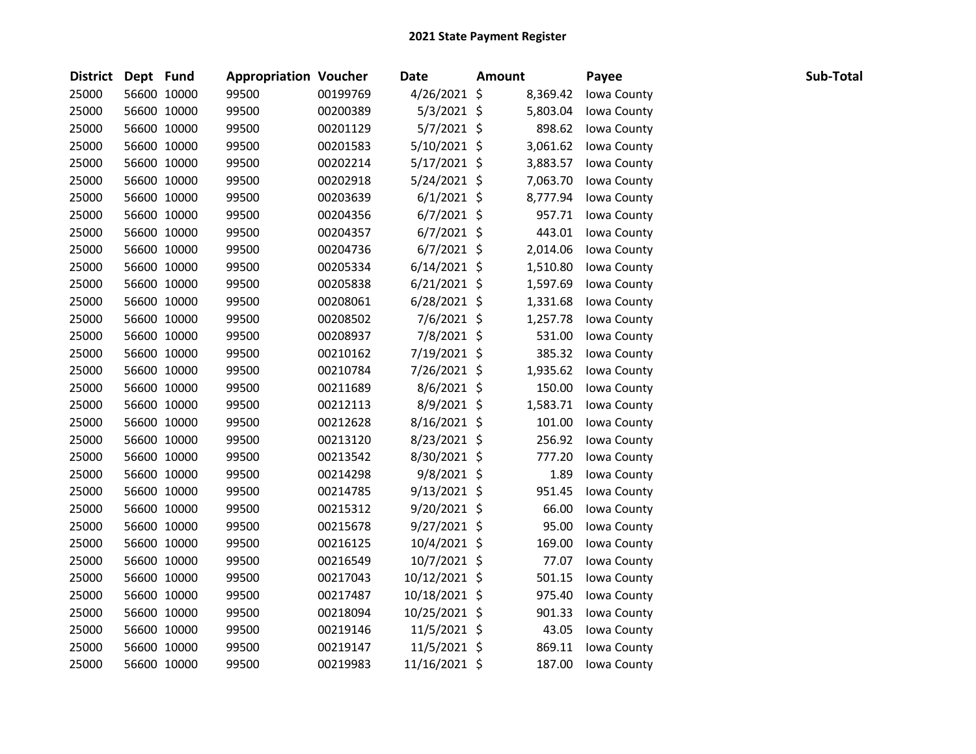| District | Dept Fund |             | <b>Appropriation Voucher</b> |          | Date           | <b>Amount</b> | Payee       | Sub-Total |
|----------|-----------|-------------|------------------------------|----------|----------------|---------------|-------------|-----------|
| 25000    |           | 56600 10000 | 99500                        | 00199769 | $4/26/2021$ \$ | 8,369.42      | Iowa County |           |
| 25000    |           | 56600 10000 | 99500                        | 00200389 | 5/3/2021 \$    | 5,803.04      | Iowa County |           |
| 25000    |           | 56600 10000 | 99500                        | 00201129 | 5/7/2021 \$    | 898.62        | Iowa County |           |
| 25000    |           | 56600 10000 | 99500                        | 00201583 | 5/10/2021 \$   | 3,061.62      | Iowa County |           |
| 25000    |           | 56600 10000 | 99500                        | 00202214 | $5/17/2021$ \$ | 3,883.57      | Iowa County |           |
| 25000    |           | 56600 10000 | 99500                        | 00202918 | $5/24/2021$ \$ | 7,063.70      | Iowa County |           |
| 25000    |           | 56600 10000 | 99500                        | 00203639 | $6/1/2021$ \$  | 8,777.94      | Iowa County |           |
| 25000    |           | 56600 10000 | 99500                        | 00204356 | $6/7/2021$ \$  | 957.71        | Iowa County |           |
| 25000    |           | 56600 10000 | 99500                        | 00204357 | $6/7/2021$ \$  | 443.01        | Iowa County |           |
| 25000    |           | 56600 10000 | 99500                        | 00204736 | $6/7/2021$ \$  | 2,014.06      | Iowa County |           |
| 25000    |           | 56600 10000 | 99500                        | 00205334 | $6/14/2021$ \$ | 1,510.80      | Iowa County |           |
| 25000    |           | 56600 10000 | 99500                        | 00205838 | $6/21/2021$ \$ | 1,597.69      | Iowa County |           |
| 25000    |           | 56600 10000 | 99500                        | 00208061 | $6/28/2021$ \$ | 1,331.68      | Iowa County |           |
| 25000    |           | 56600 10000 | 99500                        | 00208502 | 7/6/2021 \$    | 1,257.78      | Iowa County |           |
| 25000    |           | 56600 10000 | 99500                        | 00208937 | 7/8/2021 \$    | 531.00        | Iowa County |           |
| 25000    |           | 56600 10000 | 99500                        | 00210162 | 7/19/2021 \$   | 385.32        | Iowa County |           |
| 25000    |           | 56600 10000 | 99500                        | 00210784 | 7/26/2021 \$   | 1,935.62      | Iowa County |           |
| 25000    |           | 56600 10000 | 99500                        | 00211689 | 8/6/2021 \$    | 150.00        | Iowa County |           |
| 25000    |           | 56600 10000 | 99500                        | 00212113 | 8/9/2021 \$    | 1,583.71      | Iowa County |           |
| 25000    |           | 56600 10000 | 99500                        | 00212628 | $8/16/2021$ \$ | 101.00        | Iowa County |           |
| 25000    |           | 56600 10000 | 99500                        | 00213120 | 8/23/2021 \$   | 256.92        | Iowa County |           |
| 25000    |           | 56600 10000 | 99500                        | 00213542 | 8/30/2021 \$   | 777.20        | Iowa County |           |
| 25000    |           | 56600 10000 | 99500                        | 00214298 | 9/8/2021 \$    | 1.89          | Iowa County |           |
| 25000    |           | 56600 10000 | 99500                        | 00214785 | $9/13/2021$ \$ | 951.45        | Iowa County |           |
| 25000    |           | 56600 10000 | 99500                        | 00215312 | 9/20/2021 \$   | 66.00         | Iowa County |           |
| 25000    |           | 56600 10000 | 99500                        | 00215678 | $9/27/2021$ \$ | 95.00         | Iowa County |           |
| 25000    |           | 56600 10000 | 99500                        | 00216125 | 10/4/2021 \$   | 169.00        | Iowa County |           |
| 25000    |           | 56600 10000 | 99500                        | 00216549 | 10/7/2021 \$   | 77.07         | Iowa County |           |
| 25000    |           | 56600 10000 | 99500                        | 00217043 | 10/12/2021 \$  | 501.15        | Iowa County |           |
| 25000    |           | 56600 10000 | 99500                        | 00217487 | 10/18/2021 \$  | 975.40        | Iowa County |           |
| 25000    |           | 56600 10000 | 99500                        | 00218094 | 10/25/2021 \$  | 901.33        | Iowa County |           |
| 25000    |           | 56600 10000 | 99500                        | 00219146 | 11/5/2021 \$   | 43.05         | Iowa County |           |
| 25000    |           | 56600 10000 | 99500                        | 00219147 | 11/5/2021 \$   | 869.11        | Iowa County |           |
| 25000    |           | 56600 10000 | 99500                        | 00219983 | 11/16/2021 \$  | 187.00        | Iowa County |           |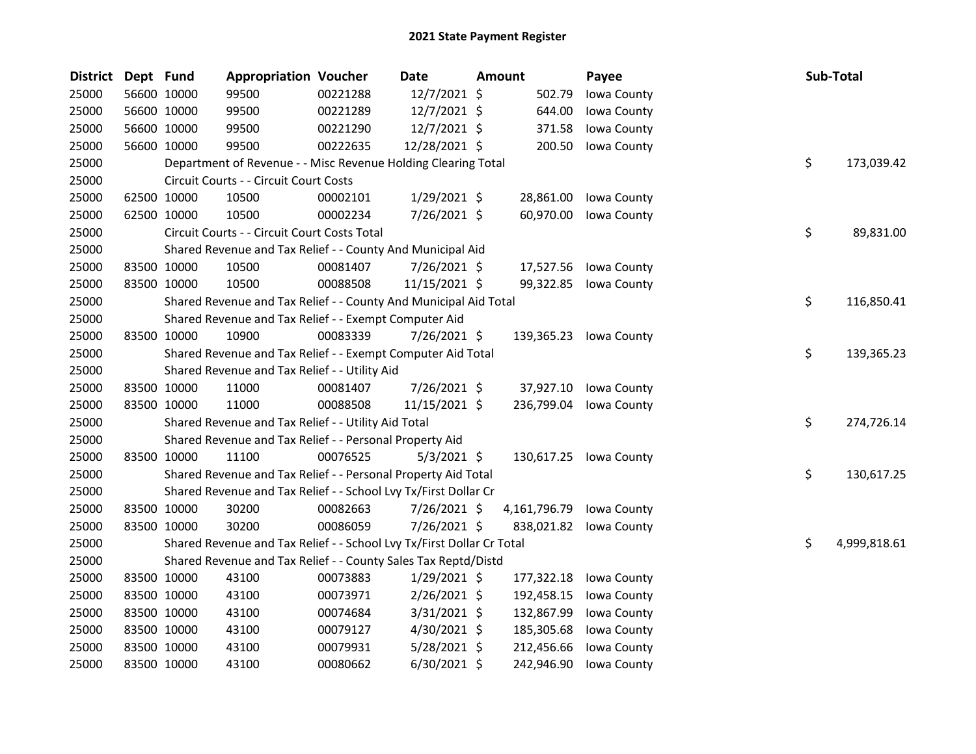| <b>District</b> | Dept Fund |             | <b>Appropriation Voucher</b>                                          |          | Date           | Amount                   | Payee                  |    | Sub-Total    |
|-----------------|-----------|-------------|-----------------------------------------------------------------------|----------|----------------|--------------------------|------------------------|----|--------------|
| 25000           |           | 56600 10000 | 99500                                                                 | 00221288 | 12/7/2021 \$   | 502.79                   | Iowa County            |    |              |
| 25000           |           | 56600 10000 | 99500                                                                 | 00221289 | 12/7/2021 \$   | 644.00                   | Iowa County            |    |              |
| 25000           |           | 56600 10000 | 99500                                                                 | 00221290 | 12/7/2021 \$   | 371.58                   | Iowa County            |    |              |
| 25000           |           | 56600 10000 | 99500                                                                 | 00222635 | 12/28/2021 \$  | 200.50                   | Iowa County            |    |              |
| 25000           |           |             | Department of Revenue - - Misc Revenue Holding Clearing Total         |          |                |                          |                        | \$ | 173,039.42   |
| 25000           |           |             | Circuit Courts - - Circuit Court Costs                                |          |                |                          |                        |    |              |
| 25000           |           | 62500 10000 | 10500                                                                 | 00002101 | $1/29/2021$ \$ | 28,861.00                | Iowa County            |    |              |
| 25000           |           | 62500 10000 | 10500                                                                 | 00002234 | $7/26/2021$ \$ | 60,970.00                | Iowa County            |    |              |
| 25000           |           |             | Circuit Courts - - Circuit Court Costs Total                          |          |                |                          |                        | \$ | 89,831.00    |
| 25000           |           |             | Shared Revenue and Tax Relief - - County And Municipal Aid            |          |                |                          |                        |    |              |
| 25000           |           | 83500 10000 | 10500                                                                 | 00081407 | 7/26/2021 \$   | 17,527.56                | Iowa County            |    |              |
| 25000           |           | 83500 10000 | 10500                                                                 | 00088508 | 11/15/2021 \$  |                          | 99,322.85 Iowa County  |    |              |
| 25000           |           |             | Shared Revenue and Tax Relief - - County And Municipal Aid Total      |          |                |                          |                        | \$ | 116,850.41   |
| 25000           |           |             | Shared Revenue and Tax Relief - - Exempt Computer Aid                 |          |                |                          |                        |    |              |
| 25000           |           | 83500 10000 | 10900                                                                 | 00083339 | 7/26/2021 \$   |                          | 139,365.23 Iowa County |    |              |
| 25000           |           |             | Shared Revenue and Tax Relief - - Exempt Computer Aid Total           |          |                |                          |                        | \$ | 139,365.23   |
| 25000           |           |             | Shared Revenue and Tax Relief - - Utility Aid                         |          |                |                          |                        |    |              |
| 25000           |           | 83500 10000 | 11000                                                                 | 00081407 | 7/26/2021 \$   | 37,927.10                | Iowa County            |    |              |
| 25000           |           | 83500 10000 | 11000                                                                 | 00088508 | 11/15/2021 \$  | 236,799.04               | Iowa County            |    |              |
| 25000           |           |             | Shared Revenue and Tax Relief - - Utility Aid Total                   |          |                |                          |                        | \$ | 274,726.14   |
| 25000           |           |             | Shared Revenue and Tax Relief - - Personal Property Aid               |          |                |                          |                        |    |              |
| 25000           |           | 83500 10000 | 11100                                                                 | 00076525 | $5/3/2021$ \$  |                          | 130,617.25 Iowa County |    |              |
| 25000           |           |             | Shared Revenue and Tax Relief - - Personal Property Aid Total         |          |                |                          |                        | \$ | 130,617.25   |
| 25000           |           |             | Shared Revenue and Tax Relief - - School Lvy Tx/First Dollar Cr       |          |                |                          |                        |    |              |
| 25000           |           | 83500 10000 | 30200                                                                 | 00082663 | 7/26/2021 \$   | 4,161,796.79 Iowa County |                        |    |              |
| 25000           |           | 83500 10000 | 30200                                                                 | 00086059 | 7/26/2021 \$   |                          | 838,021.82 Iowa County |    |              |
| 25000           |           |             | Shared Revenue and Tax Relief - - School Lvy Tx/First Dollar Cr Total |          |                |                          |                        | \$ | 4,999,818.61 |
| 25000           |           |             | Shared Revenue and Tax Relief - - County Sales Tax Reptd/Distd        |          |                |                          |                        |    |              |
| 25000           |           | 83500 10000 | 43100                                                                 | 00073883 | 1/29/2021 \$   | 177,322.18               | Iowa County            |    |              |
| 25000           |           | 83500 10000 | 43100                                                                 | 00073971 | 2/26/2021 \$   | 192,458.15               | Iowa County            |    |              |
| 25000           |           | 83500 10000 | 43100                                                                 | 00074684 | $3/31/2021$ \$ | 132,867.99               | Iowa County            |    |              |
| 25000           |           | 83500 10000 | 43100                                                                 | 00079127 | 4/30/2021 \$   | 185,305.68               | Iowa County            |    |              |
| 25000           |           | 83500 10000 | 43100                                                                 | 00079931 | $5/28/2021$ \$ | 212,456.66               | Iowa County            |    |              |
| 25000           |           | 83500 10000 | 43100                                                                 | 00080662 | 6/30/2021 \$   | 242,946.90               | Iowa County            |    |              |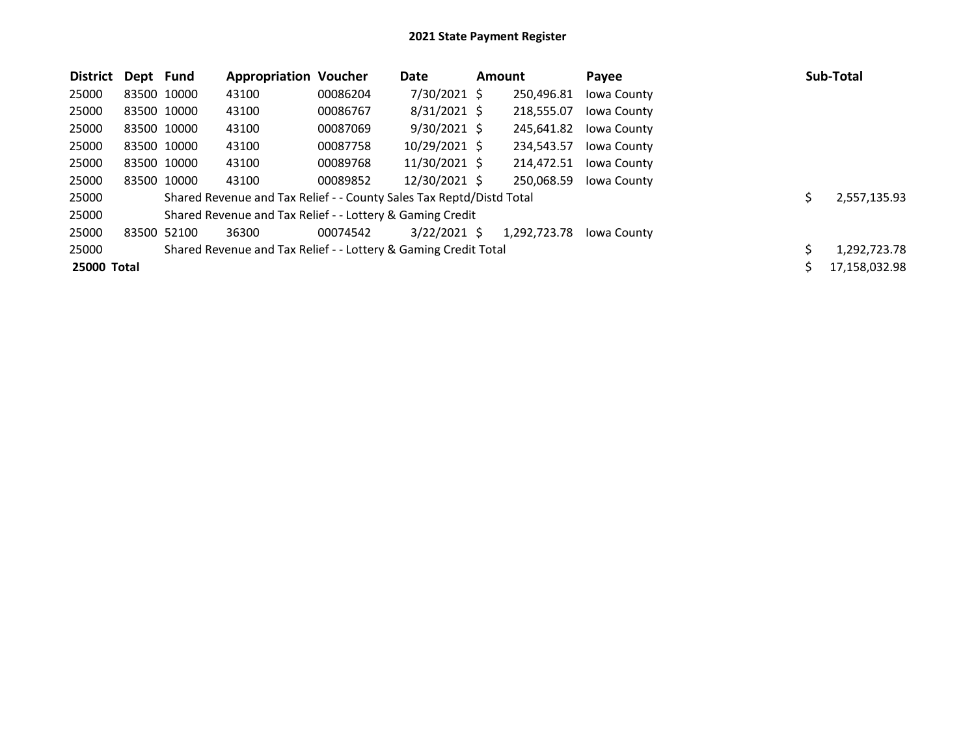| <b>District</b> | Dept Fund |             | <b>Appropriation Voucher</b>                                         |          | Date           | <b>Amount</b> |              | Payee       |   | <b>Sub-Total</b> |
|-----------------|-----------|-------------|----------------------------------------------------------------------|----------|----------------|---------------|--------------|-------------|---|------------------|
| 25000           |           | 83500 10000 | 43100                                                                | 00086204 | 7/30/2021 \$   |               | 250,496.81   | Iowa County |   |                  |
| 25000           |           | 83500 10000 | 43100                                                                | 00086767 | $8/31/2021$ \$ |               | 218,555.07   | Iowa County |   |                  |
| 25000           |           | 83500 10000 | 43100                                                                | 00087069 | $9/30/2021$ \$ |               | 245,641.82   | Iowa County |   |                  |
| 25000           |           | 83500 10000 | 43100                                                                | 00087758 | 10/29/2021 \$  |               | 234,543.57   | Iowa County |   |                  |
| 25000           |           | 83500 10000 | 43100                                                                | 00089768 | 11/30/2021 \$  |               | 214,472.51   | Iowa County |   |                  |
| 25000           |           | 83500 10000 | 43100                                                                | 00089852 | 12/30/2021 \$  |               | 250,068.59   | Iowa County |   |                  |
| 25000           |           |             | Shared Revenue and Tax Relief - - County Sales Tax Reptd/Distd Total |          |                |               |              |             |   | 2,557,135.93     |
| 25000           |           |             | Shared Revenue and Tax Relief - - Lottery & Gaming Credit            |          |                |               |              |             |   |                  |
| 25000           |           | 83500 52100 | 36300                                                                | 00074542 | $3/22/2021$ \$ |               | 1.292.723.78 | Jowa County |   |                  |
| 25000           |           |             | Shared Revenue and Tax Relief - - Lottery & Gaming Credit Total      |          |                |               |              |             | Ś | 1,292,723.78     |
| 25000 Total     |           |             |                                                                      |          |                |               |              |             |   | 17,158,032.98    |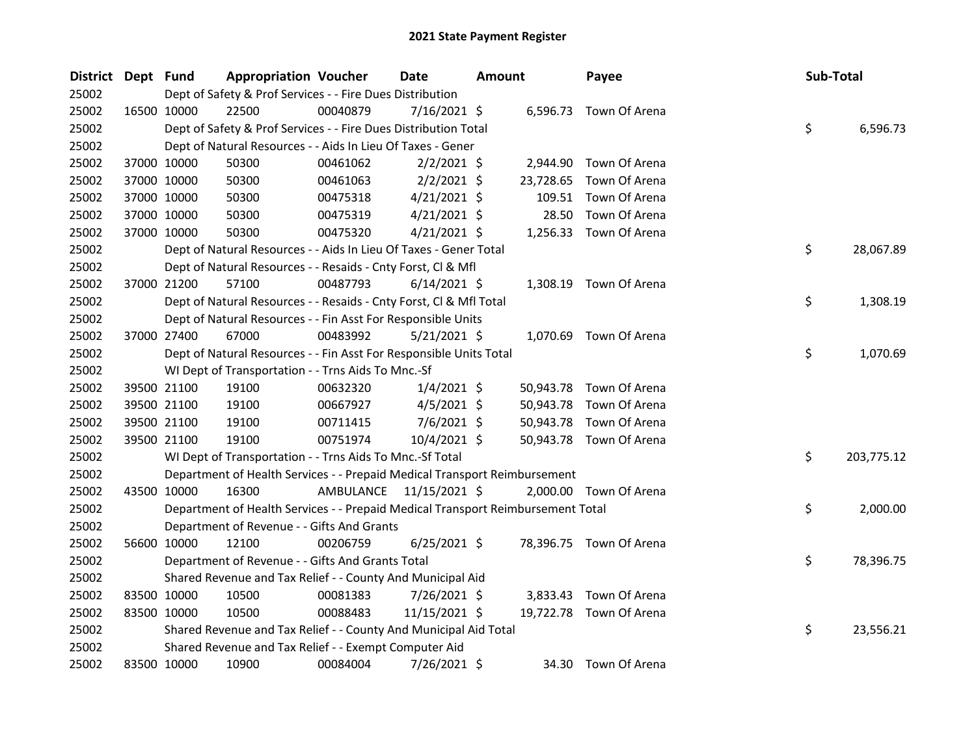| District Dept Fund | <b>Appropriation Voucher</b>                                                    |          | <b>Date</b>             | <b>Amount</b> |           | Payee                   | Sub-Total |            |
|--------------------|---------------------------------------------------------------------------------|----------|-------------------------|---------------|-----------|-------------------------|-----------|------------|
| 25002              | Dept of Safety & Prof Services - - Fire Dues Distribution                       |          |                         |               |           |                         |           |            |
| 25002              | 16500 10000<br>22500                                                            | 00040879 | $7/16/2021$ \$          |               |           | 6,596.73 Town Of Arena  |           |            |
| 25002              | Dept of Safety & Prof Services - - Fire Dues Distribution Total                 |          |                         |               |           |                         | \$        | 6,596.73   |
| 25002              | Dept of Natural Resources - - Aids In Lieu Of Taxes - Gener                     |          |                         |               |           |                         |           |            |
| 25002              | 37000 10000<br>50300                                                            | 00461062 | $2/2/2021$ \$           |               |           | 2,944.90 Town Of Arena  |           |            |
| 25002              | 37000 10000<br>50300                                                            | 00461063 | $2/2/2021$ \$           |               | 23,728.65 | Town Of Arena           |           |            |
| 25002              | 37000 10000<br>50300                                                            | 00475318 | $4/21/2021$ \$          |               | 109.51    | Town Of Arena           |           |            |
| 25002              | 37000 10000<br>50300                                                            | 00475319 | $4/21/2021$ \$          |               | 28.50     | Town Of Arena           |           |            |
| 25002              | 37000 10000<br>50300                                                            | 00475320 | $4/21/2021$ \$          |               |           | 1,256.33 Town Of Arena  |           |            |
| 25002              | Dept of Natural Resources - - Aids In Lieu Of Taxes - Gener Total               |          |                         |               |           |                         | \$        | 28,067.89  |
| 25002              | Dept of Natural Resources - - Resaids - Cnty Forst, Cl & Mfl                    |          |                         |               |           |                         |           |            |
| 25002              | 37000 21200<br>57100                                                            | 00487793 | $6/14/2021$ \$          |               |           | 1,308.19 Town Of Arena  |           |            |
| 25002              | Dept of Natural Resources - - Resaids - Cnty Forst, Cl & Mfl Total              |          |                         |               |           |                         | \$        | 1,308.19   |
| 25002              | Dept of Natural Resources - - Fin Asst For Responsible Units                    |          |                         |               |           |                         |           |            |
| 25002              | 37000 27400<br>67000                                                            | 00483992 | $5/21/2021$ \$          |               |           | 1,070.69 Town Of Arena  |           |            |
| 25002              | Dept of Natural Resources - - Fin Asst For Responsible Units Total              |          |                         |               |           |                         | \$        | 1,070.69   |
| 25002              | WI Dept of Transportation - - Trns Aids To Mnc.-Sf                              |          |                         |               |           |                         |           |            |
| 25002              | 39500 21100<br>19100                                                            | 00632320 | $1/4/2021$ \$           |               |           | 50,943.78 Town Of Arena |           |            |
| 25002              | 39500 21100<br>19100                                                            | 00667927 | $4/5/2021$ \$           |               |           | 50,943.78 Town Of Arena |           |            |
| 25002              | 39500 21100<br>19100                                                            | 00711415 | $7/6/2021$ \$           |               |           | 50,943.78 Town Of Arena |           |            |
| 25002              | 39500 21100<br>19100                                                            | 00751974 | $10/4/2021$ \$          |               |           | 50,943.78 Town Of Arena |           |            |
| 25002              | WI Dept of Transportation - - Trns Aids To Mnc.-Sf Total                        |          |                         |               |           |                         | \$        | 203,775.12 |
| 25002              | Department of Health Services - - Prepaid Medical Transport Reimbursement       |          |                         |               |           |                         |           |            |
| 25002              | 16300<br>43500 10000                                                            |          | AMBULANCE 11/15/2021 \$ |               |           | 2,000.00 Town Of Arena  |           |            |
| 25002              | Department of Health Services - - Prepaid Medical Transport Reimbursement Total |          |                         |               |           |                         | \$        | 2,000.00   |
| 25002              | Department of Revenue - - Gifts And Grants                                      |          |                         |               |           |                         |           |            |
| 25002              | 56600 10000<br>12100                                                            | 00206759 | $6/25/2021$ \$          |               |           | 78,396.75 Town Of Arena |           |            |
| 25002              | Department of Revenue - - Gifts And Grants Total                                |          |                         |               |           |                         | \$        | 78,396.75  |
| 25002              | Shared Revenue and Tax Relief - - County And Municipal Aid                      |          |                         |               |           |                         |           |            |
| 25002              | 83500 10000<br>10500                                                            | 00081383 | 7/26/2021 \$            |               |           | 3,833.43 Town Of Arena  |           |            |
| 25002              | 83500 10000<br>10500                                                            | 00088483 | 11/15/2021 \$           |               |           | 19,722.78 Town Of Arena |           |            |
| 25002              | Shared Revenue and Tax Relief - - County And Municipal Aid Total                |          |                         |               |           |                         | \$        | 23,556.21  |
| 25002              | Shared Revenue and Tax Relief - - Exempt Computer Aid                           |          |                         |               |           |                         |           |            |
| 25002              | 83500 10000<br>10900                                                            | 00084004 | 7/26/2021 \$            |               |           | 34.30 Town Of Arena     |           |            |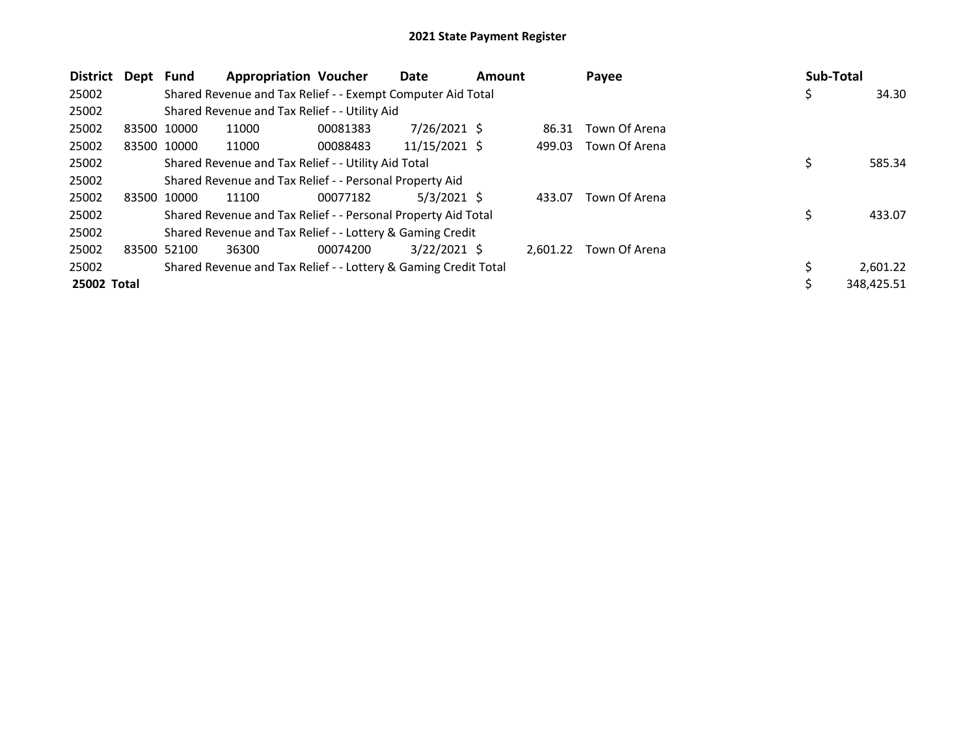| <b>District</b> | Dept        | Fund | <b>Appropriation Voucher</b>                                    |          | Date            | <b>Amount</b> |          | Payee         | Sub-Total |            |
|-----------------|-------------|------|-----------------------------------------------------------------|----------|-----------------|---------------|----------|---------------|-----------|------------|
| 25002           |             |      | Shared Revenue and Tax Relief - - Exempt Computer Aid Total     |          |                 |               |          |               | Ş         | 34.30      |
| 25002           |             |      | Shared Revenue and Tax Relief - - Utility Aid                   |          |                 |               |          |               |           |            |
| 25002           | 83500 10000 |      | 11000                                                           | 00081383 | $7/26/2021$ \$  |               | 86.31    | Town Of Arena |           |            |
| 25002           | 83500 10000 |      | 11000                                                           | 00088483 | $11/15/2021$ \$ |               | 499.03   | Town Of Arena |           |            |
| 25002           |             |      | Shared Revenue and Tax Relief - - Utility Aid Total             |          |                 |               |          |               | \$        | 585.34     |
| 25002           |             |      | Shared Revenue and Tax Relief - - Personal Property Aid         |          |                 |               |          |               |           |            |
| 25002           | 83500 10000 |      | 11100                                                           | 00077182 | $5/3/2021$ \$   |               | 433.07   | Town Of Arena |           |            |
| 25002           |             |      | Shared Revenue and Tax Relief - - Personal Property Aid Total   |          |                 |               |          |               | \$        | 433.07     |
| 25002           |             |      | Shared Revenue and Tax Relief - - Lottery & Gaming Credit       |          |                 |               |          |               |           |            |
| 25002           | 83500 52100 |      | 36300                                                           | 00074200 | $3/22/2021$ \$  |               | 2.601.22 | Town Of Arena |           |            |
| 25002           |             |      | Shared Revenue and Tax Relief - - Lottery & Gaming Credit Total |          |                 |               |          |               |           | 2,601.22   |
| 25002 Total     |             |      |                                                                 |          |                 |               |          |               |           | 348,425.51 |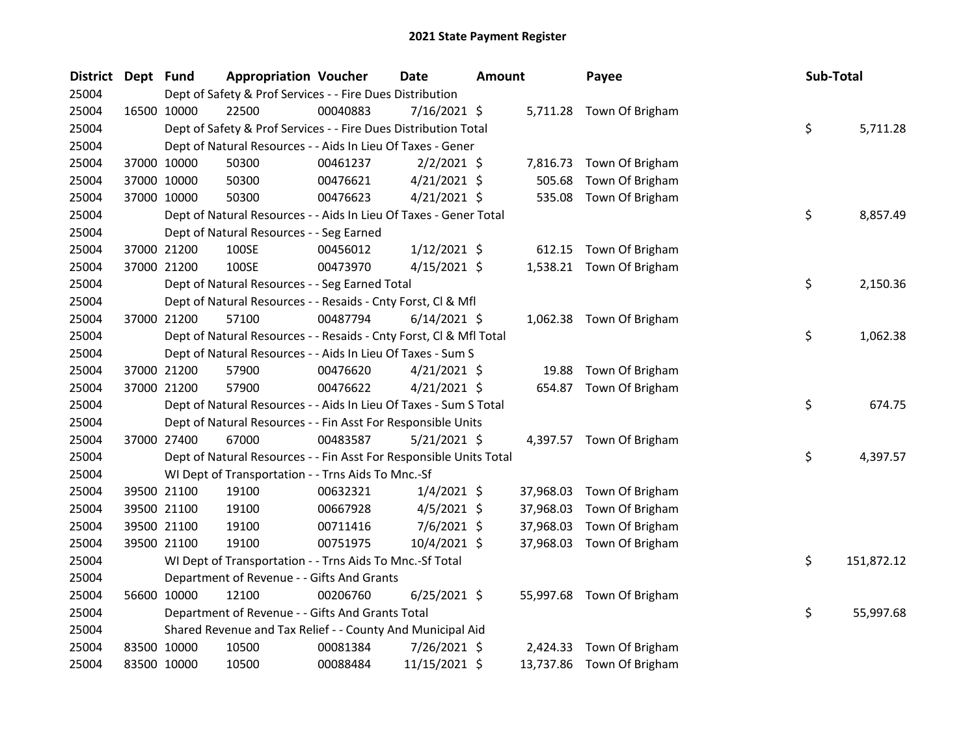| District Dept Fund |             | <b>Appropriation Voucher</b>                                       |          | <b>Date</b>    | <b>Amount</b> |           | Payee                     | Sub-Total |            |
|--------------------|-------------|--------------------------------------------------------------------|----------|----------------|---------------|-----------|---------------------------|-----------|------------|
| 25004              |             | Dept of Safety & Prof Services - - Fire Dues Distribution          |          |                |               |           |                           |           |            |
| 25004              | 16500 10000 | 22500                                                              | 00040883 | $7/16/2021$ \$ |               |           | 5,711.28 Town Of Brigham  |           |            |
| 25004              |             | Dept of Safety & Prof Services - - Fire Dues Distribution Total    |          |                |               |           |                           | \$        | 5,711.28   |
| 25004              |             | Dept of Natural Resources - - Aids In Lieu Of Taxes - Gener        |          |                |               |           |                           |           |            |
| 25004              | 37000 10000 | 50300                                                              | 00461237 | $2/2/2021$ \$  |               | 7,816.73  | Town Of Brigham           |           |            |
| 25004              | 37000 10000 | 50300                                                              | 00476621 | $4/21/2021$ \$ |               | 505.68    | Town Of Brigham           |           |            |
| 25004              | 37000 10000 | 50300                                                              | 00476623 | $4/21/2021$ \$ |               | 535.08    | Town Of Brigham           |           |            |
| 25004              |             | Dept of Natural Resources - - Aids In Lieu Of Taxes - Gener Total  |          |                |               |           |                           | \$        | 8,857.49   |
| 25004              |             | Dept of Natural Resources - - Seg Earned                           |          |                |               |           |                           |           |            |
| 25004              | 37000 21200 | 100SE                                                              | 00456012 | $1/12/2021$ \$ |               | 612.15    | Town Of Brigham           |           |            |
| 25004              | 37000 21200 | 100SE                                                              | 00473970 | $4/15/2021$ \$ |               |           | 1,538.21 Town Of Brigham  |           |            |
| 25004              |             | Dept of Natural Resources - - Seg Earned Total                     |          |                |               |           |                           | \$        | 2,150.36   |
| 25004              |             | Dept of Natural Resources - - Resaids - Cnty Forst, Cl & Mfl       |          |                |               |           |                           |           |            |
| 25004              | 37000 21200 | 57100                                                              | 00487794 | $6/14/2021$ \$ |               |           | 1,062.38 Town Of Brigham  |           |            |
| 25004              |             | Dept of Natural Resources - - Resaids - Cnty Forst, Cl & Mfl Total |          |                |               |           |                           | \$        | 1,062.38   |
| 25004              |             | Dept of Natural Resources - - Aids In Lieu Of Taxes - Sum S        |          |                |               |           |                           |           |            |
| 25004              | 37000 21200 | 57900                                                              | 00476620 | $4/21/2021$ \$ |               | 19.88     | Town Of Brigham           |           |            |
| 25004              | 37000 21200 | 57900                                                              | 00476622 | $4/21/2021$ \$ |               | 654.87    | Town Of Brigham           |           |            |
| 25004              |             | Dept of Natural Resources - - Aids In Lieu Of Taxes - Sum S Total  |          |                |               |           |                           | \$        | 674.75     |
| 25004              |             | Dept of Natural Resources - - Fin Asst For Responsible Units       |          |                |               |           |                           |           |            |
| 25004              | 37000 27400 | 67000                                                              | 00483587 | $5/21/2021$ \$ |               |           | 4,397.57 Town Of Brigham  |           |            |
| 25004              |             | Dept of Natural Resources - - Fin Asst For Responsible Units Total |          |                |               |           |                           | \$        | 4,397.57   |
| 25004              |             | WI Dept of Transportation - - Trns Aids To Mnc.-Sf                 |          |                |               |           |                           |           |            |
| 25004              | 39500 21100 | 19100                                                              | 00632321 | $1/4/2021$ \$  |               | 37,968.03 | Town Of Brigham           |           |            |
| 25004              | 39500 21100 | 19100                                                              | 00667928 | $4/5/2021$ \$  |               | 37,968.03 | Town Of Brigham           |           |            |
| 25004              | 39500 21100 | 19100                                                              | 00711416 | 7/6/2021 \$    |               | 37,968.03 | Town Of Brigham           |           |            |
| 25004              | 39500 21100 | 19100                                                              | 00751975 | 10/4/2021 \$   |               | 37,968.03 | Town Of Brigham           |           |            |
| 25004              |             | WI Dept of Transportation - - Trns Aids To Mnc.-Sf Total           |          |                |               |           |                           | \$        | 151,872.12 |
| 25004              |             | Department of Revenue - - Gifts And Grants                         |          |                |               |           |                           |           |            |
| 25004              | 56600 10000 | 12100                                                              | 00206760 | $6/25/2021$ \$ |               |           | 55,997.68 Town Of Brigham |           |            |
| 25004              |             | Department of Revenue - - Gifts And Grants Total                   |          |                |               |           |                           | \$        | 55,997.68  |
| 25004              |             | Shared Revenue and Tax Relief - - County And Municipal Aid         |          |                |               |           |                           |           |            |
| 25004              | 83500 10000 | 10500                                                              | 00081384 | 7/26/2021 \$   |               | 2,424.33  | Town Of Brigham           |           |            |
| 25004              | 83500 10000 | 10500                                                              | 00088484 | 11/15/2021 \$  |               | 13,737.86 | Town Of Brigham           |           |            |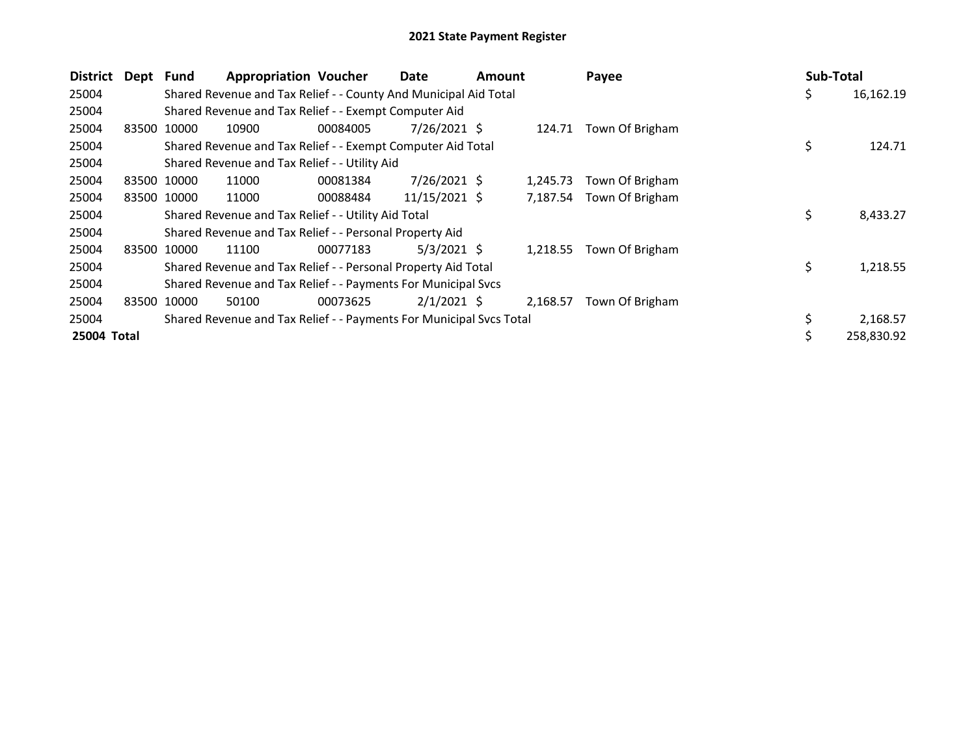| <b>District</b> | Dept Fund   |             | <b>Appropriation Voucher</b>                                        |          | Date           | <b>Amount</b> |          | Payee                    | Sub-Total |            |
|-----------------|-------------|-------------|---------------------------------------------------------------------|----------|----------------|---------------|----------|--------------------------|-----------|------------|
| 25004           |             |             | Shared Revenue and Tax Relief - - County And Municipal Aid Total    |          |                |               |          |                          | \$        | 16,162.19  |
| 25004           |             |             | Shared Revenue and Tax Relief - - Exempt Computer Aid               |          |                |               |          |                          |           |            |
| 25004           | 83500       | 10000       | 10900                                                               | 00084005 | $7/26/2021$ \$ |               | 124.71   | Town Of Brigham          |           |            |
| 25004           |             |             | Shared Revenue and Tax Relief - - Exempt Computer Aid Total         |          |                |               |          |                          | \$        | 124.71     |
| 25004           |             |             | Shared Revenue and Tax Relief - - Utility Aid                       |          |                |               |          |                          |           |            |
| 25004           | 83500       | 10000       | 11000                                                               | 00081384 | $7/26/2021$ \$ |               | 1,245.73 | Town Of Brigham          |           |            |
| 25004           |             | 83500 10000 | 11000                                                               | 00088484 | 11/15/2021 \$  |               |          | 7,187.54 Town Of Brigham |           |            |
| 25004           |             |             | Shared Revenue and Tax Relief - - Utility Aid Total                 |          |                |               |          |                          | \$        | 8,433.27   |
| 25004           |             |             | Shared Revenue and Tax Relief - - Personal Property Aid             |          |                |               |          |                          |           |            |
| 25004           |             | 83500 10000 | 11100                                                               | 00077183 | $5/3/2021$ \$  |               |          | 1,218.55 Town Of Brigham |           |            |
| 25004           |             |             | Shared Revenue and Tax Relief - - Personal Property Aid Total       |          |                |               |          |                          | \$        | 1,218.55   |
| 25004           |             |             | Shared Revenue and Tax Relief - - Payments For Municipal Svcs       |          |                |               |          |                          |           |            |
| 25004           | 83500 10000 |             | 50100                                                               | 00073625 | $2/1/2021$ \$  |               | 2,168.57 | Town Of Brigham          |           |            |
| 25004           |             |             | Shared Revenue and Tax Relief - - Payments For Municipal Svcs Total |          |                |               |          |                          |           | 2,168.57   |
| 25004 Total     |             |             |                                                                     |          |                |               |          |                          |           | 258,830.92 |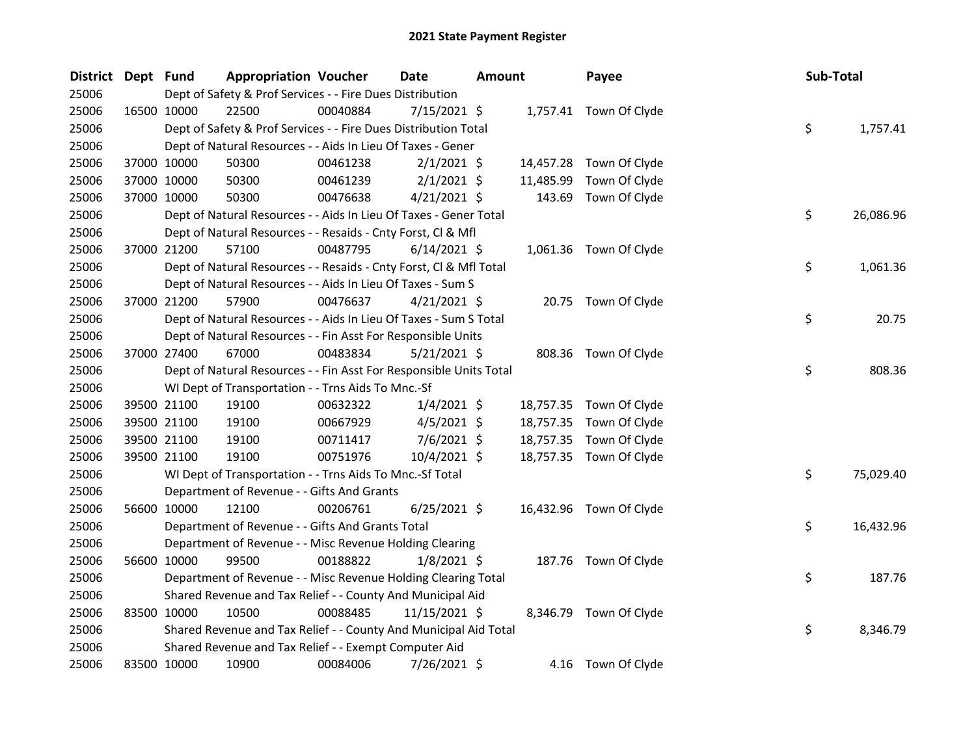| District Dept Fund |             |                                                                    | <b>Appropriation Voucher</b> | <b>Date</b>     | <b>Amount</b> | Payee                   | Sub-Total       |
|--------------------|-------------|--------------------------------------------------------------------|------------------------------|-----------------|---------------|-------------------------|-----------------|
| 25006              |             | Dept of Safety & Prof Services - - Fire Dues Distribution          |                              |                 |               |                         |                 |
| 25006              | 16500 10000 | 22500                                                              | 00040884                     | 7/15/2021 \$    |               | 1,757.41 Town Of Clyde  |                 |
| 25006              |             | Dept of Safety & Prof Services - - Fire Dues Distribution Total    |                              |                 |               |                         | \$<br>1,757.41  |
| 25006              |             | Dept of Natural Resources - - Aids In Lieu Of Taxes - Gener        |                              |                 |               |                         |                 |
| 25006              |             | 37000 10000<br>50300                                               | 00461238                     | $2/1/2021$ \$   |               | 14,457.28 Town Of Clyde |                 |
| 25006              | 37000 10000 | 50300                                                              | 00461239                     | $2/1/2021$ \$   | 11,485.99     | Town Of Clyde           |                 |
| 25006              |             | 37000 10000<br>50300                                               | 00476638                     | $4/21/2021$ \$  | 143.69        | Town Of Clyde           |                 |
| 25006              |             | Dept of Natural Resources - - Aids In Lieu Of Taxes - Gener Total  |                              |                 |               |                         | \$<br>26,086.96 |
| 25006              |             | Dept of Natural Resources - - Resaids - Cnty Forst, Cl & Mfl       |                              |                 |               |                         |                 |
| 25006              | 37000 21200 | 57100                                                              | 00487795                     | $6/14/2021$ \$  |               | 1,061.36 Town Of Clyde  |                 |
| 25006              |             | Dept of Natural Resources - - Resaids - Cnty Forst, Cl & Mfl Total |                              |                 |               |                         | \$<br>1,061.36  |
| 25006              |             | Dept of Natural Resources - - Aids In Lieu Of Taxes - Sum S        |                              |                 |               |                         |                 |
| 25006              | 37000 21200 | 57900                                                              | 00476637                     | $4/21/2021$ \$  |               | 20.75 Town Of Clyde     |                 |
| 25006              |             | Dept of Natural Resources - - Aids In Lieu Of Taxes - Sum S Total  |                              |                 |               |                         | \$<br>20.75     |
| 25006              |             | Dept of Natural Resources - - Fin Asst For Responsible Units       |                              |                 |               |                         |                 |
| 25006              | 37000 27400 | 67000                                                              | 00483834                     | $5/21/2021$ \$  |               | 808.36 Town Of Clyde    |                 |
| 25006              |             | Dept of Natural Resources - - Fin Asst For Responsible Units Total |                              |                 |               |                         | \$<br>808.36    |
| 25006              |             | WI Dept of Transportation - - Trns Aids To Mnc.-Sf                 |                              |                 |               |                         |                 |
| 25006              |             | 39500 21100<br>19100                                               | 00632322                     | $1/4/2021$ \$   |               | 18,757.35 Town Of Clyde |                 |
| 25006              |             | 39500 21100<br>19100                                               | 00667929                     | $4/5/2021$ \$   |               | 18,757.35 Town Of Clyde |                 |
| 25006              | 39500 21100 | 19100                                                              | 00711417                     | $7/6/2021$ \$   |               | 18,757.35 Town Of Clyde |                 |
| 25006              |             | 19100<br>39500 21100                                               | 00751976                     | $10/4/2021$ \$  |               | 18,757.35 Town Of Clyde |                 |
| 25006              |             | WI Dept of Transportation - - Trns Aids To Mnc.-Sf Total           |                              |                 |               |                         | \$<br>75,029.40 |
| 25006              |             | Department of Revenue - - Gifts And Grants                         |                              |                 |               |                         |                 |
| 25006              |             | 56600 10000<br>12100                                               | 00206761                     | $6/25/2021$ \$  |               | 16,432.96 Town Of Clyde |                 |
| 25006              |             | Department of Revenue - - Gifts And Grants Total                   |                              |                 |               |                         | \$<br>16,432.96 |
| 25006              |             | Department of Revenue - - Misc Revenue Holding Clearing            |                              |                 |               |                         |                 |
| 25006              |             | 56600 10000<br>99500                                               | 00188822                     | $1/8/2021$ \$   |               | 187.76 Town Of Clyde    |                 |
| 25006              |             | Department of Revenue - - Misc Revenue Holding Clearing Total      |                              |                 |               |                         | \$<br>187.76    |
| 25006              |             | Shared Revenue and Tax Relief - - County And Municipal Aid         |                              |                 |               |                         |                 |
| 25006              | 83500 10000 | 10500                                                              | 00088485                     | $11/15/2021$ \$ |               | 8,346.79 Town Of Clyde  |                 |
| 25006              |             | Shared Revenue and Tax Relief - - County And Municipal Aid Total   |                              |                 |               |                         | \$<br>8,346.79  |
| 25006              |             | Shared Revenue and Tax Relief - - Exempt Computer Aid              |                              |                 |               |                         |                 |
| 25006              | 83500 10000 | 10900                                                              | 00084006                     | 7/26/2021 \$    |               | 4.16 Town Of Clyde      |                 |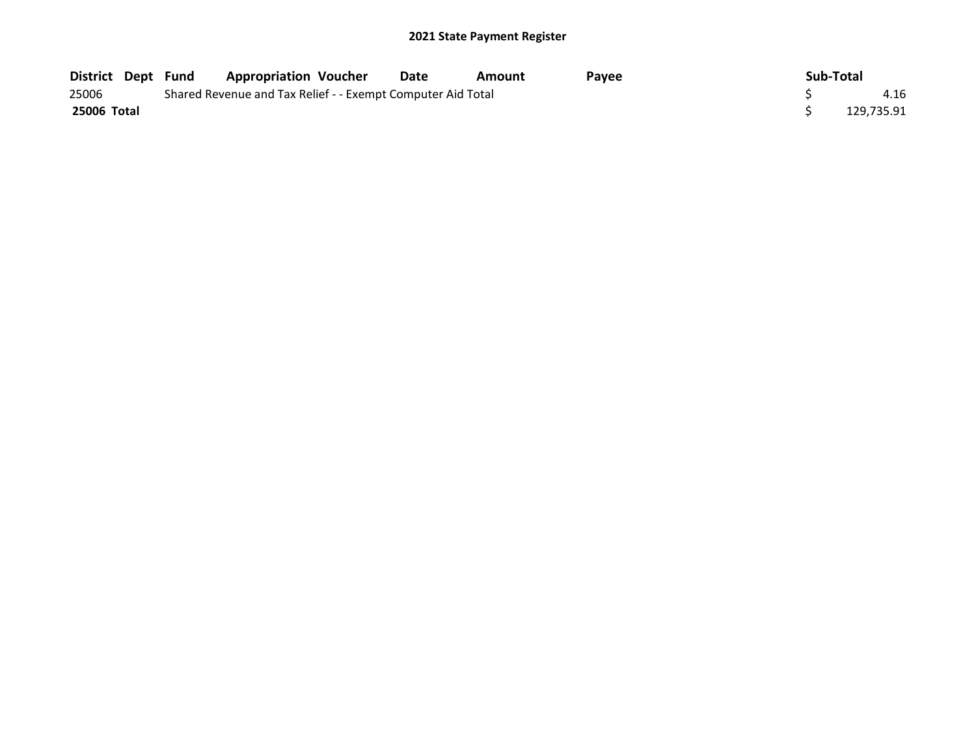| <b>District Dept Fund</b> |  | <b>Appropriation Voucher</b>                                | Date | Amount | Payee | Sub-Total |            |
|---------------------------|--|-------------------------------------------------------------|------|--------|-------|-----------|------------|
| 25006                     |  | Shared Revenue and Tax Relief - - Exempt Computer Aid Total |      |        |       |           | 4.16       |
| 25006 Total               |  |                                                             |      |        |       |           | 129,735.91 |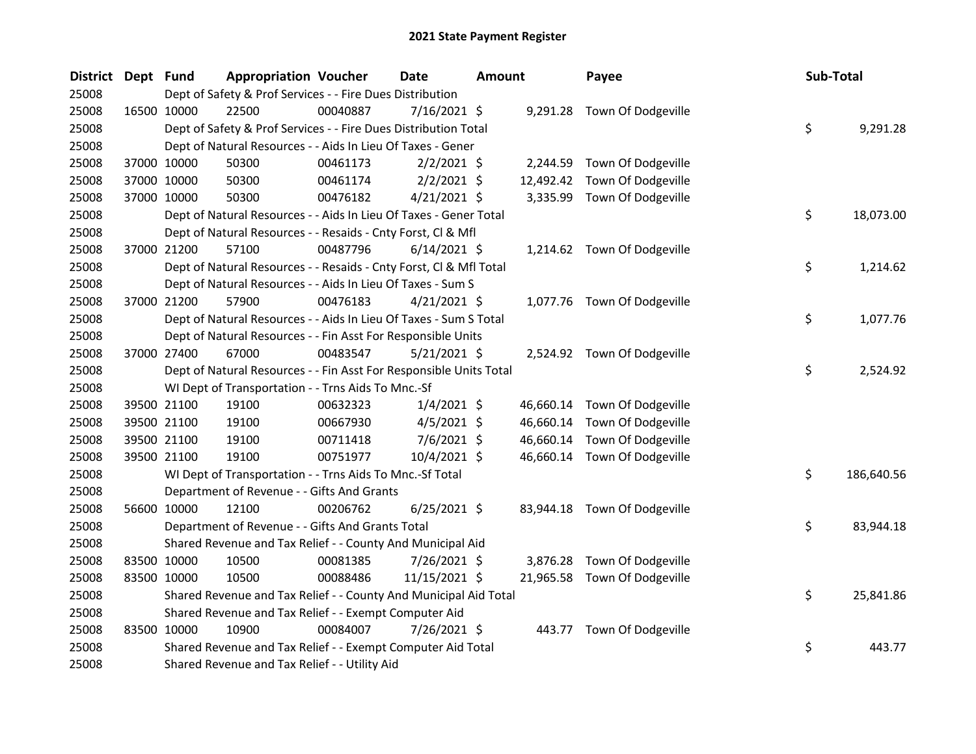| District Dept Fund |             |             | <b>Appropriation Voucher</b>                                       |          | <b>Date</b>    | <b>Amount</b> |           | Payee                        | Sub-Total |            |
|--------------------|-------------|-------------|--------------------------------------------------------------------|----------|----------------|---------------|-----------|------------------------------|-----------|------------|
| 25008              |             |             | Dept of Safety & Prof Services - - Fire Dues Distribution          |          |                |               |           |                              |           |            |
| 25008              | 16500 10000 |             | 22500                                                              | 00040887 | $7/16/2021$ \$ |               |           | 9,291.28 Town Of Dodgeville  |           |            |
| 25008              |             |             | Dept of Safety & Prof Services - - Fire Dues Distribution Total    |          |                |               |           |                              | \$        | 9,291.28   |
| 25008              |             |             | Dept of Natural Resources - - Aids In Lieu Of Taxes - Gener        |          |                |               |           |                              |           |            |
| 25008              |             | 37000 10000 | 50300                                                              | 00461173 | $2/2/2021$ \$  |               |           | 2,244.59 Town Of Dodgeville  |           |            |
| 25008              |             | 37000 10000 | 50300                                                              | 00461174 | $2/2/2021$ \$  |               | 12,492.42 | Town Of Dodgeville           |           |            |
| 25008              |             | 37000 10000 | 50300                                                              | 00476182 | $4/21/2021$ \$ |               |           | 3,335.99 Town Of Dodgeville  |           |            |
| 25008              |             |             | Dept of Natural Resources - - Aids In Lieu Of Taxes - Gener Total  |          |                |               |           |                              | \$        | 18,073.00  |
| 25008              |             |             | Dept of Natural Resources - - Resaids - Cnty Forst, Cl & Mfl       |          |                |               |           |                              |           |            |
| 25008              |             | 37000 21200 | 57100                                                              | 00487796 | $6/14/2021$ \$ |               |           | 1,214.62 Town Of Dodgeville  |           |            |
| 25008              |             |             | Dept of Natural Resources - - Resaids - Cnty Forst, Cl & Mfl Total |          |                |               |           |                              | \$        | 1,214.62   |
| 25008              |             |             | Dept of Natural Resources - - Aids In Lieu Of Taxes - Sum S        |          |                |               |           |                              |           |            |
| 25008              |             | 37000 21200 | 57900                                                              | 00476183 | $4/21/2021$ \$ |               |           | 1,077.76 Town Of Dodgeville  |           |            |
| 25008              |             |             | Dept of Natural Resources - - Aids In Lieu Of Taxes - Sum S Total  |          |                |               |           |                              | \$        | 1,077.76   |
| 25008              |             |             | Dept of Natural Resources - - Fin Asst For Responsible Units       |          |                |               |           |                              |           |            |
| 25008              |             | 37000 27400 | 67000                                                              | 00483547 | $5/21/2021$ \$ |               |           | 2,524.92 Town Of Dodgeville  |           |            |
| 25008              |             |             | Dept of Natural Resources - - Fin Asst For Responsible Units Total |          |                |               |           |                              | \$        | 2,524.92   |
| 25008              |             |             | WI Dept of Transportation - - Trns Aids To Mnc.-Sf                 |          |                |               |           |                              |           |            |
| 25008              |             | 39500 21100 | 19100                                                              | 00632323 | $1/4/2021$ \$  |               |           | 46,660.14 Town Of Dodgeville |           |            |
| 25008              |             | 39500 21100 | 19100                                                              | 00667930 | $4/5/2021$ \$  |               |           | 46,660.14 Town Of Dodgeville |           |            |
| 25008              |             | 39500 21100 | 19100                                                              | 00711418 | 7/6/2021 \$    |               | 46,660.14 | Town Of Dodgeville           |           |            |
| 25008              |             | 39500 21100 | 19100                                                              | 00751977 | 10/4/2021 \$   |               |           | 46,660.14 Town Of Dodgeville |           |            |
| 25008              |             |             | WI Dept of Transportation - - Trns Aids To Mnc.-Sf Total           |          |                |               |           |                              | \$        | 186,640.56 |
| 25008              |             |             | Department of Revenue - - Gifts And Grants                         |          |                |               |           |                              |           |            |
| 25008              |             | 56600 10000 | 12100                                                              | 00206762 | $6/25/2021$ \$ |               |           | 83,944.18 Town Of Dodgeville |           |            |
| 25008              |             |             | Department of Revenue - - Gifts And Grants Total                   |          |                |               |           |                              | \$        | 83,944.18  |
| 25008              |             |             | Shared Revenue and Tax Relief - - County And Municipal Aid         |          |                |               |           |                              |           |            |
| 25008              |             | 83500 10000 | 10500                                                              | 00081385 | 7/26/2021 \$   |               | 3,876.28  | Town Of Dodgeville           |           |            |
| 25008              |             | 83500 10000 | 10500                                                              | 00088486 | 11/15/2021 \$  |               |           | 21,965.58 Town Of Dodgeville |           |            |
| 25008              |             |             | Shared Revenue and Tax Relief - - County And Municipal Aid Total   |          |                |               |           |                              | \$        | 25,841.86  |
| 25008              |             |             | Shared Revenue and Tax Relief - - Exempt Computer Aid              |          |                |               |           |                              |           |            |
| 25008              |             | 83500 10000 | 10900                                                              | 00084007 | 7/26/2021 \$   |               |           | 443.77 Town Of Dodgeville    |           |            |
| 25008              |             |             | Shared Revenue and Tax Relief - - Exempt Computer Aid Total        |          |                |               |           |                              | \$        | 443.77     |
| 25008              |             |             | Shared Revenue and Tax Relief - - Utility Aid                      |          |                |               |           |                              |           |            |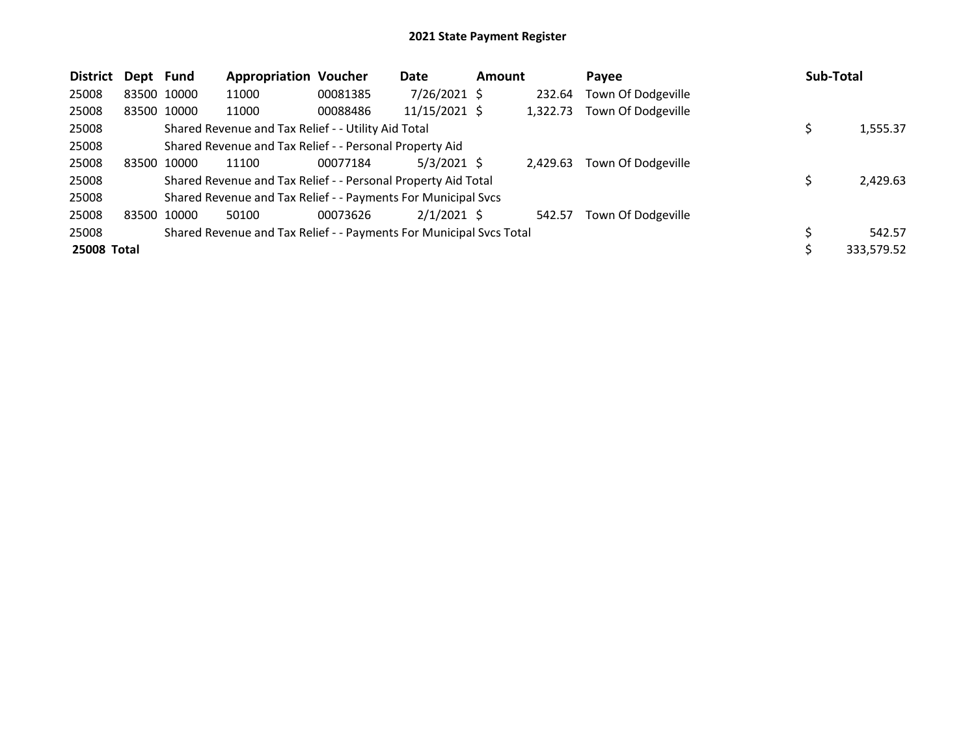| <b>District</b> | Dept Fund |             | <b>Appropriation Voucher</b>                                        |          | Date           | <b>Amount</b> |          | Payee              | <b>Sub-Total</b> |  |
|-----------------|-----------|-------------|---------------------------------------------------------------------|----------|----------------|---------------|----------|--------------------|------------------|--|
| 25008           |           | 83500 10000 | 11000                                                               | 00081385 | $7/26/2021$ \$ |               | 232.64   | Town Of Dodgeville |                  |  |
| 25008           |           | 83500 10000 | 11000                                                               | 00088486 | 11/15/2021 \$  |               | 1,322.73 | Town Of Dodgeville |                  |  |
| 25008           |           |             | Shared Revenue and Tax Relief - - Utility Aid Total                 |          |                |               |          |                    | 1,555.37         |  |
| 25008           |           |             | Shared Revenue and Tax Relief - - Personal Property Aid             |          |                |               |          |                    |                  |  |
| 25008           |           | 83500 10000 | 11100                                                               | 00077184 | $5/3/2021$ \$  |               | 2.429.63 | Town Of Dodgeville |                  |  |
| 25008           |           |             | Shared Revenue and Tax Relief - - Personal Property Aid Total       |          |                |               |          |                    | 2,429.63         |  |
| 25008           |           |             | Shared Revenue and Tax Relief - - Payments For Municipal Svcs       |          |                |               |          |                    |                  |  |
| 25008           |           | 83500 10000 | 50100                                                               | 00073626 | $2/1/2021$ \$  |               | 542.57   | Town Of Dodgeville |                  |  |
| 25008           |           |             | Shared Revenue and Tax Relief - - Payments For Municipal Svcs Total |          |                |               |          |                    | 542.57           |  |
| 25008 Total     |           |             |                                                                     |          |                |               |          |                    | 333,579.52       |  |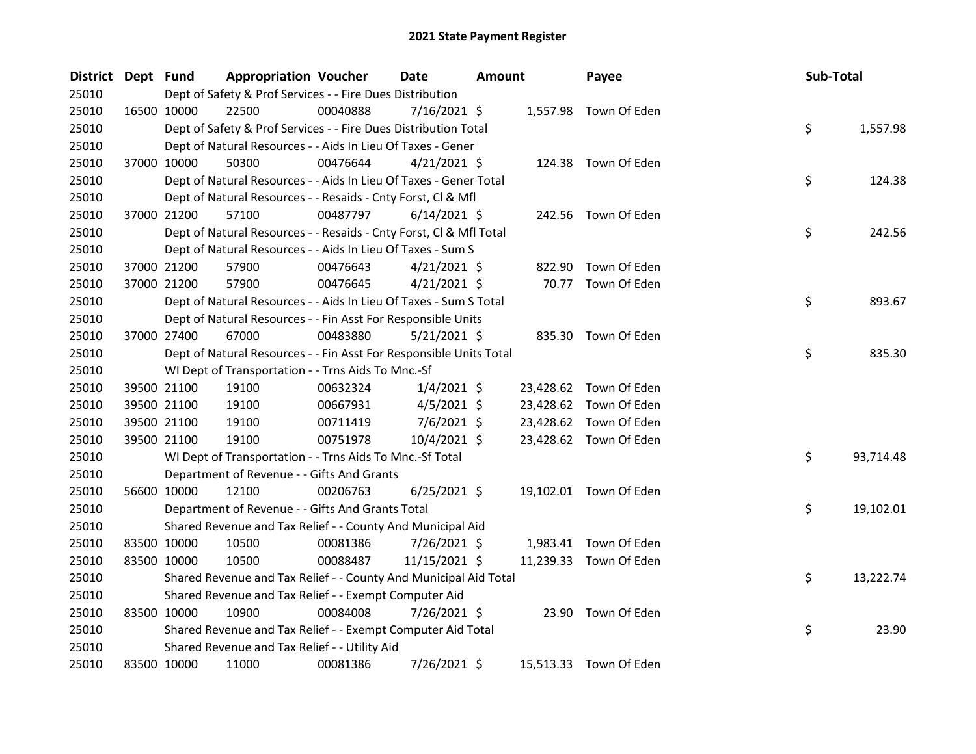| District Dept Fund |             | <b>Appropriation Voucher</b>                                       |          | <b>Date</b>    | Amount |        | Payee                  | Sub-Total |           |
|--------------------|-------------|--------------------------------------------------------------------|----------|----------------|--------|--------|------------------------|-----------|-----------|
| 25010              |             | Dept of Safety & Prof Services - - Fire Dues Distribution          |          |                |        |        |                        |           |           |
| 25010              | 16500 10000 | 22500                                                              | 00040888 | $7/16/2021$ \$ |        |        | 1,557.98 Town Of Eden  |           |           |
| 25010              |             | Dept of Safety & Prof Services - - Fire Dues Distribution Total    |          |                |        |        |                        | \$        | 1,557.98  |
| 25010              |             | Dept of Natural Resources - - Aids In Lieu Of Taxes - Gener        |          |                |        |        |                        |           |           |
| 25010              | 37000 10000 | 50300                                                              | 00476644 | $4/21/2021$ \$ |        |        | 124.38 Town Of Eden    |           |           |
| 25010              |             | Dept of Natural Resources - - Aids In Lieu Of Taxes - Gener Total  |          |                |        |        |                        | \$        | 124.38    |
| 25010              |             | Dept of Natural Resources - - Resaids - Cnty Forst, Cl & Mfl       |          |                |        |        |                        |           |           |
| 25010              | 37000 21200 | 57100                                                              | 00487797 | $6/14/2021$ \$ |        |        | 242.56 Town Of Eden    |           |           |
| 25010              |             | Dept of Natural Resources - - Resaids - Cnty Forst, Cl & Mfl Total |          |                |        |        |                        | \$        | 242.56    |
| 25010              |             | Dept of Natural Resources - - Aids In Lieu Of Taxes - Sum S        |          |                |        |        |                        |           |           |
| 25010              | 37000 21200 | 57900                                                              | 00476643 | $4/21/2021$ \$ |        | 822.90 | Town Of Eden           |           |           |
| 25010              | 37000 21200 | 57900                                                              | 00476645 | $4/21/2021$ \$ |        |        | 70.77 Town Of Eden     |           |           |
| 25010              |             | Dept of Natural Resources - - Aids In Lieu Of Taxes - Sum S Total  |          |                |        |        |                        | \$        | 893.67    |
| 25010              |             | Dept of Natural Resources - - Fin Asst For Responsible Units       |          |                |        |        |                        |           |           |
| 25010              | 37000 27400 | 67000                                                              | 00483880 | $5/21/2021$ \$ |        |        | 835.30 Town Of Eden    |           |           |
| 25010              |             | Dept of Natural Resources - - Fin Asst For Responsible Units Total |          |                |        |        |                        | \$        | 835.30    |
| 25010              |             | WI Dept of Transportation - - Trns Aids To Mnc.-Sf                 |          |                |        |        |                        |           |           |
| 25010              | 39500 21100 | 19100                                                              | 00632324 | $1/4/2021$ \$  |        |        | 23,428.62 Town Of Eden |           |           |
| 25010              | 39500 21100 | 19100                                                              | 00667931 | $4/5/2021$ \$  |        |        | 23,428.62 Town Of Eden |           |           |
| 25010              | 39500 21100 | 19100                                                              | 00711419 | $7/6/2021$ \$  |        |        | 23,428.62 Town Of Eden |           |           |
| 25010              | 39500 21100 | 19100                                                              | 00751978 | 10/4/2021 \$   |        |        | 23,428.62 Town Of Eden |           |           |
| 25010              |             | WI Dept of Transportation - - Trns Aids To Mnc.-Sf Total           |          |                |        |        |                        | \$        | 93,714.48 |
| 25010              |             | Department of Revenue - - Gifts And Grants                         |          |                |        |        |                        |           |           |
| 25010              | 56600 10000 | 12100                                                              | 00206763 | $6/25/2021$ \$ |        |        | 19,102.01 Town Of Eden |           |           |
| 25010              |             | Department of Revenue - - Gifts And Grants Total                   |          |                |        |        |                        | \$        | 19,102.01 |
| 25010              |             | Shared Revenue and Tax Relief - - County And Municipal Aid         |          |                |        |        |                        |           |           |
| 25010              | 83500 10000 | 10500                                                              | 00081386 | 7/26/2021 \$   |        |        | 1,983.41 Town Of Eden  |           |           |
| 25010              | 83500 10000 | 10500                                                              | 00088487 | 11/15/2021 \$  |        |        | 11,239.33 Town Of Eden |           |           |
| 25010              |             | Shared Revenue and Tax Relief - - County And Municipal Aid Total   |          |                |        |        |                        | \$        | 13,222.74 |
| 25010              |             | Shared Revenue and Tax Relief - - Exempt Computer Aid              |          |                |        |        |                        |           |           |
| 25010              | 83500 10000 | 10900                                                              | 00084008 | 7/26/2021 \$   |        |        | 23.90 Town Of Eden     |           |           |
| 25010              |             | Shared Revenue and Tax Relief - - Exempt Computer Aid Total        |          |                |        |        |                        | \$        | 23.90     |
| 25010              |             | Shared Revenue and Tax Relief - - Utility Aid                      |          |                |        |        |                        |           |           |
| 25010              | 83500 10000 | 11000                                                              | 00081386 | 7/26/2021 \$   |        |        | 15,513.33 Town Of Eden |           |           |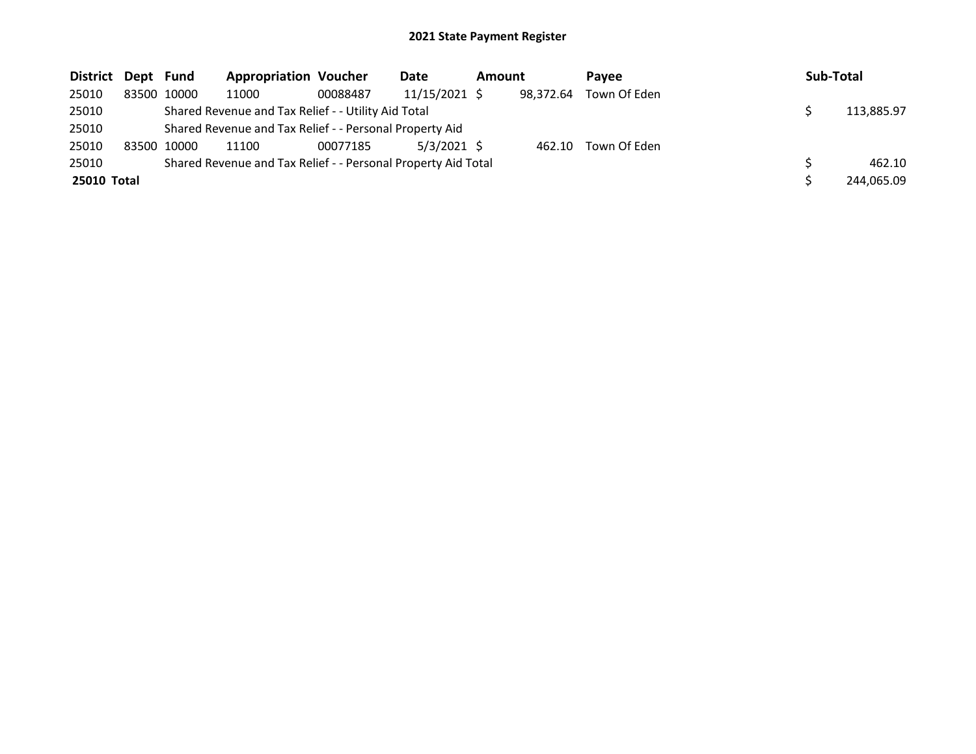| District Dept Fund |             |             | <b>Appropriation Voucher</b>                                  |          | Date          | <b>Amount</b> |           | Pavee        | Sub-Total |            |
|--------------------|-------------|-------------|---------------------------------------------------------------|----------|---------------|---------------|-----------|--------------|-----------|------------|
| 25010              |             | 83500 10000 | 11000                                                         | 00088487 | 11/15/2021 \$ |               | 98,372.64 | Town Of Eden |           |            |
| 25010              |             |             | Shared Revenue and Tax Relief - - Utility Aid Total           |          |               |               |           |              |           | 113,885.97 |
| 25010              |             |             | Shared Revenue and Tax Relief - - Personal Property Aid       |          |               |               |           |              |           |            |
| 25010              | 83500 10000 |             | 11100                                                         | 00077185 | $5/3/2021$ \$ |               | 462.10    | Town Of Eden |           |            |
| 25010              |             |             | Shared Revenue and Tax Relief - - Personal Property Aid Total |          |               |               |           |              |           | 462.10     |
| 25010 Total        |             |             |                                                               |          |               |               |           |              |           | 244,065.09 |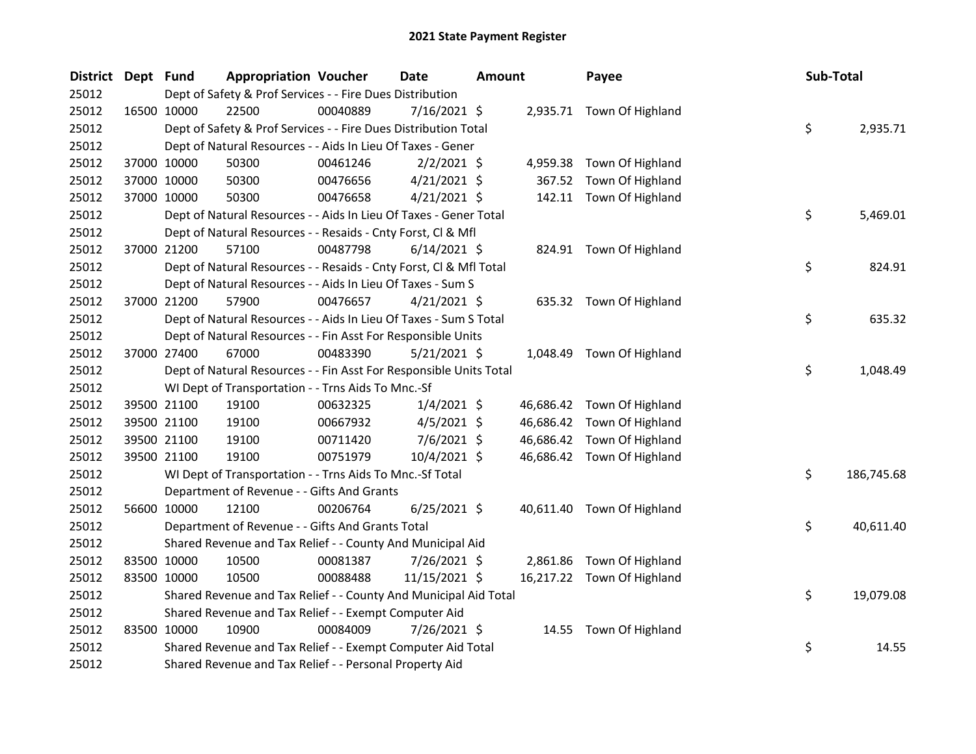| District Dept Fund |             | <b>Appropriation Voucher</b>                                       |          | <b>Date</b>    | <b>Amount</b> |           | Payee                      | Sub-Total |            |
|--------------------|-------------|--------------------------------------------------------------------|----------|----------------|---------------|-----------|----------------------------|-----------|------------|
| 25012              |             | Dept of Safety & Prof Services - - Fire Dues Distribution          |          |                |               |           |                            |           |            |
| 25012              | 16500 10000 | 22500                                                              | 00040889 | $7/16/2021$ \$ |               |           | 2,935.71 Town Of Highland  |           |            |
| 25012              |             | Dept of Safety & Prof Services - - Fire Dues Distribution Total    |          |                |               |           |                            | \$        | 2,935.71   |
| 25012              |             | Dept of Natural Resources - - Aids In Lieu Of Taxes - Gener        |          |                |               |           |                            |           |            |
| 25012              | 37000 10000 | 50300                                                              | 00461246 | $2/2/2021$ \$  |               | 4,959.38  | Town Of Highland           |           |            |
| 25012              | 37000 10000 | 50300                                                              | 00476656 | $4/21/2021$ \$ |               | 367.52    | Town Of Highland           |           |            |
| 25012              | 37000 10000 | 50300                                                              | 00476658 | $4/21/2021$ \$ |               |           | 142.11 Town Of Highland    |           |            |
| 25012              |             | Dept of Natural Resources - - Aids In Lieu Of Taxes - Gener Total  |          |                |               |           |                            | \$        | 5,469.01   |
| 25012              |             | Dept of Natural Resources - - Resaids - Cnty Forst, Cl & Mfl       |          |                |               |           |                            |           |            |
| 25012              | 37000 21200 | 57100                                                              | 00487798 | $6/14/2021$ \$ |               |           | 824.91 Town Of Highland    |           |            |
| 25012              |             | Dept of Natural Resources - - Resaids - Cnty Forst, CI & Mfl Total |          |                |               |           |                            | \$        | 824.91     |
| 25012              |             | Dept of Natural Resources - - Aids In Lieu Of Taxes - Sum S        |          |                |               |           |                            |           |            |
| 25012              | 37000 21200 | 57900                                                              | 00476657 | $4/21/2021$ \$ |               |           | 635.32 Town Of Highland    |           |            |
| 25012              |             | Dept of Natural Resources - - Aids In Lieu Of Taxes - Sum S Total  |          |                |               |           |                            | \$        | 635.32     |
| 25012              |             | Dept of Natural Resources - - Fin Asst For Responsible Units       |          |                |               |           |                            |           |            |
| 25012              | 37000 27400 | 67000                                                              | 00483390 | $5/21/2021$ \$ |               |           | 1,048.49 Town Of Highland  |           |            |
| 25012              |             | Dept of Natural Resources - - Fin Asst For Responsible Units Total |          |                |               |           |                            | \$        | 1,048.49   |
| 25012              |             | WI Dept of Transportation - - Trns Aids To Mnc.-Sf                 |          |                |               |           |                            |           |            |
| 25012              | 39500 21100 | 19100                                                              | 00632325 | $1/4/2021$ \$  |               |           | 46,686.42 Town Of Highland |           |            |
| 25012              | 39500 21100 | 19100                                                              | 00667932 | $4/5/2021$ \$  |               | 46,686.42 | Town Of Highland           |           |            |
| 25012              | 39500 21100 | 19100                                                              | 00711420 | $7/6/2021$ \$  |               | 46,686.42 | Town Of Highland           |           |            |
| 25012              | 39500 21100 | 19100                                                              | 00751979 | 10/4/2021 \$   |               |           | 46,686.42 Town Of Highland |           |            |
| 25012              |             | WI Dept of Transportation - - Trns Aids To Mnc.-Sf Total           |          |                |               |           |                            | \$        | 186,745.68 |
| 25012              |             | Department of Revenue - - Gifts And Grants                         |          |                |               |           |                            |           |            |
| 25012              | 56600 10000 | 12100                                                              | 00206764 | $6/25/2021$ \$ |               |           | 40,611.40 Town Of Highland |           |            |
| 25012              |             | Department of Revenue - - Gifts And Grants Total                   |          |                |               |           |                            | \$        | 40,611.40  |
| 25012              |             | Shared Revenue and Tax Relief - - County And Municipal Aid         |          |                |               |           |                            |           |            |
| 25012              | 83500 10000 | 10500                                                              | 00081387 | 7/26/2021 \$   |               | 2,861.86  | Town Of Highland           |           |            |
| 25012              | 83500 10000 | 10500                                                              | 00088488 | 11/15/2021 \$  |               |           | 16,217.22 Town Of Highland |           |            |
| 25012              |             | Shared Revenue and Tax Relief - - County And Municipal Aid Total   |          |                |               |           |                            | \$        | 19,079.08  |
| 25012              |             | Shared Revenue and Tax Relief - - Exempt Computer Aid              |          |                |               |           |                            |           |            |
| 25012              | 83500 10000 | 10900                                                              | 00084009 | 7/26/2021 \$   |               | 14.55     | Town Of Highland           |           |            |
| 25012              |             | Shared Revenue and Tax Relief - - Exempt Computer Aid Total        |          |                |               |           |                            | \$        | 14.55      |
| 25012              |             | Shared Revenue and Tax Relief - - Personal Property Aid            |          |                |               |           |                            |           |            |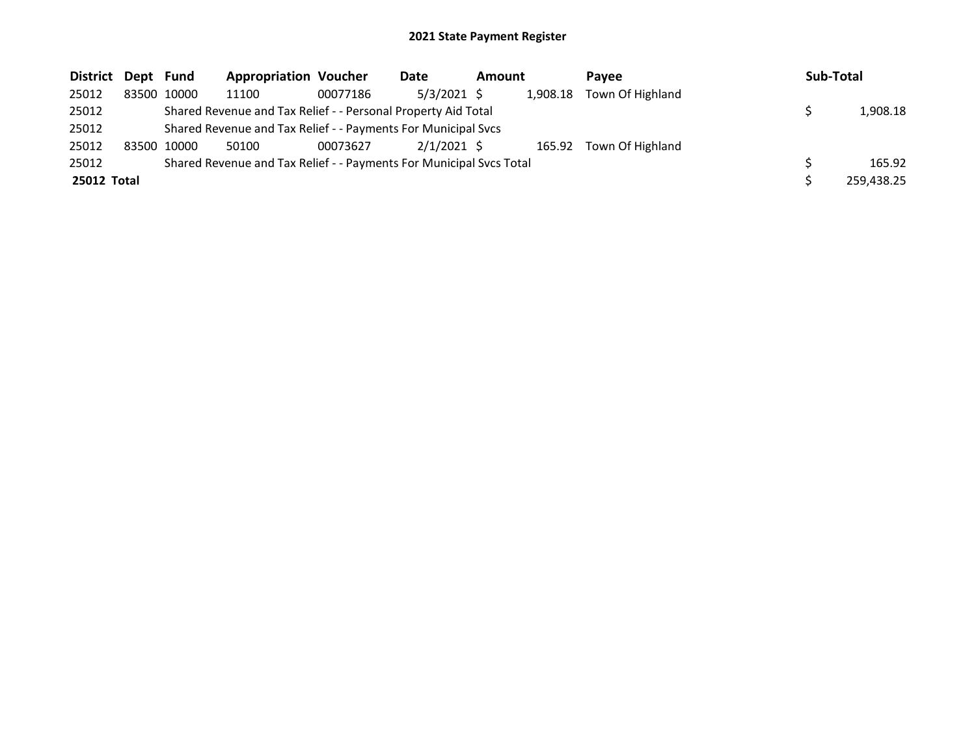| District    | Dept Fund |             | <b>Appropriation Voucher</b>                                        |          | Date          | Amount |  | Pavee                     | Sub-Total  |
|-------------|-----------|-------------|---------------------------------------------------------------------|----------|---------------|--------|--|---------------------------|------------|
| 25012       |           | 83500 10000 | 11100                                                               | 00077186 | 5/3/2021 \$   |        |  | 1,908.18 Town Of Highland |            |
| 25012       |           |             | Shared Revenue and Tax Relief - - Personal Property Aid Total       |          |               |        |  |                           | 1,908.18   |
| 25012       |           |             | Shared Revenue and Tax Relief - - Payments For Municipal Svcs       |          |               |        |  |                           |            |
| 25012       |           | 83500 10000 | 50100                                                               | 00073627 | $2/1/2021$ \$ |        |  | 165.92 Town Of Highland   |            |
| 25012       |           |             | Shared Revenue and Tax Relief - - Payments For Municipal Svcs Total |          |               |        |  |                           | 165.92     |
| 25012 Total |           |             |                                                                     |          |               |        |  |                           | 259,438.25 |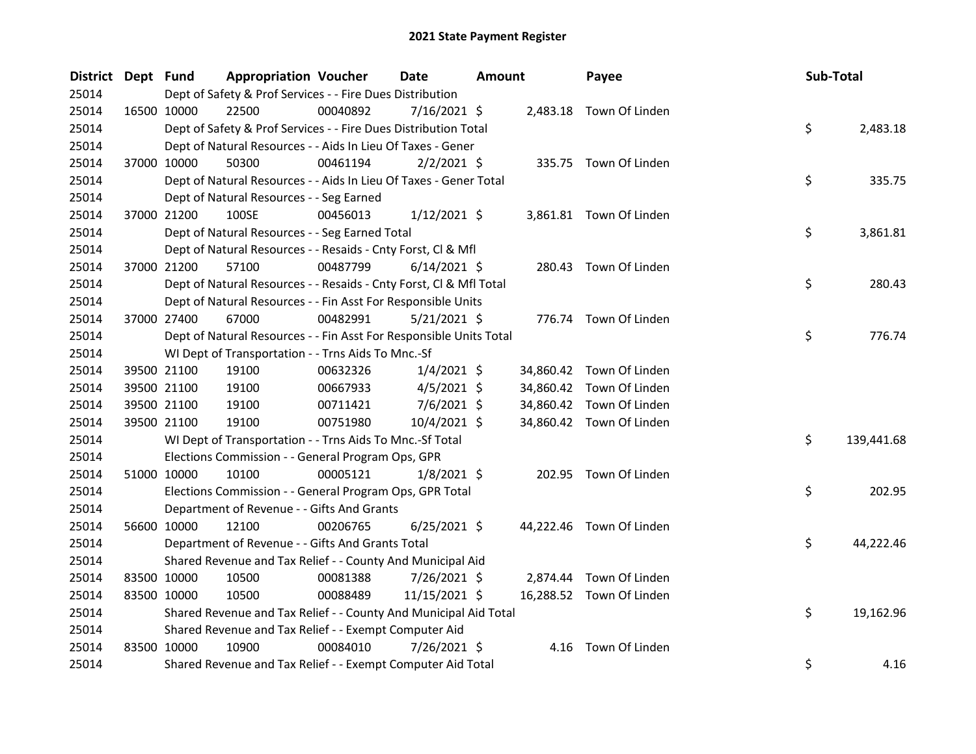| District Dept Fund | <b>Appropriation Voucher</b>                                       |          | Date           | <b>Amount</b> |           | Payee                    | Sub-Total |            |
|--------------------|--------------------------------------------------------------------|----------|----------------|---------------|-----------|--------------------------|-----------|------------|
| 25014              | Dept of Safety & Prof Services - - Fire Dues Distribution          |          |                |               |           |                          |           |            |
| 25014              | 16500 10000<br>22500                                               | 00040892 | 7/16/2021 \$   |               |           | 2,483.18 Town Of Linden  |           |            |
| 25014              | Dept of Safety & Prof Services - - Fire Dues Distribution Total    |          |                |               |           |                          | \$        | 2,483.18   |
| 25014              | Dept of Natural Resources - - Aids In Lieu Of Taxes - Gener        |          |                |               |           |                          |           |            |
| 25014              | 37000 10000<br>50300                                               | 00461194 | $2/2/2021$ \$  |               |           | 335.75 Town Of Linden    |           |            |
| 25014              | Dept of Natural Resources - - Aids In Lieu Of Taxes - Gener Total  |          |                |               |           |                          | \$        | 335.75     |
| 25014              | Dept of Natural Resources - - Seg Earned                           |          |                |               |           |                          |           |            |
| 25014              | 100SE<br>37000 21200                                               | 00456013 | $1/12/2021$ \$ |               |           | 3,861.81 Town Of Linden  |           |            |
| 25014              | Dept of Natural Resources - - Seg Earned Total                     |          |                |               |           |                          | \$        | 3,861.81   |
| 25014              | Dept of Natural Resources - - Resaids - Cnty Forst, Cl & Mfl       |          |                |               |           |                          |           |            |
| 25014              | 37000 21200<br>57100                                               | 00487799 | $6/14/2021$ \$ |               |           | 280.43 Town Of Linden    |           |            |
| 25014              | Dept of Natural Resources - - Resaids - Cnty Forst, Cl & Mfl Total |          |                |               |           |                          | \$        | 280.43     |
| 25014              | Dept of Natural Resources - - Fin Asst For Responsible Units       |          |                |               |           |                          |           |            |
| 25014              | 37000 27400<br>67000                                               | 00482991 | $5/21/2021$ \$ |               |           | 776.74 Town Of Linden    |           |            |
| 25014              | Dept of Natural Resources - - Fin Asst For Responsible Units Total |          |                |               |           |                          | \$        | 776.74     |
| 25014              | WI Dept of Transportation - - Trns Aids To Mnc.-Sf                 |          |                |               |           |                          |           |            |
| 25014              | 39500 21100<br>19100                                               | 00632326 | $1/4/2021$ \$  |               |           | 34,860.42 Town Of Linden |           |            |
| 25014              | 39500 21100<br>19100                                               | 00667933 | $4/5/2021$ \$  |               | 34,860.42 | Town Of Linden           |           |            |
| 25014              | 39500 21100<br>19100                                               | 00711421 | $7/6/2021$ \$  |               |           | 34,860.42 Town Of Linden |           |            |
| 25014              | 19100<br>39500 21100                                               | 00751980 | $10/4/2021$ \$ |               |           | 34,860.42 Town Of Linden |           |            |
| 25014              | WI Dept of Transportation - - Trns Aids To Mnc.-Sf Total           |          |                |               |           |                          | \$        | 139,441.68 |
| 25014              | Elections Commission - - General Program Ops, GPR                  |          |                |               |           |                          |           |            |
| 25014              | 51000 10000<br>10100                                               | 00005121 | $1/8/2021$ \$  |               |           | 202.95 Town Of Linden    |           |            |
| 25014              | Elections Commission - - General Program Ops, GPR Total            |          |                |               |           |                          | \$        | 202.95     |
| 25014              | Department of Revenue - - Gifts And Grants                         |          |                |               |           |                          |           |            |
| 25014              | 56600 10000<br>12100                                               | 00206765 | $6/25/2021$ \$ |               |           | 44,222.46 Town Of Linden |           |            |
| 25014              | Department of Revenue - - Gifts And Grants Total                   |          |                |               |           |                          | \$        | 44,222.46  |
| 25014              | Shared Revenue and Tax Relief - - County And Municipal Aid         |          |                |               |           |                          |           |            |
| 25014              | 83500 10000<br>10500                                               | 00081388 | 7/26/2021 \$   |               | 2,874.44  | Town Of Linden           |           |            |
| 25014              | 83500 10000<br>10500                                               | 00088489 | 11/15/2021 \$  |               |           | 16,288.52 Town Of Linden |           |            |
| 25014              | Shared Revenue and Tax Relief - - County And Municipal Aid Total   |          |                |               |           |                          | \$        | 19,162.96  |
| 25014              | Shared Revenue and Tax Relief - - Exempt Computer Aid              |          |                |               |           |                          |           |            |
| 25014              | 83500 10000<br>10900                                               | 00084010 | 7/26/2021 \$   |               | 4.16      | Town Of Linden           |           |            |
| 25014              | Shared Revenue and Tax Relief - - Exempt Computer Aid Total        |          |                |               |           |                          | \$        | 4.16       |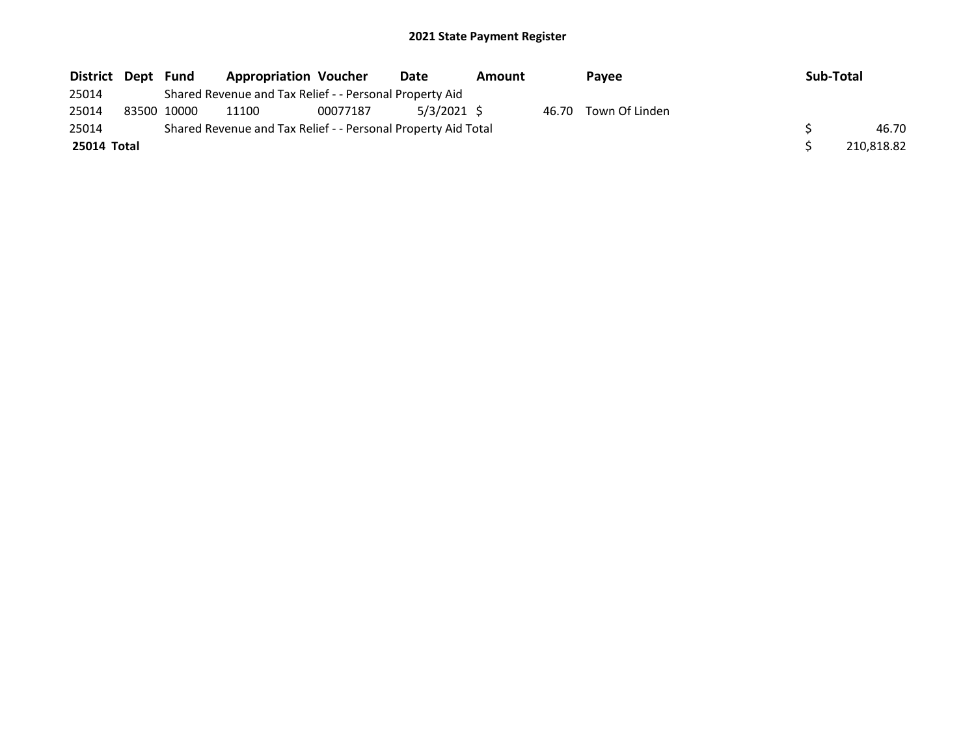| District Dept | Fund        | <b>Appropriation Voucher</b>                                  |          | Date          | Amount | Pavee                | Sub-Total |            |
|---------------|-------------|---------------------------------------------------------------|----------|---------------|--------|----------------------|-----------|------------|
| 25014         |             | Shared Revenue and Tax Relief - - Personal Property Aid       |          |               |        |                      |           |            |
| 25014         | 83500 10000 | 11100                                                         | 00077187 | $5/3/2021$ \$ |        | 46.70 Town Of Linden |           |            |
| 25014         |             | Shared Revenue and Tax Relief - - Personal Property Aid Total |          |               |        |                      |           | 46.70      |
| 25014 Total   |             |                                                               |          |               |        |                      |           | 210,818.82 |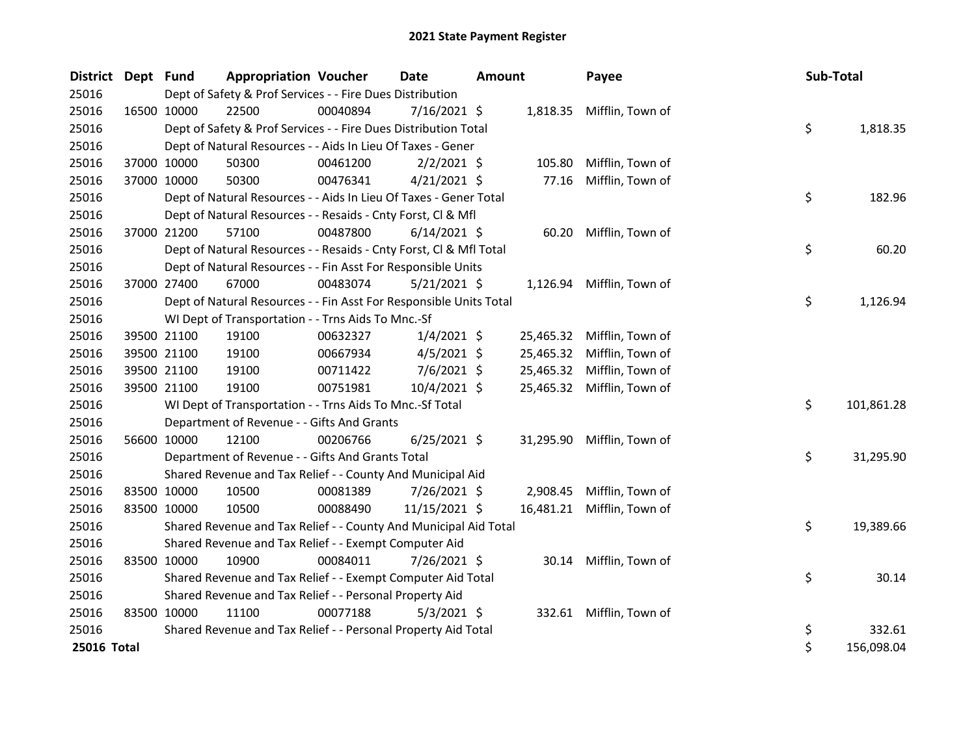| District Dept Fund |             |                                                           | <b>Appropriation Voucher</b>                                       |          | <b>Date</b>    | <b>Amount</b> |           | Payee            |  | Sub-Total |            |
|--------------------|-------------|-----------------------------------------------------------|--------------------------------------------------------------------|----------|----------------|---------------|-----------|------------------|--|-----------|------------|
| 25016              |             | Dept of Safety & Prof Services - - Fire Dues Distribution |                                                                    |          |                |               |           |                  |  |           |            |
| 25016              |             | 16500 10000                                               | 22500                                                              | 00040894 | $7/16/2021$ \$ |               | 1,818.35  | Mifflin, Town of |  |           |            |
| 25016              |             |                                                           | Dept of Safety & Prof Services - - Fire Dues Distribution Total    |          |                |               |           |                  |  | \$        | 1,818.35   |
| 25016              |             |                                                           | Dept of Natural Resources - - Aids In Lieu Of Taxes - Gener        |          |                |               |           |                  |  |           |            |
| 25016              |             | 37000 10000                                               | 50300                                                              | 00461200 | $2/2/2021$ \$  |               | 105.80    | Mifflin, Town of |  |           |            |
| 25016              |             | 37000 10000                                               | 50300                                                              | 00476341 | $4/21/2021$ \$ |               | 77.16     | Mifflin, Town of |  |           |            |
| 25016              |             |                                                           | Dept of Natural Resources - - Aids In Lieu Of Taxes - Gener Total  |          |                |               |           |                  |  | \$        | 182.96     |
| 25016              |             |                                                           | Dept of Natural Resources - - Resaids - Cnty Forst, Cl & Mfl       |          |                |               |           |                  |  |           |            |
| 25016              |             | 37000 21200                                               | 57100                                                              | 00487800 | $6/14/2021$ \$ |               | 60.20     | Mifflin, Town of |  |           |            |
| 25016              |             |                                                           | Dept of Natural Resources - - Resaids - Cnty Forst, CI & Mfl Total |          |                |               |           |                  |  | \$        | 60.20      |
| 25016              |             |                                                           | Dept of Natural Resources - - Fin Asst For Responsible Units       |          |                |               |           |                  |  |           |            |
| 25016              |             | 37000 27400                                               | 67000                                                              | 00483074 | $5/21/2021$ \$ |               | 1,126.94  | Mifflin, Town of |  |           |            |
| 25016              |             |                                                           | Dept of Natural Resources - - Fin Asst For Responsible Units Total |          |                |               |           |                  |  | \$        | 1,126.94   |
| 25016              |             |                                                           | WI Dept of Transportation - - Trns Aids To Mnc.-Sf                 |          |                |               |           |                  |  |           |            |
| 25016              |             | 39500 21100                                               | 19100                                                              | 00632327 | $1/4/2021$ \$  |               | 25,465.32 | Mifflin, Town of |  |           |            |
| 25016              |             | 39500 21100                                               | 19100                                                              | 00667934 | $4/5/2021$ \$  |               | 25,465.32 | Mifflin, Town of |  |           |            |
| 25016              |             | 39500 21100                                               | 19100                                                              | 00711422 | 7/6/2021 \$    |               | 25,465.32 | Mifflin, Town of |  |           |            |
| 25016              |             | 39500 21100                                               | 19100                                                              | 00751981 | 10/4/2021 \$   |               | 25,465.32 | Mifflin, Town of |  |           |            |
| 25016              |             |                                                           | WI Dept of Transportation - - Trns Aids To Mnc.-Sf Total           |          |                |               |           |                  |  | \$        | 101,861.28 |
| 25016              |             |                                                           | Department of Revenue - - Gifts And Grants                         |          |                |               |           |                  |  |           |            |
| 25016              | 56600 10000 |                                                           | 12100                                                              | 00206766 | $6/25/2021$ \$ |               | 31,295.90 | Mifflin, Town of |  |           |            |
| 25016              |             |                                                           | Department of Revenue - - Gifts And Grants Total                   |          |                |               |           |                  |  | \$        | 31,295.90  |
| 25016              |             |                                                           | Shared Revenue and Tax Relief - - County And Municipal Aid         |          |                |               |           |                  |  |           |            |
| 25016              |             | 83500 10000                                               | 10500                                                              | 00081389 | 7/26/2021 \$   |               | 2,908.45  | Mifflin, Town of |  |           |            |
| 25016              |             | 83500 10000                                               | 10500                                                              | 00088490 | 11/15/2021 \$  |               | 16,481.21 | Mifflin, Town of |  |           |            |
| 25016              |             |                                                           | Shared Revenue and Tax Relief - - County And Municipal Aid Total   |          |                |               |           |                  |  | \$        | 19,389.66  |
| 25016              |             |                                                           | Shared Revenue and Tax Relief - - Exempt Computer Aid              |          |                |               |           |                  |  |           |            |
| 25016              |             | 83500 10000                                               | 10900                                                              | 00084011 | 7/26/2021 \$   |               | 30.14     | Mifflin, Town of |  |           |            |
| 25016              |             |                                                           | Shared Revenue and Tax Relief - - Exempt Computer Aid Total        |          |                |               |           |                  |  | \$        | 30.14      |
| 25016              |             |                                                           | Shared Revenue and Tax Relief - - Personal Property Aid            |          |                |               |           |                  |  |           |            |
| 25016              |             | 83500 10000                                               | 11100                                                              | 00077188 | $5/3/2021$ \$  |               | 332.61    | Mifflin, Town of |  |           |            |
| 25016              |             |                                                           | Shared Revenue and Tax Relief - - Personal Property Aid Total      |          |                |               |           |                  |  | \$        | 332.61     |
| 25016 Total        |             |                                                           |                                                                    |          |                |               |           |                  |  | \$        | 156,098.04 |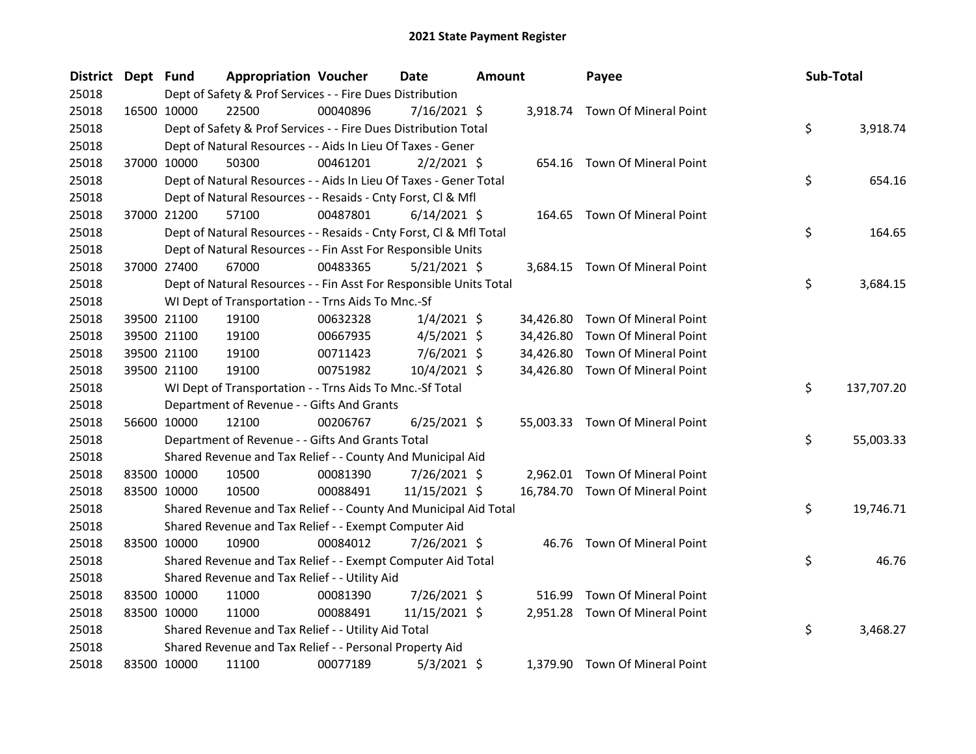| <b>District</b> | Dept Fund |             | <b>Appropriation Voucher</b>                                       |          | Date           | <b>Amount</b> |           | Payee                           | Sub-Total |            |
|-----------------|-----------|-------------|--------------------------------------------------------------------|----------|----------------|---------------|-----------|---------------------------------|-----------|------------|
| 25018           |           |             | Dept of Safety & Prof Services - - Fire Dues Distribution          |          |                |               |           |                                 |           |            |
| 25018           |           | 16500 10000 | 22500                                                              | 00040896 | 7/16/2021 \$   |               |           | 3,918.74 Town Of Mineral Point  |           |            |
| 25018           |           |             | Dept of Safety & Prof Services - - Fire Dues Distribution Total    |          |                |               |           |                                 | \$        | 3,918.74   |
| 25018           |           |             | Dept of Natural Resources - - Aids In Lieu Of Taxes - Gener        |          |                |               |           |                                 |           |            |
| 25018           |           | 37000 10000 | 50300                                                              | 00461201 | $2/2/2021$ \$  |               |           | 654.16 Town Of Mineral Point    |           |            |
| 25018           |           |             | Dept of Natural Resources - - Aids In Lieu Of Taxes - Gener Total  |          |                |               |           |                                 | \$        | 654.16     |
| 25018           |           |             | Dept of Natural Resources - - Resaids - Cnty Forst, Cl & Mfl       |          |                |               |           |                                 |           |            |
| 25018           |           | 37000 21200 | 57100                                                              | 00487801 | $6/14/2021$ \$ |               | 164.65    | Town Of Mineral Point           |           |            |
| 25018           |           |             | Dept of Natural Resources - - Resaids - Cnty Forst, CI & Mfl Total |          |                |               |           |                                 | \$        | 164.65     |
| 25018           |           |             | Dept of Natural Resources - - Fin Asst For Responsible Units       |          |                |               |           |                                 |           |            |
| 25018           |           | 37000 27400 | 67000                                                              | 00483365 | 5/21/2021 \$   |               |           | 3,684.15 Town Of Mineral Point  |           |            |
| 25018           |           |             | Dept of Natural Resources - - Fin Asst For Responsible Units Total |          |                |               |           |                                 | \$        | 3,684.15   |
| 25018           |           |             | WI Dept of Transportation - - Trns Aids To Mnc.-Sf                 |          |                |               |           |                                 |           |            |
| 25018           |           | 39500 21100 | 19100                                                              | 00632328 | $1/4/2021$ \$  |               | 34,426.80 | Town Of Mineral Point           |           |            |
| 25018           |           | 39500 21100 | 19100                                                              | 00667935 | $4/5/2021$ \$  |               | 34,426.80 | <b>Town Of Mineral Point</b>    |           |            |
| 25018           |           | 39500 21100 | 19100                                                              | 00711423 | 7/6/2021 \$    |               | 34,426.80 | Town Of Mineral Point           |           |            |
| 25018           |           | 39500 21100 | 19100                                                              | 00751982 | 10/4/2021 \$   |               | 34,426.80 | Town Of Mineral Point           |           |            |
| 25018           |           |             | WI Dept of Transportation - - Trns Aids To Mnc.-Sf Total           |          |                |               |           |                                 | \$        | 137,707.20 |
| 25018           |           |             | Department of Revenue - - Gifts And Grants                         |          |                |               |           |                                 |           |            |
| 25018           |           | 56600 10000 | 12100                                                              | 00206767 | $6/25/2021$ \$ |               |           | 55,003.33 Town Of Mineral Point |           |            |
| 25018           |           |             | Department of Revenue - - Gifts And Grants Total                   |          |                |               |           |                                 | \$        | 55,003.33  |
| 25018           |           |             | Shared Revenue and Tax Relief - - County And Municipal Aid         |          |                |               |           |                                 |           |            |
| 25018           |           | 83500 10000 | 10500                                                              | 00081390 | 7/26/2021 \$   |               |           | 2,962.01 Town Of Mineral Point  |           |            |
| 25018           |           | 83500 10000 | 10500                                                              | 00088491 | 11/15/2021 \$  |               |           | 16,784.70 Town Of Mineral Point |           |            |
| 25018           |           |             | Shared Revenue and Tax Relief - - County And Municipal Aid Total   |          |                |               |           |                                 | \$        | 19,746.71  |
| 25018           |           |             | Shared Revenue and Tax Relief - - Exempt Computer Aid              |          |                |               |           |                                 |           |            |
| 25018           |           | 83500 10000 | 10900                                                              | 00084012 | 7/26/2021 \$   |               |           | 46.76 Town Of Mineral Point     |           |            |
| 25018           |           |             | Shared Revenue and Tax Relief - - Exempt Computer Aid Total        |          |                |               |           |                                 | \$        | 46.76      |
| 25018           |           |             | Shared Revenue and Tax Relief - - Utility Aid                      |          |                |               |           |                                 |           |            |
| 25018           |           | 83500 10000 | 11000                                                              | 00081390 | 7/26/2021 \$   |               | 516.99    | Town Of Mineral Point           |           |            |
| 25018           |           | 83500 10000 | 11000                                                              | 00088491 | 11/15/2021 \$  |               |           | 2,951.28 Town Of Mineral Point  |           |            |
| 25018           |           |             | Shared Revenue and Tax Relief - - Utility Aid Total                |          |                |               |           |                                 | \$        | 3,468.27   |
| 25018           |           |             | Shared Revenue and Tax Relief - - Personal Property Aid            |          |                |               |           |                                 |           |            |
| 25018           |           | 83500 10000 | 11100                                                              | 00077189 | $5/3/2021$ \$  |               |           | 1,379.90 Town Of Mineral Point  |           |            |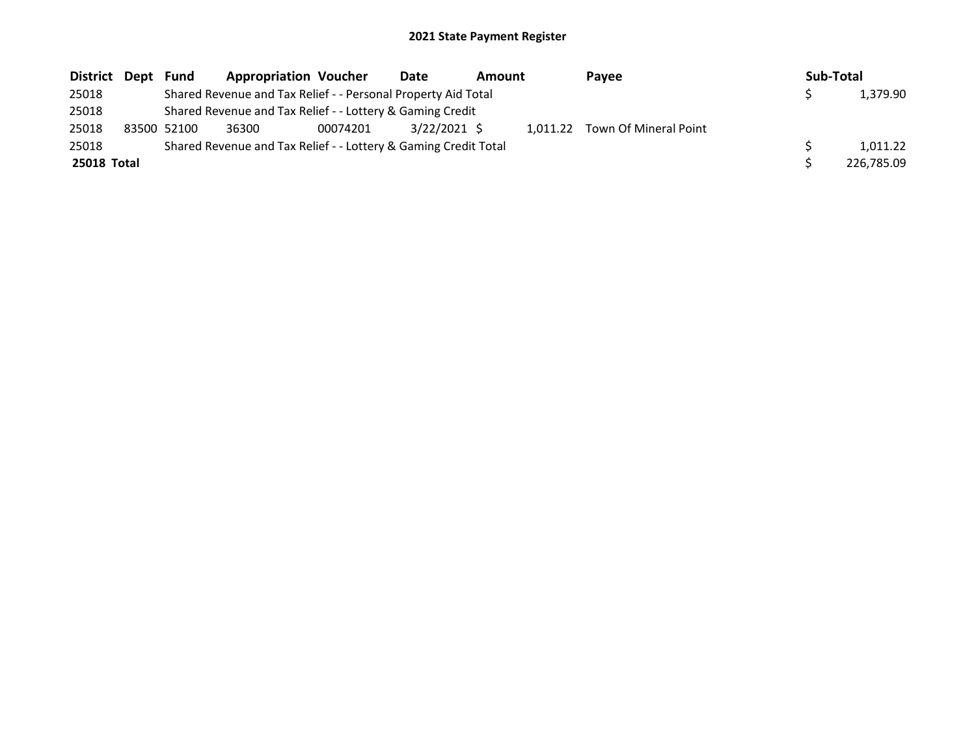| District Dept | Fund        | <b>Appropriation Voucher</b>                                    |          | Date         | Amount |  | Payee                          |  | Sub-Total |            |  |
|---------------|-------------|-----------------------------------------------------------------|----------|--------------|--------|--|--------------------------------|--|-----------|------------|--|
| 25018         |             | Shared Revenue and Tax Relief - - Personal Property Aid Total   |          |              |        |  |                                |  |           | 1,379.90   |  |
| 25018         |             | Shared Revenue and Tax Relief - - Lottery & Gaming Credit       |          |              |        |  |                                |  |           |            |  |
| 25018         | 83500 52100 | 36300                                                           | 00074201 | 3/22/2021 \$ |        |  | 1,011.22 Town Of Mineral Point |  |           |            |  |
| 25018         |             | Shared Revenue and Tax Relief - - Lottery & Gaming Credit Total |          |              |        |  |                                |  |           | 1.011.22   |  |
| 25018 Total   |             |                                                                 |          |              |        |  |                                |  |           | 226,785.09 |  |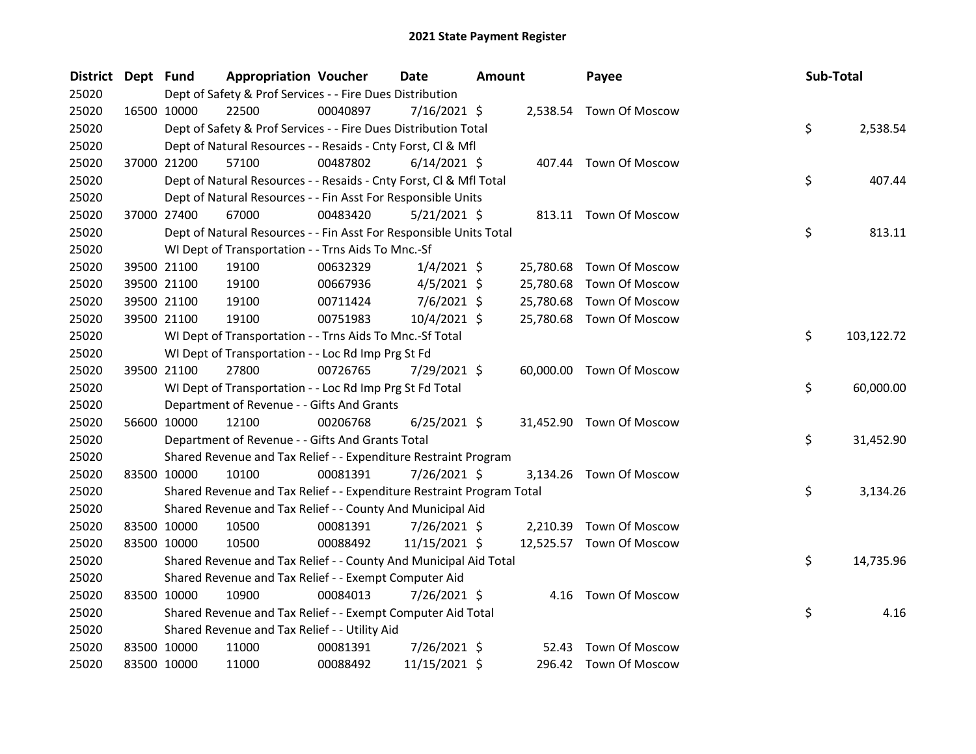| District Dept Fund |             | <b>Appropriation Voucher</b>                                          |          | <b>Date</b>    | <b>Amount</b> |           | Payee                    |    | Sub-Total  |  |
|--------------------|-------------|-----------------------------------------------------------------------|----------|----------------|---------------|-----------|--------------------------|----|------------|--|
| 25020              |             | Dept of Safety & Prof Services - - Fire Dues Distribution             |          |                |               |           |                          |    |            |  |
| 25020              | 16500 10000 | 22500                                                                 | 00040897 | 7/16/2021 \$   |               |           | 2,538.54 Town Of Moscow  |    |            |  |
| 25020              |             | Dept of Safety & Prof Services - - Fire Dues Distribution Total       |          |                |               |           |                          | \$ | 2,538.54   |  |
| 25020              |             | Dept of Natural Resources - - Resaids - Cnty Forst, Cl & Mfl          |          |                |               |           |                          |    |            |  |
| 25020              | 37000 21200 | 57100                                                                 | 00487802 | $6/14/2021$ \$ |               |           | 407.44 Town Of Moscow    |    |            |  |
| 25020              |             | Dept of Natural Resources - - Resaids - Cnty Forst, Cl & Mfl Total    |          |                |               |           |                          | \$ | 407.44     |  |
| 25020              |             | Dept of Natural Resources - - Fin Asst For Responsible Units          |          |                |               |           |                          |    |            |  |
| 25020              | 37000 27400 | 67000                                                                 | 00483420 | $5/21/2021$ \$ |               |           | 813.11 Town Of Moscow    |    |            |  |
| 25020              |             | Dept of Natural Resources - - Fin Asst For Responsible Units Total    |          |                |               |           |                          | \$ | 813.11     |  |
| 25020              |             | WI Dept of Transportation - - Trns Aids To Mnc.-Sf                    |          |                |               |           |                          |    |            |  |
| 25020              | 39500 21100 | 19100                                                                 | 00632329 | $1/4/2021$ \$  |               | 25,780.68 | Town Of Moscow           |    |            |  |
| 25020              | 39500 21100 | 19100                                                                 | 00667936 | $4/5/2021$ \$  |               | 25,780.68 | <b>Town Of Moscow</b>    |    |            |  |
| 25020              | 39500 21100 | 19100                                                                 | 00711424 | 7/6/2021 \$    |               | 25,780.68 | Town Of Moscow           |    |            |  |
| 25020              | 39500 21100 | 19100                                                                 | 00751983 | 10/4/2021 \$   |               | 25,780.68 | Town Of Moscow           |    |            |  |
| 25020              |             | WI Dept of Transportation - - Trns Aids To Mnc.-Sf Total              |          |                |               |           |                          | \$ | 103,122.72 |  |
| 25020              |             | WI Dept of Transportation - - Loc Rd Imp Prg St Fd                    |          |                |               |           |                          |    |            |  |
| 25020              | 39500 21100 | 27800                                                                 | 00726765 | 7/29/2021 \$   |               |           | 60,000.00 Town Of Moscow |    |            |  |
| 25020              |             | WI Dept of Transportation - - Loc Rd Imp Prg St Fd Total              |          |                |               |           |                          | \$ | 60,000.00  |  |
| 25020              |             | Department of Revenue - - Gifts And Grants                            |          |                |               |           |                          |    |            |  |
| 25020              | 56600 10000 | 12100                                                                 | 00206768 | $6/25/2021$ \$ |               |           | 31,452.90 Town Of Moscow |    |            |  |
| 25020              |             | Department of Revenue - - Gifts And Grants Total                      |          |                |               |           |                          | \$ | 31,452.90  |  |
| 25020              |             | Shared Revenue and Tax Relief - - Expenditure Restraint Program       |          |                |               |           |                          |    |            |  |
| 25020              | 83500 10000 | 10100                                                                 | 00081391 | 7/26/2021 \$   |               |           | 3,134.26 Town Of Moscow  |    |            |  |
| 25020              |             | Shared Revenue and Tax Relief - - Expenditure Restraint Program Total |          |                |               |           |                          | \$ | 3,134.26   |  |
| 25020              |             | Shared Revenue and Tax Relief - - County And Municipal Aid            |          |                |               |           |                          |    |            |  |
| 25020              | 83500 10000 | 10500                                                                 | 00081391 | 7/26/2021 \$   |               |           | 2,210.39 Town Of Moscow  |    |            |  |
| 25020              | 83500 10000 | 10500                                                                 | 00088492 | 11/15/2021 \$  |               |           | 12,525.57 Town Of Moscow |    |            |  |
| 25020              |             | Shared Revenue and Tax Relief - - County And Municipal Aid Total      |          |                |               |           |                          | \$ | 14,735.96  |  |
| 25020              |             | Shared Revenue and Tax Relief - - Exempt Computer Aid                 |          |                |               |           |                          |    |            |  |
| 25020              | 83500 10000 | 10900                                                                 | 00084013 | 7/26/2021 \$   |               |           | 4.16 Town Of Moscow      |    |            |  |
| 25020              |             | Shared Revenue and Tax Relief - - Exempt Computer Aid Total           |          |                |               |           |                          | \$ | 4.16       |  |
| 25020              |             | Shared Revenue and Tax Relief - - Utility Aid                         |          |                |               |           |                          |    |            |  |
| 25020              | 83500 10000 | 11000                                                                 | 00081391 | 7/26/2021 \$   |               | 52.43     | <b>Town Of Moscow</b>    |    |            |  |
| 25020              | 83500 10000 | 11000                                                                 | 00088492 | 11/15/2021 \$  |               |           | 296.42 Town Of Moscow    |    |            |  |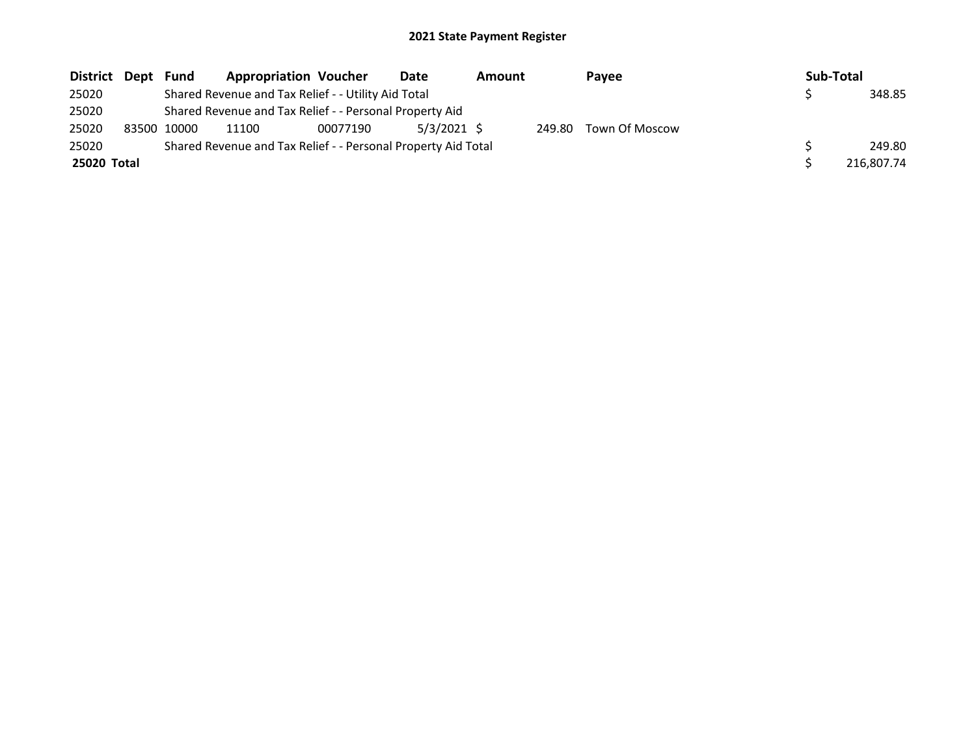| District Dept | Fund        | <b>Appropriation Voucher</b>                                  |          | Date        | <b>Amount</b> |        | Payee          |  | Sub-Total |            |
|---------------|-------------|---------------------------------------------------------------|----------|-------------|---------------|--------|----------------|--|-----------|------------|
| 25020         |             | Shared Revenue and Tax Relief - - Utility Aid Total           |          |             |               |        |                |  |           | 348.85     |
| 25020         |             | Shared Revenue and Tax Relief - - Personal Property Aid       |          |             |               |        |                |  |           |            |
| 25020         | 83500 10000 | 11100                                                         | 00077190 | 5/3/2021 \$ |               | 249.80 | Town Of Moscow |  |           |            |
| 25020         |             | Shared Revenue and Tax Relief - - Personal Property Aid Total |          |             |               |        |                |  |           | 249.80     |
| 25020 Total   |             |                                                               |          |             |               |        |                |  |           | 216.807.74 |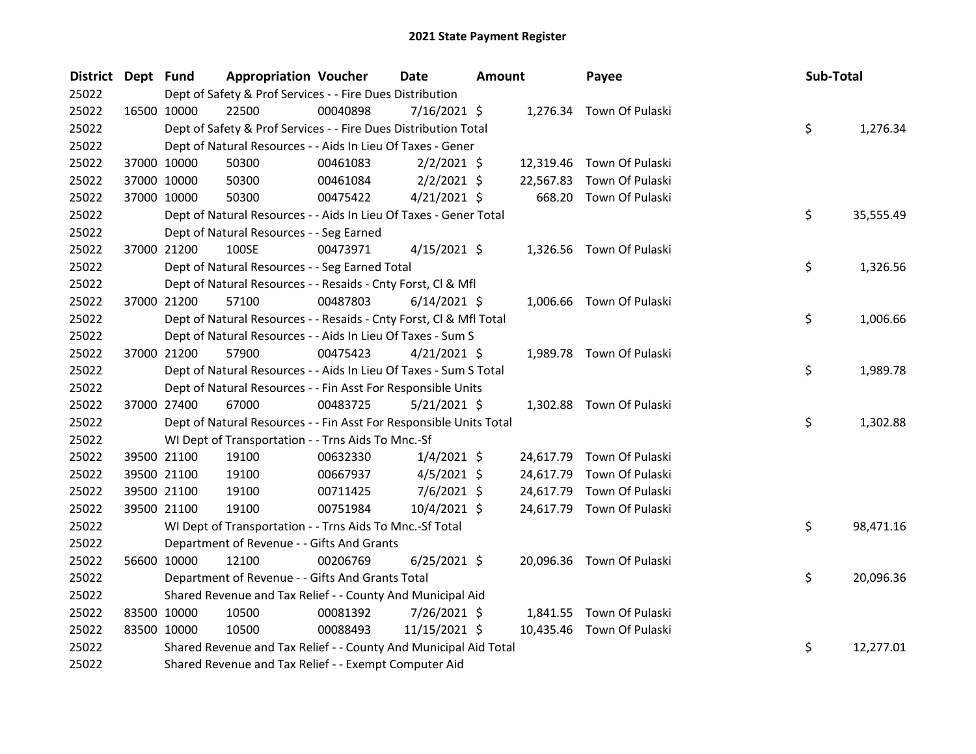| District Dept Fund |             | <b>Appropriation Voucher</b>                                       |          | <b>Date</b>    | <b>Amount</b> |           | Payee                     | Sub-Total |           |
|--------------------|-------------|--------------------------------------------------------------------|----------|----------------|---------------|-----------|---------------------------|-----------|-----------|
| 25022              |             | Dept of Safety & Prof Services - - Fire Dues Distribution          |          |                |               |           |                           |           |           |
| 25022              | 16500 10000 | 22500                                                              | 00040898 | 7/16/2021 \$   |               |           | 1,276.34 Town Of Pulaski  |           |           |
| 25022              |             | Dept of Safety & Prof Services - - Fire Dues Distribution Total    |          |                |               |           |                           | \$        | 1,276.34  |
| 25022              |             | Dept of Natural Resources - - Aids In Lieu Of Taxes - Gener        |          |                |               |           |                           |           |           |
| 25022              | 37000 10000 | 50300                                                              | 00461083 | $2/2/2021$ \$  |               |           | 12,319.46 Town Of Pulaski |           |           |
| 25022              | 37000 10000 | 50300                                                              | 00461084 | $2/2/2021$ \$  |               | 22,567.83 | Town Of Pulaski           |           |           |
| 25022              | 37000 10000 | 50300                                                              | 00475422 | $4/21/2021$ \$ |               | 668.20    | Town Of Pulaski           |           |           |
| 25022              |             | Dept of Natural Resources - - Aids In Lieu Of Taxes - Gener Total  |          |                |               |           |                           | \$        | 35,555.49 |
| 25022              |             | Dept of Natural Resources - - Seg Earned                           |          |                |               |           |                           |           |           |
| 25022              | 37000 21200 | 100SE                                                              | 00473971 | $4/15/2021$ \$ |               |           | 1,326.56 Town Of Pulaski  |           |           |
| 25022              |             | Dept of Natural Resources - - Seg Earned Total                     |          |                |               |           |                           | \$        | 1,326.56  |
| 25022              |             | Dept of Natural Resources - - Resaids - Cnty Forst, Cl & Mfl       |          |                |               |           |                           |           |           |
| 25022              | 37000 21200 | 57100                                                              | 00487803 | $6/14/2021$ \$ |               |           | 1,006.66 Town Of Pulaski  |           |           |
| 25022              |             | Dept of Natural Resources - - Resaids - Cnty Forst, Cl & Mfl Total |          |                |               |           |                           | \$        | 1,006.66  |
| 25022              |             | Dept of Natural Resources - - Aids In Lieu Of Taxes - Sum S        |          |                |               |           |                           |           |           |
| 25022              | 37000 21200 | 57900                                                              | 00475423 | $4/21/2021$ \$ |               |           | 1,989.78 Town Of Pulaski  |           |           |
| 25022              |             | Dept of Natural Resources - - Aids In Lieu Of Taxes - Sum S Total  |          |                |               |           |                           | \$        | 1,989.78  |
| 25022              |             | Dept of Natural Resources - - Fin Asst For Responsible Units       |          |                |               |           |                           |           |           |
| 25022              | 37000 27400 | 67000                                                              | 00483725 | $5/21/2021$ \$ |               |           | 1,302.88 Town Of Pulaski  |           |           |
| 25022              |             | Dept of Natural Resources - - Fin Asst For Responsible Units Total |          |                |               |           |                           | \$        | 1,302.88  |
| 25022              |             | WI Dept of Transportation - - Trns Aids To Mnc.-Sf                 |          |                |               |           |                           |           |           |
| 25022              | 39500 21100 | 19100                                                              | 00632330 | $1/4/2021$ \$  |               | 24,617.79 | Town Of Pulaski           |           |           |
| 25022              | 39500 21100 | 19100                                                              | 00667937 | $4/5/2021$ \$  |               | 24,617.79 | Town Of Pulaski           |           |           |
| 25022              | 39500 21100 | 19100                                                              | 00711425 | $7/6/2021$ \$  |               | 24,617.79 | Town Of Pulaski           |           |           |
| 25022              | 39500 21100 | 19100                                                              | 00751984 | 10/4/2021 \$   |               |           | 24,617.79 Town Of Pulaski |           |           |
| 25022              |             | WI Dept of Transportation - - Trns Aids To Mnc.-Sf Total           |          |                |               |           |                           | \$        | 98,471.16 |
| 25022              |             | Department of Revenue - - Gifts And Grants                         |          |                |               |           |                           |           |           |
| 25022              | 56600 10000 | 12100                                                              | 00206769 | $6/25/2021$ \$ |               |           | 20,096.36 Town Of Pulaski |           |           |
| 25022              |             | Department of Revenue - - Gifts And Grants Total                   |          |                |               |           |                           | \$        | 20,096.36 |
| 25022              |             | Shared Revenue and Tax Relief - - County And Municipal Aid         |          |                |               |           |                           |           |           |
| 25022              | 83500 10000 | 10500                                                              | 00081392 | 7/26/2021 \$   |               |           | 1,841.55 Town Of Pulaski  |           |           |
| 25022              | 83500 10000 | 10500                                                              | 00088493 | 11/15/2021 \$  |               |           | 10,435.46 Town Of Pulaski |           |           |
| 25022              |             | Shared Revenue and Tax Relief - - County And Municipal Aid Total   |          |                |               |           |                           | \$        | 12,277.01 |
| 25022              |             | Shared Revenue and Tax Relief - - Exempt Computer Aid              |          |                |               |           |                           |           |           |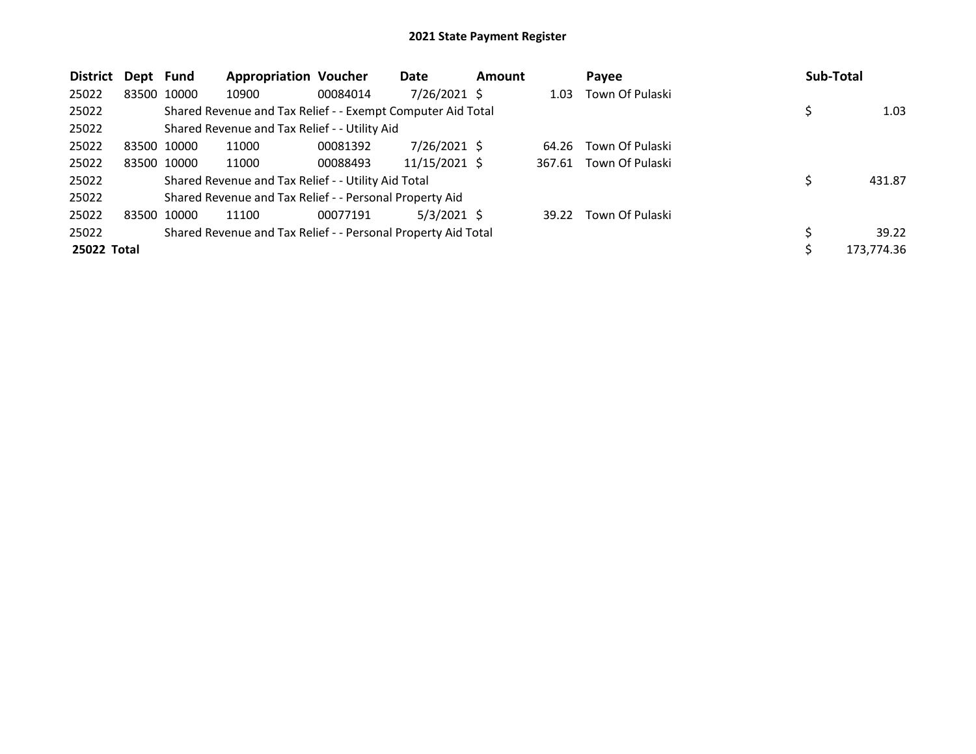| <b>District</b> | Dept | Fund        | <b>Appropriation Voucher</b>                                  |          | Date           | <b>Amount</b> |        | Payee           |    | Sub-Total |            |
|-----------------|------|-------------|---------------------------------------------------------------|----------|----------------|---------------|--------|-----------------|----|-----------|------------|
| 25022           |      | 83500 10000 | 10900                                                         | 00084014 | $7/26/2021$ \$ |               | 1.03   | Town Of Pulaski |    |           |            |
| 25022           |      |             | Shared Revenue and Tax Relief - - Exempt Computer Aid Total   |          |                |               |        |                 |    |           | 1.03       |
| 25022           |      |             | Shared Revenue and Tax Relief - - Utility Aid                 |          |                |               |        |                 |    |           |            |
| 25022           |      | 83500 10000 | 11000                                                         | 00081392 | $7/26/2021$ \$ |               | 64.26  | Town Of Pulaski |    |           |            |
| 25022           |      | 83500 10000 | 11000                                                         | 00088493 | 11/15/2021 \$  |               | 367.61 | Town Of Pulaski |    |           |            |
| 25022           |      |             | Shared Revenue and Tax Relief - - Utility Aid Total           |          |                |               |        |                 | \$ |           | 431.87     |
| 25022           |      |             | Shared Revenue and Tax Relief - - Personal Property Aid       |          |                |               |        |                 |    |           |            |
| 25022           |      | 83500 10000 | 11100                                                         | 00077191 | 5/3/2021 S     |               | 39.22  | Town Of Pulaski |    |           |            |
| 25022           |      |             | Shared Revenue and Tax Relief - - Personal Property Aid Total |          |                |               |        |                 |    |           | 39.22      |
| 25022 Total     |      |             |                                                               |          |                |               |        |                 | Ś  |           | 173,774.36 |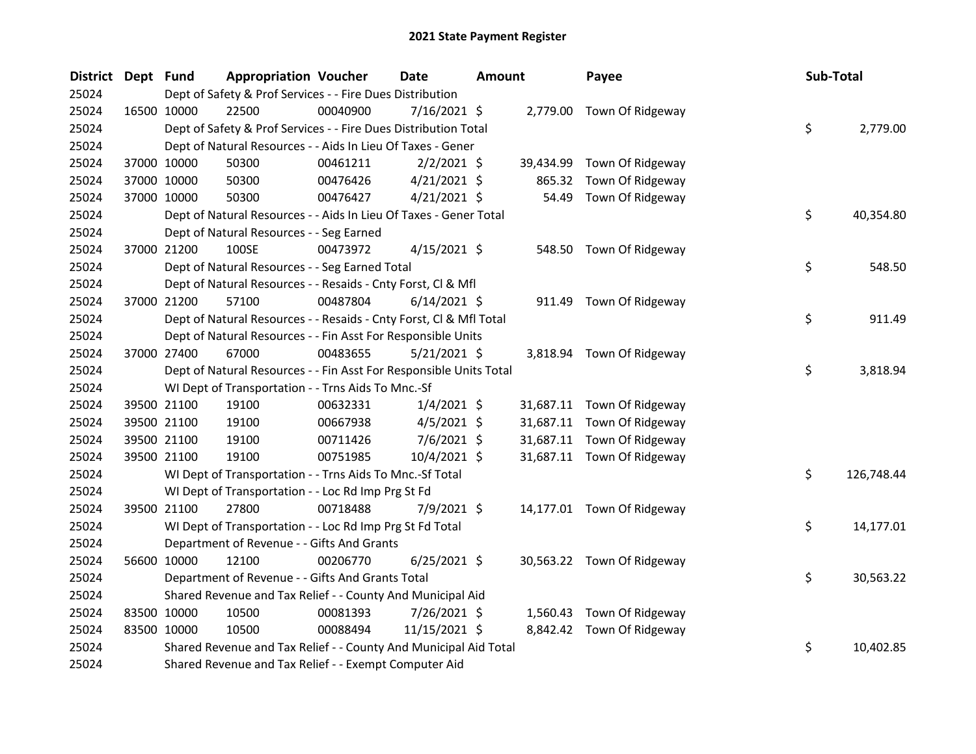| District Dept Fund |             |             | <b>Appropriation Voucher</b>                                       |          | <b>Date</b>    | <b>Amount</b> |           | Payee                      | Sub-Total |            |
|--------------------|-------------|-------------|--------------------------------------------------------------------|----------|----------------|---------------|-----------|----------------------------|-----------|------------|
| 25024              |             |             | Dept of Safety & Prof Services - - Fire Dues Distribution          |          |                |               |           |                            |           |            |
| 25024              |             | 16500 10000 | 22500                                                              | 00040900 | 7/16/2021 \$   |               |           | 2,779.00 Town Of Ridgeway  |           |            |
| 25024              |             |             | Dept of Safety & Prof Services - - Fire Dues Distribution Total    |          |                |               |           |                            | \$        | 2,779.00   |
| 25024              |             |             | Dept of Natural Resources - - Aids In Lieu Of Taxes - Gener        |          |                |               |           |                            |           |            |
| 25024              |             | 37000 10000 | 50300                                                              | 00461211 | $2/2/2021$ \$  |               | 39,434.99 | Town Of Ridgeway           |           |            |
| 25024              |             | 37000 10000 | 50300                                                              | 00476426 | $4/21/2021$ \$ |               | 865.32    | Town Of Ridgeway           |           |            |
| 25024              |             | 37000 10000 | 50300                                                              | 00476427 | $4/21/2021$ \$ |               | 54.49     | Town Of Ridgeway           |           |            |
| 25024              |             |             | Dept of Natural Resources - - Aids In Lieu Of Taxes - Gener Total  |          |                |               |           |                            | \$        | 40,354.80  |
| 25024              |             |             | Dept of Natural Resources - - Seg Earned                           |          |                |               |           |                            |           |            |
| 25024              |             | 37000 21200 | 100SE                                                              | 00473972 | $4/15/2021$ \$ |               | 548.50    | Town Of Ridgeway           |           |            |
| 25024              |             |             | Dept of Natural Resources - - Seg Earned Total                     |          |                |               |           |                            | \$        | 548.50     |
| 25024              |             |             | Dept of Natural Resources - - Resaids - Cnty Forst, Cl & Mfl       |          |                |               |           |                            |           |            |
| 25024              |             | 37000 21200 | 57100                                                              | 00487804 | $6/14/2021$ \$ |               |           | 911.49 Town Of Ridgeway    |           |            |
| 25024              |             |             | Dept of Natural Resources - - Resaids - Cnty Forst, Cl & Mfl Total |          |                |               |           |                            | \$        | 911.49     |
| 25024              |             |             | Dept of Natural Resources - - Fin Asst For Responsible Units       |          |                |               |           |                            |           |            |
| 25024              | 37000 27400 |             | 67000                                                              | 00483655 | $5/21/2021$ \$ |               |           | 3,818.94 Town Of Ridgeway  |           |            |
| 25024              |             |             | Dept of Natural Resources - - Fin Asst For Responsible Units Total |          |                |               |           |                            | \$        | 3,818.94   |
| 25024              |             |             | WI Dept of Transportation - - Trns Aids To Mnc.-Sf                 |          |                |               |           |                            |           |            |
| 25024              |             | 39500 21100 | 19100                                                              | 00632331 | $1/4/2021$ \$  |               |           | 31,687.11 Town Of Ridgeway |           |            |
| 25024              |             | 39500 21100 | 19100                                                              | 00667938 | $4/5/2021$ \$  |               |           | 31,687.11 Town Of Ridgeway |           |            |
| 25024              |             | 39500 21100 | 19100                                                              | 00711426 | 7/6/2021 \$    |               |           | 31,687.11 Town Of Ridgeway |           |            |
| 25024              |             | 39500 21100 | 19100                                                              | 00751985 | 10/4/2021 \$   |               |           | 31,687.11 Town Of Ridgeway |           |            |
| 25024              |             |             | WI Dept of Transportation - - Trns Aids To Mnc.-Sf Total           |          |                |               |           |                            | \$        | 126,748.44 |
| 25024              |             |             | WI Dept of Transportation - - Loc Rd Imp Prg St Fd                 |          |                |               |           |                            |           |            |
| 25024              |             | 39500 21100 | 27800                                                              | 00718488 | 7/9/2021 \$    |               |           | 14,177.01 Town Of Ridgeway |           |            |
| 25024              |             |             | WI Dept of Transportation - - Loc Rd Imp Prg St Fd Total           |          |                |               |           |                            | \$        | 14,177.01  |
| 25024              |             |             | Department of Revenue - - Gifts And Grants                         |          |                |               |           |                            |           |            |
| 25024              |             | 56600 10000 | 12100                                                              | 00206770 | $6/25/2021$ \$ |               |           | 30,563.22 Town Of Ridgeway |           |            |
| 25024              |             |             | Department of Revenue - - Gifts And Grants Total                   |          |                |               |           |                            | \$        | 30,563.22  |
| 25024              |             |             | Shared Revenue and Tax Relief - - County And Municipal Aid         |          |                |               |           |                            |           |            |
| 25024              |             | 83500 10000 | 10500                                                              | 00081393 | 7/26/2021 \$   |               | 1,560.43  | Town Of Ridgeway           |           |            |
| 25024              |             | 83500 10000 | 10500                                                              | 00088494 | 11/15/2021 \$  |               |           | 8,842.42 Town Of Ridgeway  |           |            |
| 25024              |             |             | Shared Revenue and Tax Relief - - County And Municipal Aid Total   |          |                |               |           |                            | \$        | 10,402.85  |
| 25024              |             |             | Shared Revenue and Tax Relief - - Exempt Computer Aid              |          |                |               |           |                            |           |            |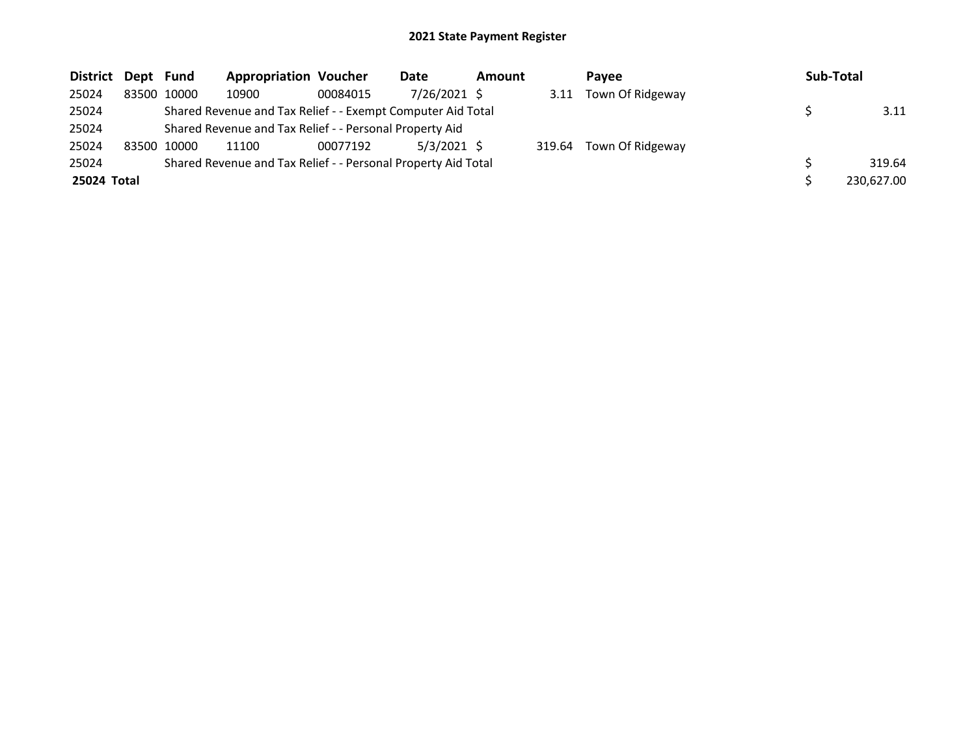| District Dept Fund |             | <b>Appropriation Voucher</b>                                  |          | Date          | <b>Amount</b> |        | Pavee            | Sub-Total  |
|--------------------|-------------|---------------------------------------------------------------|----------|---------------|---------------|--------|------------------|------------|
| 25024              | 83500 10000 | 10900                                                         | 00084015 | 7/26/2021 \$  |               | 3.11   | Town Of Ridgeway |            |
| 25024              |             | Shared Revenue and Tax Relief - - Exempt Computer Aid Total   |          |               |               |        |                  | 3.11       |
| 25024              |             | Shared Revenue and Tax Relief - - Personal Property Aid       |          |               |               |        |                  |            |
| 25024              | 83500 10000 | 11100                                                         | 00077192 | $5/3/2021$ \$ |               | 319.64 | Town Of Ridgeway |            |
| 25024              |             | Shared Revenue and Tax Relief - - Personal Property Aid Total |          |               |               |        |                  | 319.64     |
| 25024 Total        |             |                                                               |          |               |               |        |                  | 230,627.00 |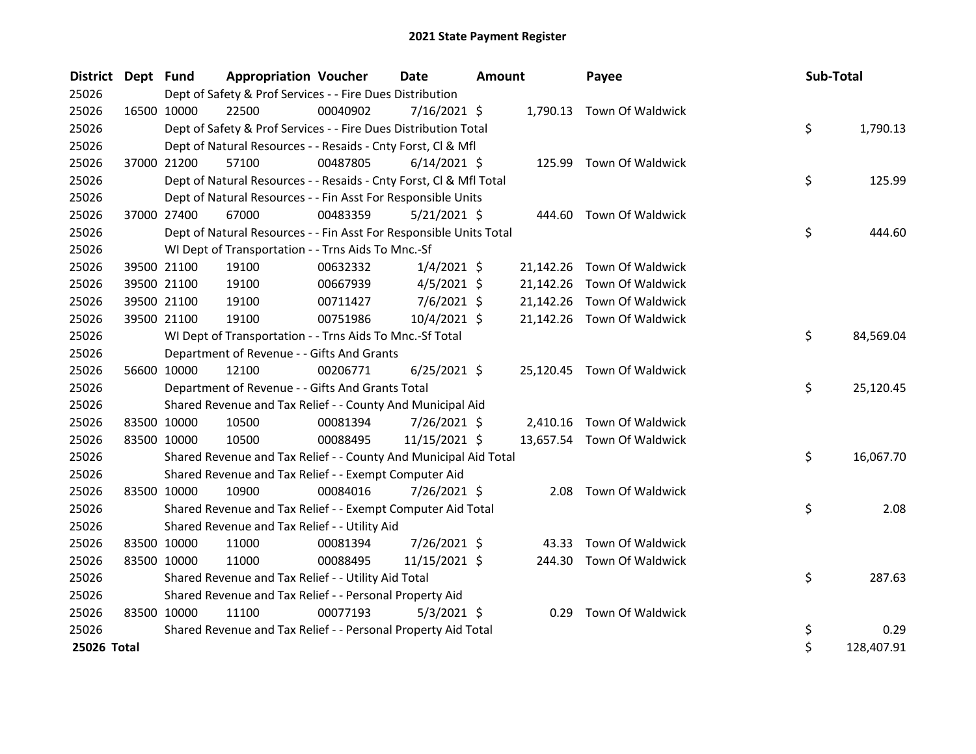| District Dept Fund |             |             | <b>Appropriation Voucher</b>                                       |          | <b>Date</b>    | <b>Amount</b> |           | Payee                      | Sub-Total |            |
|--------------------|-------------|-------------|--------------------------------------------------------------------|----------|----------------|---------------|-----------|----------------------------|-----------|------------|
| 25026              |             |             | Dept of Safety & Prof Services - - Fire Dues Distribution          |          |                |               |           |                            |           |            |
| 25026              | 16500 10000 |             | 22500                                                              | 00040902 | $7/16/2021$ \$ |               |           | 1,790.13 Town Of Waldwick  |           |            |
| 25026              |             |             | Dept of Safety & Prof Services - - Fire Dues Distribution Total    |          |                |               |           |                            | \$        | 1,790.13   |
| 25026              |             |             | Dept of Natural Resources - - Resaids - Cnty Forst, Cl & Mfl       |          |                |               |           |                            |           |            |
| 25026              | 37000 21200 |             | 57100                                                              | 00487805 | $6/14/2021$ \$ |               |           | 125.99 Town Of Waldwick    |           |            |
| 25026              |             |             | Dept of Natural Resources - - Resaids - Cnty Forst, Cl & Mfl Total |          |                |               |           |                            | \$        | 125.99     |
| 25026              |             |             | Dept of Natural Resources - - Fin Asst For Responsible Units       |          |                |               |           |                            |           |            |
| 25026              | 37000 27400 |             | 67000                                                              | 00483359 | 5/21/2021 \$   |               |           | 444.60 Town Of Waldwick    |           |            |
| 25026              |             |             | Dept of Natural Resources - - Fin Asst For Responsible Units Total |          |                |               |           |                            | \$        | 444.60     |
| 25026              |             |             | WI Dept of Transportation - - Trns Aids To Mnc.-Sf                 |          |                |               |           |                            |           |            |
| 25026              | 39500 21100 |             | 19100                                                              | 00632332 | $1/4/2021$ \$  |               |           | 21,142.26 Town Of Waldwick |           |            |
| 25026              |             | 39500 21100 | 19100                                                              | 00667939 | $4/5/2021$ \$  |               | 21,142.26 | Town Of Waldwick           |           |            |
| 25026              |             | 39500 21100 | 19100                                                              | 00711427 | $7/6/2021$ \$  |               | 21,142.26 | Town Of Waldwick           |           |            |
| 25026              |             | 39500 21100 | 19100                                                              | 00751986 | 10/4/2021 \$   |               |           | 21,142.26 Town Of Waldwick |           |            |
| 25026              |             |             | WI Dept of Transportation - - Trns Aids To Mnc.-Sf Total           |          |                |               |           |                            | \$        | 84,569.04  |
| 25026              |             |             | Department of Revenue - - Gifts And Grants                         |          |                |               |           |                            |           |            |
| 25026              | 56600 10000 |             | 12100                                                              | 00206771 | $6/25/2021$ \$ |               |           | 25,120.45 Town Of Waldwick |           |            |
| 25026              |             |             | Department of Revenue - - Gifts And Grants Total                   |          |                |               |           |                            | \$        | 25,120.45  |
| 25026              |             |             | Shared Revenue and Tax Relief - - County And Municipal Aid         |          |                |               |           |                            |           |            |
| 25026              | 83500 10000 |             | 10500                                                              | 00081394 | $7/26/2021$ \$ |               | 2,410.16  | Town Of Waldwick           |           |            |
| 25026              | 83500 10000 |             | 10500                                                              | 00088495 | 11/15/2021 \$  |               |           | 13,657.54 Town Of Waldwick |           |            |
| 25026              |             |             | Shared Revenue and Tax Relief - - County And Municipal Aid Total   |          |                |               |           |                            | \$        | 16,067.70  |
| 25026              |             |             | Shared Revenue and Tax Relief - - Exempt Computer Aid              |          |                |               |           |                            |           |            |
| 25026              | 83500 10000 |             | 10900                                                              | 00084016 | 7/26/2021 \$   |               | 2.08      | Town Of Waldwick           |           |            |
| 25026              |             |             | Shared Revenue and Tax Relief - - Exempt Computer Aid Total        |          |                |               |           |                            | \$        | 2.08       |
| 25026              |             |             | Shared Revenue and Tax Relief - - Utility Aid                      |          |                |               |           |                            |           |            |
| 25026              | 83500 10000 |             | 11000                                                              | 00081394 | 7/26/2021 \$   |               | 43.33     | Town Of Waldwick           |           |            |
| 25026              | 83500 10000 |             | 11000                                                              | 00088495 | 11/15/2021 \$  |               | 244.30    | Town Of Waldwick           |           |            |
| 25026              |             |             | Shared Revenue and Tax Relief - - Utility Aid Total                |          |                |               |           |                            | \$        | 287.63     |
| 25026              |             |             | Shared Revenue and Tax Relief - - Personal Property Aid            |          |                |               |           |                            |           |            |
| 25026              | 83500 10000 |             | 11100                                                              | 00077193 | $5/3/2021$ \$  |               |           | 0.29 Town Of Waldwick      |           |            |
| 25026              |             |             | Shared Revenue and Tax Relief - - Personal Property Aid Total      |          |                |               |           |                            | \$        | 0.29       |
| 25026 Total        |             |             |                                                                    |          |                |               |           |                            | \$        | 128,407.91 |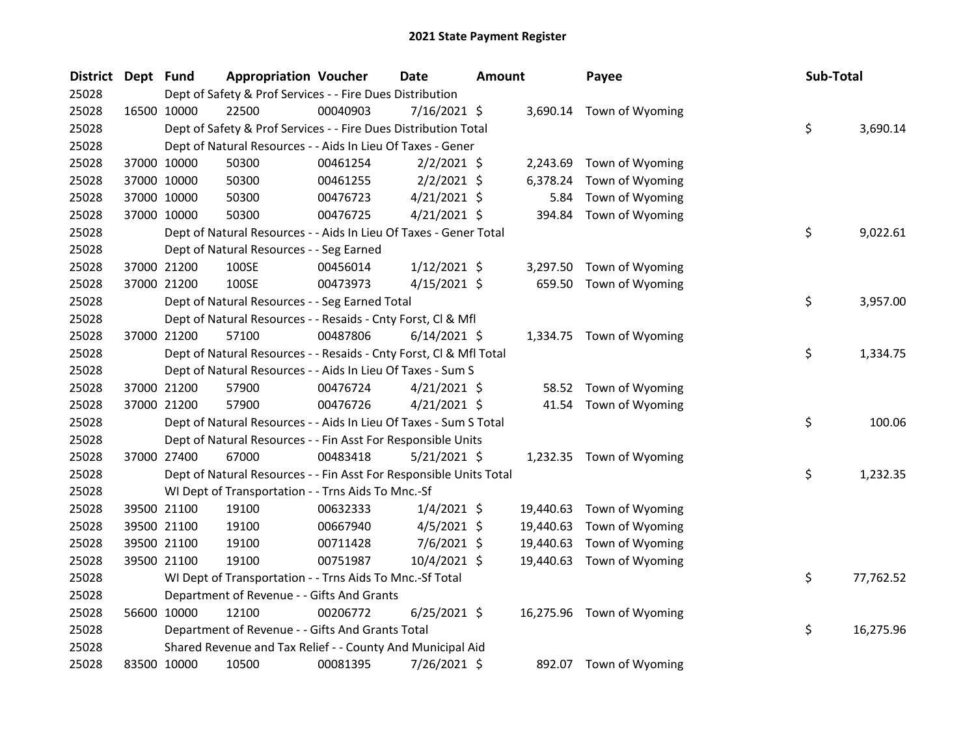| District Dept Fund |             | <b>Appropriation Voucher</b>                                       |          | <b>Date</b>    | <b>Amount</b> |           | Payee                     | Sub-Total |           |
|--------------------|-------------|--------------------------------------------------------------------|----------|----------------|---------------|-----------|---------------------------|-----------|-----------|
| 25028              |             | Dept of Safety & Prof Services - - Fire Dues Distribution          |          |                |               |           |                           |           |           |
| 25028              | 16500 10000 | 22500                                                              | 00040903 | $7/16/2021$ \$ |               |           | 3,690.14 Town of Wyoming  |           |           |
| 25028              |             | Dept of Safety & Prof Services - - Fire Dues Distribution Total    |          |                |               |           |                           | \$        | 3,690.14  |
| 25028              |             | Dept of Natural Resources - - Aids In Lieu Of Taxes - Gener        |          |                |               |           |                           |           |           |
| 25028              | 37000 10000 | 50300                                                              | 00461254 | $2/2/2021$ \$  |               | 2,243.69  | Town of Wyoming           |           |           |
| 25028              | 37000 10000 | 50300                                                              | 00461255 | $2/2/2021$ \$  |               | 6,378.24  | Town of Wyoming           |           |           |
| 25028              | 37000 10000 | 50300                                                              | 00476723 | $4/21/2021$ \$ |               | 5.84      | Town of Wyoming           |           |           |
| 25028              | 37000 10000 | 50300                                                              | 00476725 | $4/21/2021$ \$ |               | 394.84    | Town of Wyoming           |           |           |
| 25028              |             | Dept of Natural Resources - - Aids In Lieu Of Taxes - Gener Total  |          |                |               |           |                           | \$        | 9,022.61  |
| 25028              |             | Dept of Natural Resources - - Seg Earned                           |          |                |               |           |                           |           |           |
| 25028              | 37000 21200 | 100SE                                                              | 00456014 | $1/12/2021$ \$ |               | 3,297.50  | Town of Wyoming           |           |           |
| 25028              | 37000 21200 | 100SE                                                              | 00473973 | $4/15/2021$ \$ |               | 659.50    | Town of Wyoming           |           |           |
| 25028              |             | Dept of Natural Resources - - Seg Earned Total                     |          |                |               |           |                           | \$        | 3,957.00  |
| 25028              |             | Dept of Natural Resources - - Resaids - Cnty Forst, Cl & Mfl       |          |                |               |           |                           |           |           |
| 25028              | 37000 21200 | 57100                                                              | 00487806 | $6/14/2021$ \$ |               |           | 1,334.75 Town of Wyoming  |           |           |
| 25028              |             | Dept of Natural Resources - - Resaids - Cnty Forst, CI & Mfl Total |          |                |               |           |                           | \$        | 1,334.75  |
| 25028              |             | Dept of Natural Resources - - Aids In Lieu Of Taxes - Sum S        |          |                |               |           |                           |           |           |
| 25028              | 37000 21200 | 57900                                                              | 00476724 | $4/21/2021$ \$ |               | 58.52     | Town of Wyoming           |           |           |
| 25028              | 37000 21200 | 57900                                                              | 00476726 | $4/21/2021$ \$ |               | 41.54     | Town of Wyoming           |           |           |
| 25028              |             | Dept of Natural Resources - - Aids In Lieu Of Taxes - Sum S Total  |          |                |               |           |                           | \$        | 100.06    |
| 25028              |             | Dept of Natural Resources - - Fin Asst For Responsible Units       |          |                |               |           |                           |           |           |
| 25028              | 37000 27400 | 67000                                                              | 00483418 | $5/21/2021$ \$ |               |           | 1,232.35 Town of Wyoming  |           |           |
| 25028              |             | Dept of Natural Resources - - Fin Asst For Responsible Units Total |          |                |               |           |                           | \$        | 1,232.35  |
| 25028              |             | WI Dept of Transportation - - Trns Aids To Mnc.-Sf                 |          |                |               |           |                           |           |           |
| 25028              | 39500 21100 | 19100                                                              | 00632333 | $1/4/2021$ \$  |               | 19,440.63 | Town of Wyoming           |           |           |
| 25028              | 39500 21100 | 19100                                                              | 00667940 | $4/5/2021$ \$  |               | 19,440.63 | Town of Wyoming           |           |           |
| 25028              | 39500 21100 | 19100                                                              | 00711428 | $7/6/2021$ \$  |               | 19,440.63 | Town of Wyoming           |           |           |
| 25028              | 39500 21100 | 19100                                                              | 00751987 | 10/4/2021 \$   |               | 19,440.63 | Town of Wyoming           |           |           |
| 25028              |             | WI Dept of Transportation - - Trns Aids To Mnc.-Sf Total           |          |                |               |           |                           | \$        | 77,762.52 |
| 25028              |             | Department of Revenue - - Gifts And Grants                         |          |                |               |           |                           |           |           |
| 25028              | 56600 10000 | 12100                                                              | 00206772 | $6/25/2021$ \$ |               |           | 16,275.96 Town of Wyoming |           |           |
| 25028              |             | Department of Revenue - - Gifts And Grants Total                   |          |                |               |           |                           | \$        | 16,275.96 |
| 25028              |             | Shared Revenue and Tax Relief - - County And Municipal Aid         |          |                |               |           |                           |           |           |
| 25028              | 83500 10000 | 10500                                                              | 00081395 | 7/26/2021 \$   |               |           | 892.07 Town of Wyoming    |           |           |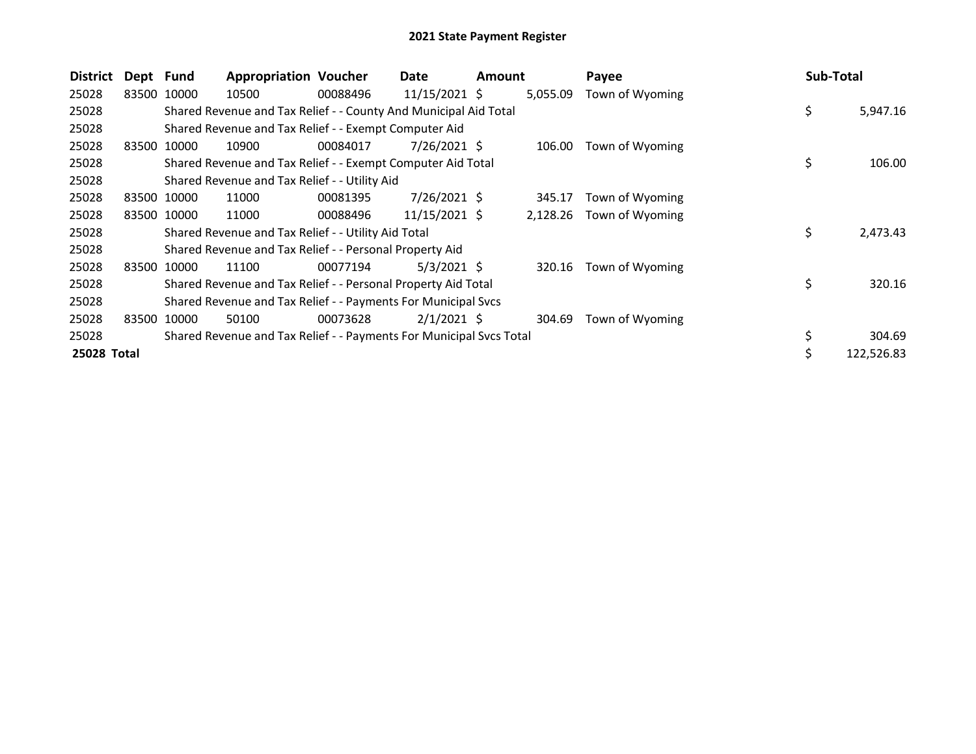| <b>District</b> | Dept Fund |             | <b>Appropriation Voucher</b>                                        |          | Date            | <b>Amount</b> |          | Payee           | Sub-Total      |
|-----------------|-----------|-------------|---------------------------------------------------------------------|----------|-----------------|---------------|----------|-----------------|----------------|
| 25028           | 83500     | 10000       | 10500                                                               | 00088496 | $11/15/2021$ \$ |               | 5,055.09 | Town of Wyoming |                |
| 25028           |           |             | Shared Revenue and Tax Relief - - County And Municipal Aid Total    |          |                 |               |          |                 | \$<br>5,947.16 |
| 25028           |           |             | Shared Revenue and Tax Relief - - Exempt Computer Aid               |          |                 |               |          |                 |                |
| 25028           | 83500     | 10000       | 10900                                                               | 00084017 | $7/26/2021$ \$  |               | 106.00   | Town of Wyoming |                |
| 25028           |           |             | Shared Revenue and Tax Relief - - Exempt Computer Aid Total         |          |                 |               |          |                 | \$<br>106.00   |
| 25028           |           |             | Shared Revenue and Tax Relief - - Utility Aid                       |          |                 |               |          |                 |                |
| 25028           | 83500     | 10000       | 11000                                                               | 00081395 | 7/26/2021 \$    |               | 345.17   | Town of Wyoming |                |
| 25028           |           | 83500 10000 | 11000                                                               | 00088496 | 11/15/2021 \$   |               | 2,128.26 | Town of Wyoming |                |
| 25028           |           |             | Shared Revenue and Tax Relief - - Utility Aid Total                 |          |                 |               |          |                 | \$<br>2,473.43 |
| 25028           |           |             | Shared Revenue and Tax Relief - - Personal Property Aid             |          |                 |               |          |                 |                |
| 25028           | 83500     | 10000       | 11100                                                               | 00077194 | $5/3/2021$ \$   |               | 320.16   | Town of Wyoming |                |
| 25028           |           |             | Shared Revenue and Tax Relief - - Personal Property Aid Total       |          |                 |               |          |                 | \$<br>320.16   |
| 25028           |           |             | Shared Revenue and Tax Relief - - Payments For Municipal Svcs       |          |                 |               |          |                 |                |
| 25028           | 83500     | 10000       | 50100                                                               | 00073628 | $2/1/2021$ \$   |               | 304.69   | Town of Wyoming |                |
| 25028           |           |             | Shared Revenue and Tax Relief - - Payments For Municipal Svcs Total |          |                 |               |          |                 | 304.69         |
| 25028 Total     |           |             |                                                                     |          |                 |               |          |                 | 122,526.83     |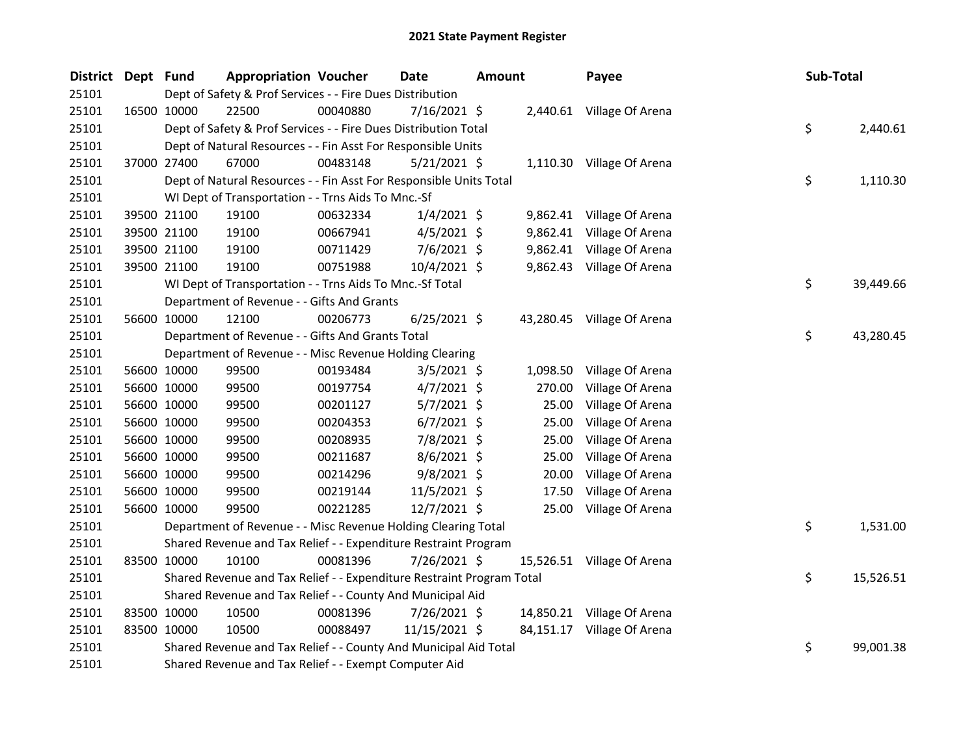| <b>District</b> | Dept Fund |             | <b>Appropriation Voucher</b>                                          |          | <b>Date</b>    | <b>Amount</b> |          | Payee                      | Sub-Total |           |
|-----------------|-----------|-------------|-----------------------------------------------------------------------|----------|----------------|---------------|----------|----------------------------|-----------|-----------|
| 25101           |           |             | Dept of Safety & Prof Services - - Fire Dues Distribution             |          |                |               |          |                            |           |           |
| 25101           |           | 16500 10000 | 22500                                                                 | 00040880 | 7/16/2021 \$   |               |          | 2,440.61 Village Of Arena  |           |           |
| 25101           |           |             | Dept of Safety & Prof Services - - Fire Dues Distribution Total       |          |                |               |          |                            | \$        | 2,440.61  |
| 25101           |           |             | Dept of Natural Resources - - Fin Asst For Responsible Units          |          |                |               |          |                            |           |           |
| 25101           |           | 37000 27400 | 67000                                                                 | 00483148 | $5/21/2021$ \$ |               |          | 1,110.30 Village Of Arena  |           |           |
| 25101           |           |             | Dept of Natural Resources - - Fin Asst For Responsible Units Total    |          |                |               |          |                            | \$        | 1,110.30  |
| 25101           |           |             | WI Dept of Transportation - - Trns Aids To Mnc.-Sf                    |          |                |               |          |                            |           |           |
| 25101           |           | 39500 21100 | 19100                                                                 | 00632334 | $1/4/2021$ \$  |               |          | 9,862.41 Village Of Arena  |           |           |
| 25101           |           | 39500 21100 | 19100                                                                 | 00667941 | $4/5/2021$ \$  |               | 9,862.41 | Village Of Arena           |           |           |
| 25101           |           | 39500 21100 | 19100                                                                 | 00711429 | 7/6/2021 \$    |               |          | 9,862.41 Village Of Arena  |           |           |
| 25101           |           | 39500 21100 | 19100                                                                 | 00751988 | 10/4/2021 \$   |               |          | 9,862.43 Village Of Arena  |           |           |
| 25101           |           |             | WI Dept of Transportation - - Trns Aids To Mnc.-Sf Total              |          |                |               |          |                            | \$        | 39,449.66 |
| 25101           |           |             | Department of Revenue - - Gifts And Grants                            |          |                |               |          |                            |           |           |
| 25101           |           | 56600 10000 | 12100                                                                 | 00206773 | $6/25/2021$ \$ |               |          | 43,280.45 Village Of Arena |           |           |
| 25101           |           |             | Department of Revenue - - Gifts And Grants Total                      |          |                |               |          |                            | \$        | 43,280.45 |
| 25101           |           |             | Department of Revenue - - Misc Revenue Holding Clearing               |          |                |               |          |                            |           |           |
| 25101           |           | 56600 10000 | 99500                                                                 | 00193484 | $3/5/2021$ \$  |               | 1,098.50 | Village Of Arena           |           |           |
| 25101           |           | 56600 10000 | 99500                                                                 | 00197754 | $4/7/2021$ \$  |               | 270.00   | Village Of Arena           |           |           |
| 25101           |           | 56600 10000 | 99500                                                                 | 00201127 | $5/7/2021$ \$  |               | 25.00    | Village Of Arena           |           |           |
| 25101           |           | 56600 10000 | 99500                                                                 | 00204353 | $6/7/2021$ \$  |               | 25.00    | Village Of Arena           |           |           |
| 25101           |           | 56600 10000 | 99500                                                                 | 00208935 | 7/8/2021 \$    |               | 25.00    | Village Of Arena           |           |           |
| 25101           |           | 56600 10000 | 99500                                                                 | 00211687 | $8/6/2021$ \$  |               | 25.00    | Village Of Arena           |           |           |
| 25101           |           | 56600 10000 | 99500                                                                 | 00214296 | $9/8/2021$ \$  |               | 20.00    | Village Of Arena           |           |           |
| 25101           |           | 56600 10000 | 99500                                                                 | 00219144 | 11/5/2021 \$   |               | 17.50    | Village Of Arena           |           |           |
| 25101           |           | 56600 10000 | 99500                                                                 | 00221285 | 12/7/2021 \$   |               | 25.00    | Village Of Arena           |           |           |
| 25101           |           |             | Department of Revenue - - Misc Revenue Holding Clearing Total         |          |                |               |          |                            | \$.       | 1,531.00  |
| 25101           |           |             | Shared Revenue and Tax Relief - - Expenditure Restraint Program       |          |                |               |          |                            |           |           |
| 25101           |           | 83500 10000 | 10100                                                                 | 00081396 | 7/26/2021 \$   |               |          | 15,526.51 Village Of Arena |           |           |
| 25101           |           |             | Shared Revenue and Tax Relief - - Expenditure Restraint Program Total |          |                |               |          |                            | \$        | 15,526.51 |
| 25101           |           |             | Shared Revenue and Tax Relief - - County And Municipal Aid            |          |                |               |          |                            |           |           |
| 25101           |           | 83500 10000 | 10500                                                                 | 00081396 | 7/26/2021 \$   |               |          | 14,850.21 Village Of Arena |           |           |
| 25101           |           | 83500 10000 | 10500                                                                 | 00088497 | 11/15/2021 \$  |               |          | 84,151.17 Village Of Arena |           |           |
| 25101           |           |             | Shared Revenue and Tax Relief - - County And Municipal Aid Total      |          |                |               |          |                            | \$        | 99,001.38 |
| 25101           |           |             | Shared Revenue and Tax Relief - - Exempt Computer Aid                 |          |                |               |          |                            |           |           |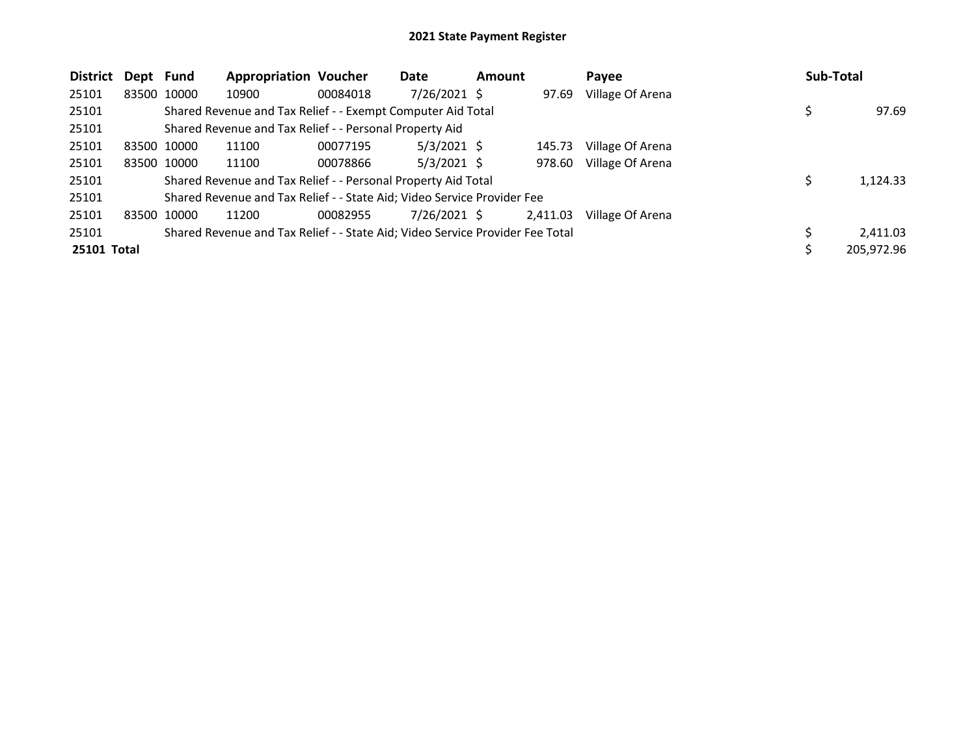| <b>District</b> | Dept Fund |             | <b>Appropriation Voucher</b>                                                  |          | Date           | <b>Amount</b> |          | Payee            | Sub-Total |            |
|-----------------|-----------|-------------|-------------------------------------------------------------------------------|----------|----------------|---------------|----------|------------------|-----------|------------|
| 25101           |           | 83500 10000 | 10900                                                                         | 00084018 | $7/26/2021$ \$ |               | 97.69    | Village Of Arena |           |            |
| 25101           |           |             | Shared Revenue and Tax Relief - - Exempt Computer Aid Total                   |          |                |               |          |                  | Ş         | 97.69      |
| 25101           |           |             | Shared Revenue and Tax Relief - - Personal Property Aid                       |          |                |               |          |                  |           |            |
| 25101           |           | 83500 10000 | 11100                                                                         | 00077195 | $5/3/2021$ \$  |               | 145.73   | Village Of Arena |           |            |
| 25101           |           | 83500 10000 | 11100                                                                         | 00078866 | $5/3/2021$ \$  |               | 978.60   | Village Of Arena |           |            |
| 25101           |           |             | Shared Revenue and Tax Relief - - Personal Property Aid Total                 |          |                |               |          |                  | S         | 1,124.33   |
| 25101           |           |             | Shared Revenue and Tax Relief - - State Aid; Video Service Provider Fee       |          |                |               |          |                  |           |            |
| 25101           |           | 83500 10000 | 11200                                                                         | 00082955 | $7/26/2021$ \$ |               | 2,411.03 | Village Of Arena |           |            |
| 25101           |           |             | Shared Revenue and Tax Relief - - State Aid; Video Service Provider Fee Total |          |                |               |          |                  | S         | 2,411.03   |
| 25101 Total     |           |             |                                                                               |          |                |               |          |                  |           | 205,972.96 |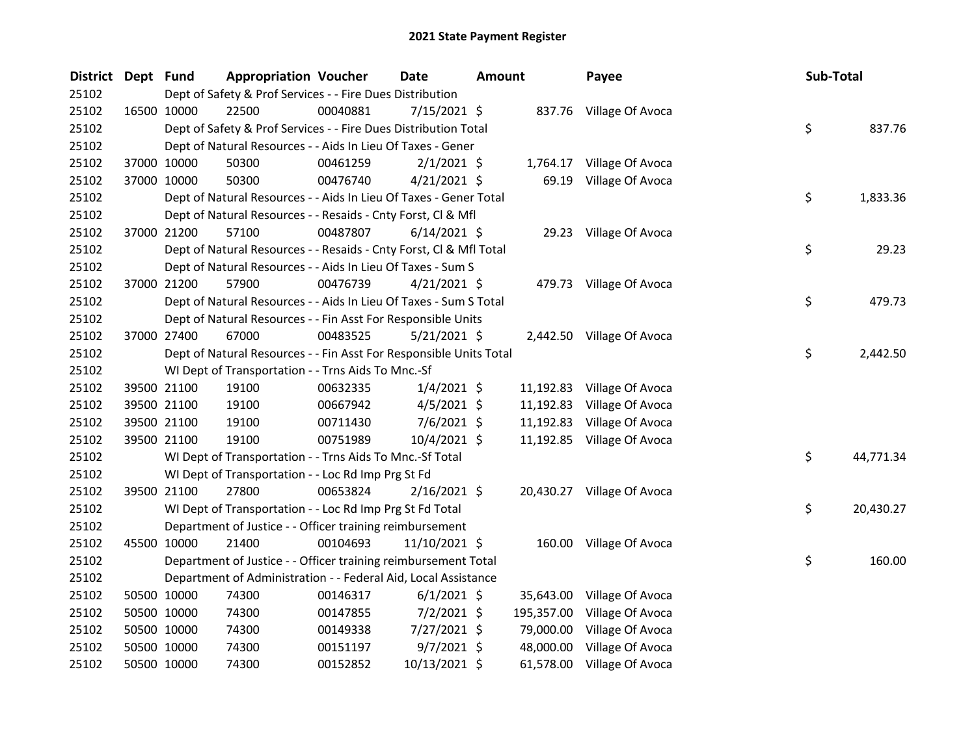| <b>District</b> | Dept Fund |             | <b>Appropriation Voucher</b>                                       |          | <b>Date</b>    | <b>Amount</b> |            | Payee                      | Sub-Total |           |
|-----------------|-----------|-------------|--------------------------------------------------------------------|----------|----------------|---------------|------------|----------------------------|-----------|-----------|
| 25102           |           |             | Dept of Safety & Prof Services - - Fire Dues Distribution          |          |                |               |            |                            |           |           |
| 25102           |           | 16500 10000 | 22500                                                              | 00040881 | 7/15/2021 \$   |               |            | 837.76 Village Of Avoca    |           |           |
| 25102           |           |             | Dept of Safety & Prof Services - - Fire Dues Distribution Total    |          |                |               |            |                            | \$        | 837.76    |
| 25102           |           |             | Dept of Natural Resources - - Aids In Lieu Of Taxes - Gener        |          |                |               |            |                            |           |           |
| 25102           |           | 37000 10000 | 50300                                                              | 00461259 | $2/1/2021$ \$  |               |            | 1,764.17 Village Of Avoca  |           |           |
| 25102           |           | 37000 10000 | 50300                                                              | 00476740 | $4/21/2021$ \$ |               | 69.19      | Village Of Avoca           |           |           |
| 25102           |           |             | Dept of Natural Resources - - Aids In Lieu Of Taxes - Gener Total  |          |                |               |            |                            | \$        | 1,833.36  |
| 25102           |           |             | Dept of Natural Resources - - Resaids - Cnty Forst, Cl & Mfl       |          |                |               |            |                            |           |           |
| 25102           |           | 37000 21200 | 57100                                                              | 00487807 | $6/14/2021$ \$ |               |            | 29.23 Village Of Avoca     |           |           |
| 25102           |           |             | Dept of Natural Resources - - Resaids - Cnty Forst, CI & Mfl Total |          |                |               |            |                            | \$        | 29.23     |
| 25102           |           |             | Dept of Natural Resources - - Aids In Lieu Of Taxes - Sum S        |          |                |               |            |                            |           |           |
| 25102           |           | 37000 21200 | 57900                                                              | 00476739 | $4/21/2021$ \$ |               |            | 479.73 Village Of Avoca    |           |           |
| 25102           |           |             | Dept of Natural Resources - - Aids In Lieu Of Taxes - Sum S Total  |          |                |               |            |                            | \$        | 479.73    |
| 25102           |           |             | Dept of Natural Resources - - Fin Asst For Responsible Units       |          |                |               |            |                            |           |           |
| 25102           |           | 37000 27400 | 67000                                                              | 00483525 | $5/21/2021$ \$ |               |            | 2,442.50 Village Of Avoca  |           |           |
| 25102           |           |             | Dept of Natural Resources - - Fin Asst For Responsible Units Total |          |                |               |            |                            | \$        | 2,442.50  |
| 25102           |           |             | WI Dept of Transportation - - Trns Aids To Mnc.-Sf                 |          |                |               |            |                            |           |           |
| 25102           |           | 39500 21100 | 19100                                                              | 00632335 | $1/4/2021$ \$  |               |            | 11,192.83 Village Of Avoca |           |           |
| 25102           |           | 39500 21100 | 19100                                                              | 00667942 | $4/5/2021$ \$  |               |            | 11,192.83 Village Of Avoca |           |           |
| 25102           |           | 39500 21100 | 19100                                                              | 00711430 | $7/6/2021$ \$  |               |            | 11,192.83 Village Of Avoca |           |           |
| 25102           |           | 39500 21100 | 19100                                                              | 00751989 | 10/4/2021 \$   |               |            | 11,192.85 Village Of Avoca |           |           |
| 25102           |           |             | WI Dept of Transportation - - Trns Aids To Mnc.-Sf Total           |          |                |               |            |                            | \$        | 44,771.34 |
| 25102           |           |             | WI Dept of Transportation - - Loc Rd Imp Prg St Fd                 |          |                |               |            |                            |           |           |
| 25102           |           | 39500 21100 | 27800                                                              | 00653824 | $2/16/2021$ \$ |               |            | 20,430.27 Village Of Avoca |           |           |
| 25102           |           |             | WI Dept of Transportation - - Loc Rd Imp Prg St Fd Total           |          |                |               |            |                            | \$        | 20,430.27 |
| 25102           |           |             | Department of Justice - - Officer training reimbursement           |          |                |               |            |                            |           |           |
| 25102           |           | 45500 10000 | 21400                                                              | 00104693 | 11/10/2021 \$  |               |            | 160.00 Village Of Avoca    |           |           |
| 25102           |           |             | Department of Justice - - Officer training reimbursement Total     |          |                |               |            |                            | \$        | 160.00    |
| 25102           |           |             | Department of Administration - - Federal Aid, Local Assistance     |          |                |               |            |                            |           |           |
| 25102           |           | 50500 10000 | 74300                                                              | 00146317 | $6/1/2021$ \$  |               |            | 35,643.00 Village Of Avoca |           |           |
| 25102           |           | 50500 10000 | 74300                                                              | 00147855 | $7/2/2021$ \$  |               | 195,357.00 | Village Of Avoca           |           |           |
| 25102           |           | 50500 10000 | 74300                                                              | 00149338 | 7/27/2021 \$   |               |            | 79,000.00 Village Of Avoca |           |           |
| 25102           |           | 50500 10000 | 74300                                                              | 00151197 | $9/7/2021$ \$  |               | 48,000.00  | Village Of Avoca           |           |           |
| 25102           |           | 50500 10000 | 74300                                                              | 00152852 | 10/13/2021 \$  |               | 61,578.00  | Village Of Avoca           |           |           |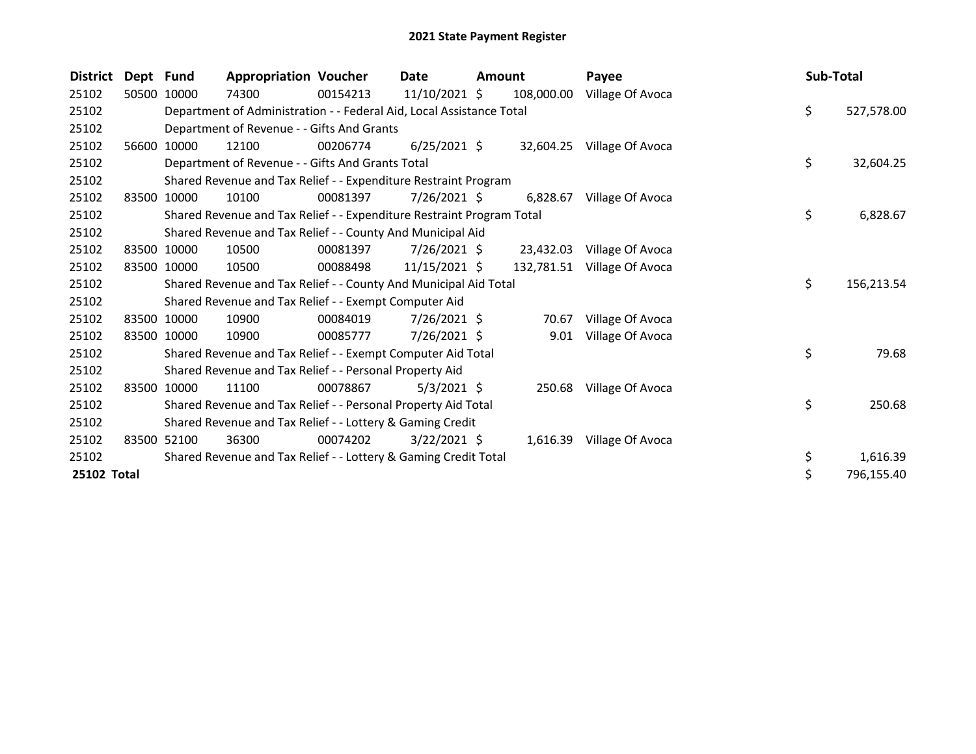| <b>District</b> | Dept Fund |             | <b>Appropriation Voucher</b>                                          |          | Date           | Amount |            | Payee                   | Sub-Total |            |
|-----------------|-----------|-------------|-----------------------------------------------------------------------|----------|----------------|--------|------------|-------------------------|-----------|------------|
| 25102           | 50500     | 10000       | 74300                                                                 | 00154213 | 11/10/2021 \$  |        | 108,000.00 | Village Of Avoca        |           |            |
| 25102           |           |             | Department of Administration - - Federal Aid, Local Assistance Total  |          |                |        |            |                         | \$        | 527,578.00 |
| 25102           |           |             | Department of Revenue - - Gifts And Grants                            |          |                |        |            |                         |           |            |
| 25102           | 56600     | 10000       | 12100                                                                 | 00206774 | $6/25/2021$ \$ |        | 32,604.25  | Village Of Avoca        |           |            |
| 25102           |           |             | Department of Revenue - - Gifts And Grants Total                      |          |                |        |            |                         | \$        | 32,604.25  |
| 25102           |           |             | Shared Revenue and Tax Relief - - Expenditure Restraint Program       |          |                |        |            |                         |           |            |
| 25102           | 83500     | 10000       | 10100                                                                 | 00081397 | 7/26/2021 \$   |        | 6,828.67   | Village Of Avoca        |           |            |
| 25102           |           |             | Shared Revenue and Tax Relief - - Expenditure Restraint Program Total |          |                |        |            |                         | \$        | 6,828.67   |
| 25102           |           |             | Shared Revenue and Tax Relief - - County And Municipal Aid            |          |                |        |            |                         |           |            |
| 25102           |           | 83500 10000 | 10500                                                                 | 00081397 | $7/26/2021$ \$ |        | 23,432.03  | Village Of Avoca        |           |            |
| 25102           |           | 83500 10000 | 10500                                                                 | 00088498 | 11/15/2021 \$  |        | 132,781.51 | Village Of Avoca        |           |            |
| 25102           |           |             | Shared Revenue and Tax Relief - - County And Municipal Aid Total      |          |                |        |            |                         | \$        | 156,213.54 |
| 25102           |           |             | Shared Revenue and Tax Relief - - Exempt Computer Aid                 |          |                |        |            |                         |           |            |
| 25102           |           | 83500 10000 | 10900                                                                 | 00084019 | $7/26/2021$ \$ |        | 70.67      | Village Of Avoca        |           |            |
| 25102           | 83500     | 10000       | 10900                                                                 | 00085777 | 7/26/2021 \$   |        | 9.01       | Village Of Avoca        |           |            |
| 25102           |           |             | Shared Revenue and Tax Relief - - Exempt Computer Aid Total           |          |                |        |            |                         | \$        | 79.68      |
| 25102           |           |             | Shared Revenue and Tax Relief - - Personal Property Aid               |          |                |        |            |                         |           |            |
| 25102           |           | 83500 10000 | 11100                                                                 | 00078867 | 5/3/2021 \$    |        |            | 250.68 Village Of Avoca |           |            |
| 25102           |           |             | Shared Revenue and Tax Relief - - Personal Property Aid Total         |          |                |        |            |                         | \$        | 250.68     |
| 25102           |           |             | Shared Revenue and Tax Relief - - Lottery & Gaming Credit             |          |                |        |            |                         |           |            |
| 25102           | 83500     | 52100       | 36300                                                                 | 00074202 | $3/22/2021$ \$ |        | 1,616.39   | Village Of Avoca        |           |            |
| 25102           |           |             | Shared Revenue and Tax Relief - - Lottery & Gaming Credit Total       |          |                |        |            |                         | \$        | 1,616.39   |
| 25102 Total     |           |             |                                                                       |          |                |        |            |                         | \$        | 796,155.40 |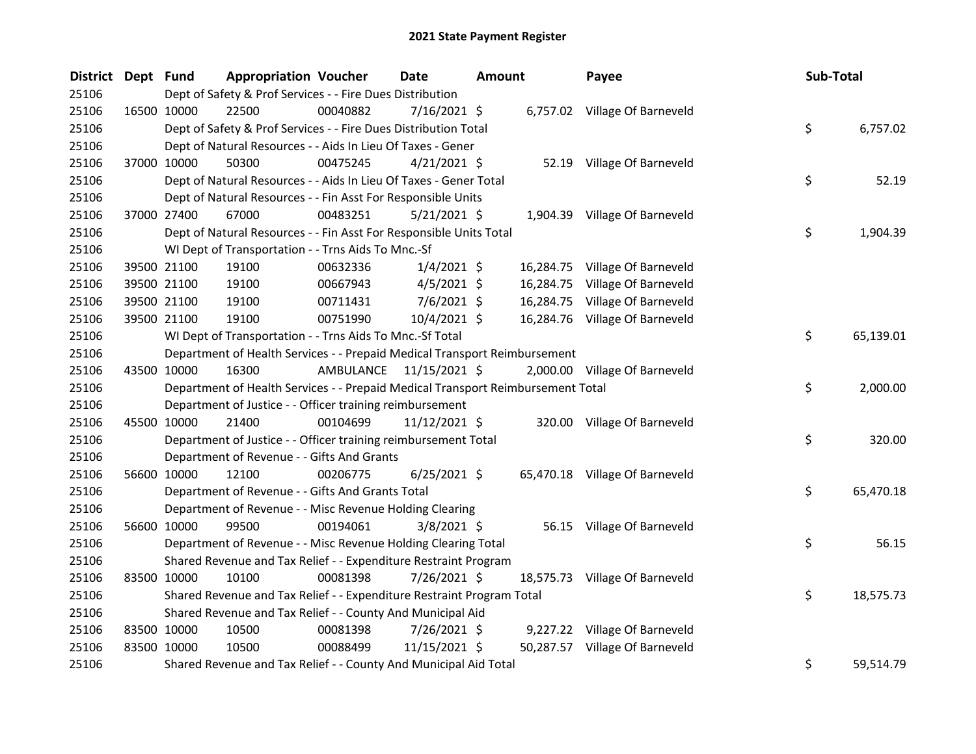| District Dept Fund |             |             | <b>Appropriation Voucher</b>                                                    |                         | <b>Date</b>     | <b>Amount</b> | Payee                          | Sub-Total |           |
|--------------------|-------------|-------------|---------------------------------------------------------------------------------|-------------------------|-----------------|---------------|--------------------------------|-----------|-----------|
| 25106              |             |             | Dept of Safety & Prof Services - - Fire Dues Distribution                       |                         |                 |               |                                |           |           |
| 25106              | 16500 10000 |             | 22500                                                                           | 00040882                | 7/16/2021 \$    |               | 6,757.02 Village Of Barneveld  |           |           |
| 25106              |             |             | Dept of Safety & Prof Services - - Fire Dues Distribution Total                 |                         |                 |               |                                | \$        | 6,757.02  |
| 25106              |             |             | Dept of Natural Resources - - Aids In Lieu Of Taxes - Gener                     |                         |                 |               |                                |           |           |
| 25106              |             | 37000 10000 | 50300                                                                           | 00475245                | $4/21/2021$ \$  |               | 52.19 Village Of Barneveld     |           |           |
| 25106              |             |             | Dept of Natural Resources - - Aids In Lieu Of Taxes - Gener Total               |                         |                 |               |                                | \$        | 52.19     |
| 25106              |             |             | Dept of Natural Resources - - Fin Asst For Responsible Units                    |                         |                 |               |                                |           |           |
| 25106              |             | 37000 27400 | 67000                                                                           | 00483251                | $5/21/2021$ \$  |               | 1,904.39 Village Of Barneveld  |           |           |
| 25106              |             |             | Dept of Natural Resources - - Fin Asst For Responsible Units Total              |                         |                 |               |                                | \$        | 1,904.39  |
| 25106              |             |             | WI Dept of Transportation - - Trns Aids To Mnc.-Sf                              |                         |                 |               |                                |           |           |
| 25106              |             | 39500 21100 | 19100                                                                           | 00632336                | $1/4/2021$ \$   |               | 16,284.75 Village Of Barneveld |           |           |
| 25106              |             | 39500 21100 | 19100                                                                           | 00667943                | $4/5/2021$ \$   |               | 16,284.75 Village Of Barneveld |           |           |
| 25106              |             | 39500 21100 | 19100                                                                           | 00711431                | $7/6/2021$ \$   |               | 16,284.75 Village Of Barneveld |           |           |
| 25106              |             | 39500 21100 | 19100                                                                           | 00751990                | 10/4/2021 \$    |               | 16,284.76 Village Of Barneveld |           |           |
| 25106              |             |             | WI Dept of Transportation - - Trns Aids To Mnc.-Sf Total                        |                         |                 |               |                                | \$        | 65,139.01 |
| 25106              |             |             | Department of Health Services - - Prepaid Medical Transport Reimbursement       |                         |                 |               |                                |           |           |
| 25106              |             | 43500 10000 | 16300                                                                           | AMBULANCE 11/15/2021 \$ |                 |               | 2,000.00 Village Of Barneveld  |           |           |
| 25106              |             |             | Department of Health Services - - Prepaid Medical Transport Reimbursement Total |                         |                 |               |                                | \$        | 2,000.00  |
| 25106              |             |             | Department of Justice - - Officer training reimbursement                        |                         |                 |               |                                |           |           |
| 25106              |             | 45500 10000 | 21400                                                                           | 00104699                | $11/12/2021$ \$ |               | 320.00 Village Of Barneveld    |           |           |
| 25106              |             |             | Department of Justice - - Officer training reimbursement Total                  |                         |                 |               |                                | \$        | 320.00    |
| 25106              |             |             | Department of Revenue - - Gifts And Grants                                      |                         |                 |               |                                |           |           |
| 25106              |             | 56600 10000 | 12100                                                                           | 00206775                | $6/25/2021$ \$  |               | 65,470.18 Village Of Barneveld |           |           |
| 25106              |             |             | Department of Revenue - - Gifts And Grants Total                                |                         |                 |               |                                | \$        | 65,470.18 |
| 25106              |             |             | Department of Revenue - - Misc Revenue Holding Clearing                         |                         |                 |               |                                |           |           |
| 25106              |             | 56600 10000 | 99500                                                                           | 00194061                | $3/8/2021$ \$   |               | 56.15 Village Of Barneveld     |           |           |
| 25106              |             |             | Department of Revenue - - Misc Revenue Holding Clearing Total                   |                         |                 |               |                                | \$        | 56.15     |
| 25106              |             |             | Shared Revenue and Tax Relief - - Expenditure Restraint Program                 |                         |                 |               |                                |           |           |
| 25106              | 83500 10000 |             | 10100                                                                           | 00081398                | 7/26/2021 \$    |               | 18,575.73 Village Of Barneveld |           |           |
| 25106              |             |             | Shared Revenue and Tax Relief - - Expenditure Restraint Program Total           |                         |                 |               |                                | \$        | 18,575.73 |
| 25106              |             |             | Shared Revenue and Tax Relief - - County And Municipal Aid                      |                         |                 |               |                                |           |           |
| 25106              |             | 83500 10000 | 10500                                                                           | 00081398                | 7/26/2021 \$    |               | 9,227.22 Village Of Barneveld  |           |           |
| 25106              | 83500 10000 |             | 10500                                                                           | 00088499                | 11/15/2021 \$   |               | 50,287.57 Village Of Barneveld |           |           |
| 25106              |             |             | Shared Revenue and Tax Relief - - County And Municipal Aid Total                |                         |                 |               |                                | \$        | 59,514.79 |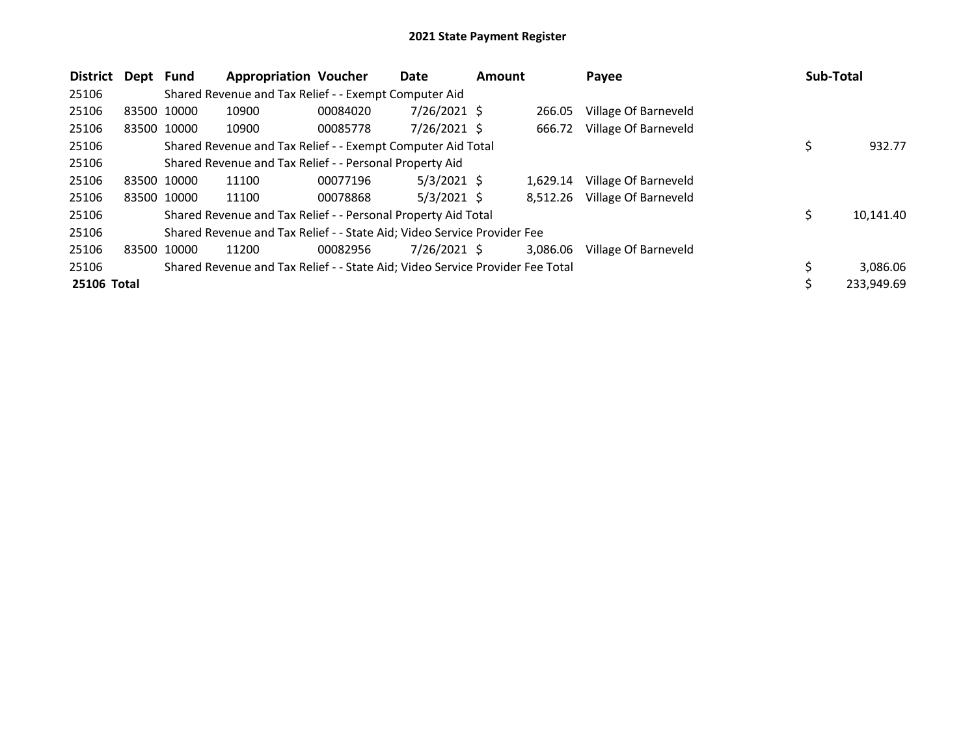| <b>District</b>    | Dept        | <b>Fund</b> | <b>Appropriation Voucher</b>                                                  |          | Date           | <b>Amount</b> |          | Payee                | <b>Sub-Total</b> |            |
|--------------------|-------------|-------------|-------------------------------------------------------------------------------|----------|----------------|---------------|----------|----------------------|------------------|------------|
| 25106              |             |             | Shared Revenue and Tax Relief - - Exempt Computer Aid                         |          |                |               |          |                      |                  |            |
| 25106              | 83500 10000 |             | 10900                                                                         | 00084020 | 7/26/2021 \$   |               | 266.05   | Village Of Barneveld |                  |            |
| 25106              | 83500 10000 |             | 10900                                                                         | 00085778 | $7/26/2021$ \$ |               | 666.72   | Village Of Barneveld |                  |            |
| 25106              |             |             | Shared Revenue and Tax Relief - - Exempt Computer Aid Total                   |          |                |               |          |                      | \$               | 932.77     |
| 25106              |             |             | Shared Revenue and Tax Relief - - Personal Property Aid                       |          |                |               |          |                      |                  |            |
| 25106              |             | 83500 10000 | 11100                                                                         | 00077196 | $5/3/2021$ \$  |               | 1,629.14 | Village Of Barneveld |                  |            |
| 25106              |             | 83500 10000 | 11100                                                                         | 00078868 | $5/3/2021$ \$  |               | 8.512.26 | Village Of Barneveld |                  |            |
| 25106              |             |             | Shared Revenue and Tax Relief - - Personal Property Aid Total                 |          |                |               |          |                      | \$.              | 10,141.40  |
| 25106              |             |             | Shared Revenue and Tax Relief - - State Aid; Video Service Provider Fee       |          |                |               |          |                      |                  |            |
| 25106              | 83500 10000 |             | 11200                                                                         | 00082956 | 7/26/2021 \$   |               | 3,086.06 | Village Of Barneveld |                  |            |
| 25106              |             |             | Shared Revenue and Tax Relief - - State Aid; Video Service Provider Fee Total |          |                |               |          |                      |                  | 3,086.06   |
| <b>25106 Total</b> |             |             |                                                                               |          |                |               |          |                      |                  | 233,949.69 |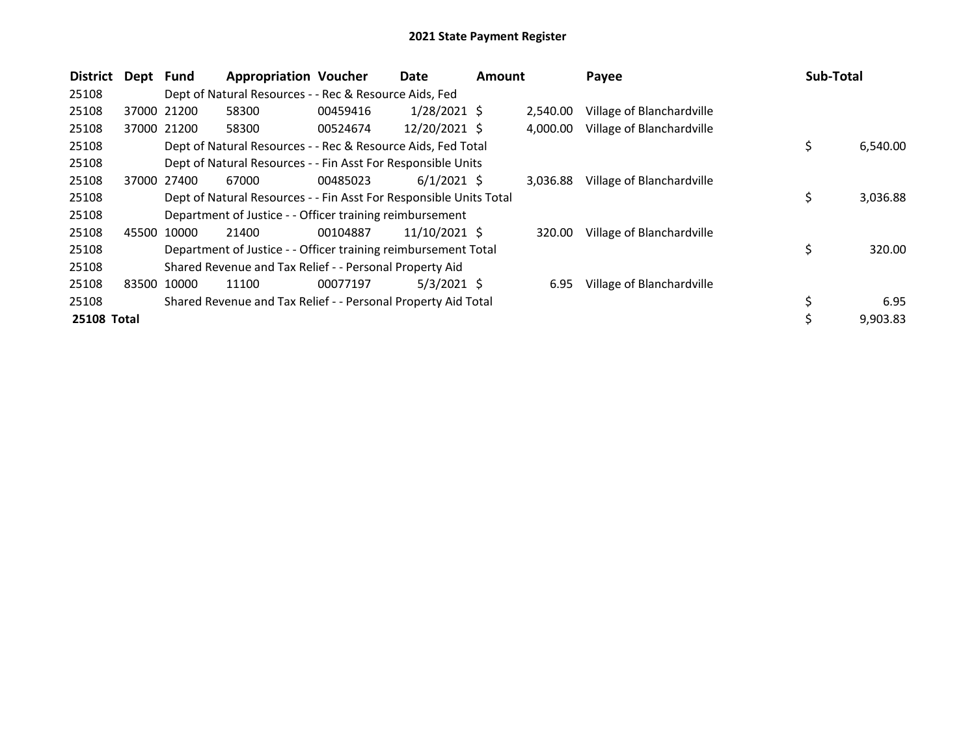| <b>District</b> | Dept Fund |             | <b>Appropriation Voucher</b>                                       |          | Date           | <b>Amount</b> |          | Payee                     | Sub-Total      |
|-----------------|-----------|-------------|--------------------------------------------------------------------|----------|----------------|---------------|----------|---------------------------|----------------|
| 25108           |           |             | Dept of Natural Resources - - Rec & Resource Aids, Fed             |          |                |               |          |                           |                |
| 25108           |           | 37000 21200 | 58300                                                              | 00459416 | $1/28/2021$ \$ |               | 2,540.00 | Village of Blanchardville |                |
| 25108           |           | 37000 21200 | 58300                                                              | 00524674 | 12/20/2021 \$  |               | 4.000.00 | Village of Blanchardville |                |
| 25108           |           |             | Dept of Natural Resources - - Rec & Resource Aids, Fed Total       |          |                |               |          |                           | \$<br>6,540.00 |
| 25108           |           |             | Dept of Natural Resources - - Fin Asst For Responsible Units       |          |                |               |          |                           |                |
| 25108           | 37000     | 27400       | 67000                                                              | 00485023 | $6/1/2021$ \$  |               | 3.036.88 | Village of Blanchardville |                |
| 25108           |           |             | Dept of Natural Resources - - Fin Asst For Responsible Units Total |          |                |               |          |                           | \$<br>3,036.88 |
| 25108           |           |             | Department of Justice - - Officer training reimbursement           |          |                |               |          |                           |                |
| 25108           |           | 45500 10000 | 21400                                                              | 00104887 | 11/10/2021 \$  |               | 320.00   | Village of Blanchardville |                |
| 25108           |           |             | Department of Justice - - Officer training reimbursement Total     |          |                |               |          |                           | \$<br>320.00   |
| 25108           |           |             | Shared Revenue and Tax Relief - - Personal Property Aid            |          |                |               |          |                           |                |
| 25108           |           | 83500 10000 | 11100                                                              | 00077197 | $5/3/2021$ \$  |               | 6.95     | Village of Blanchardville |                |
| 25108           |           |             | Shared Revenue and Tax Relief - - Personal Property Aid Total      |          |                |               |          |                           | \$<br>6.95     |
| 25108 Total     |           |             |                                                                    |          |                |               |          |                           | 9,903.83       |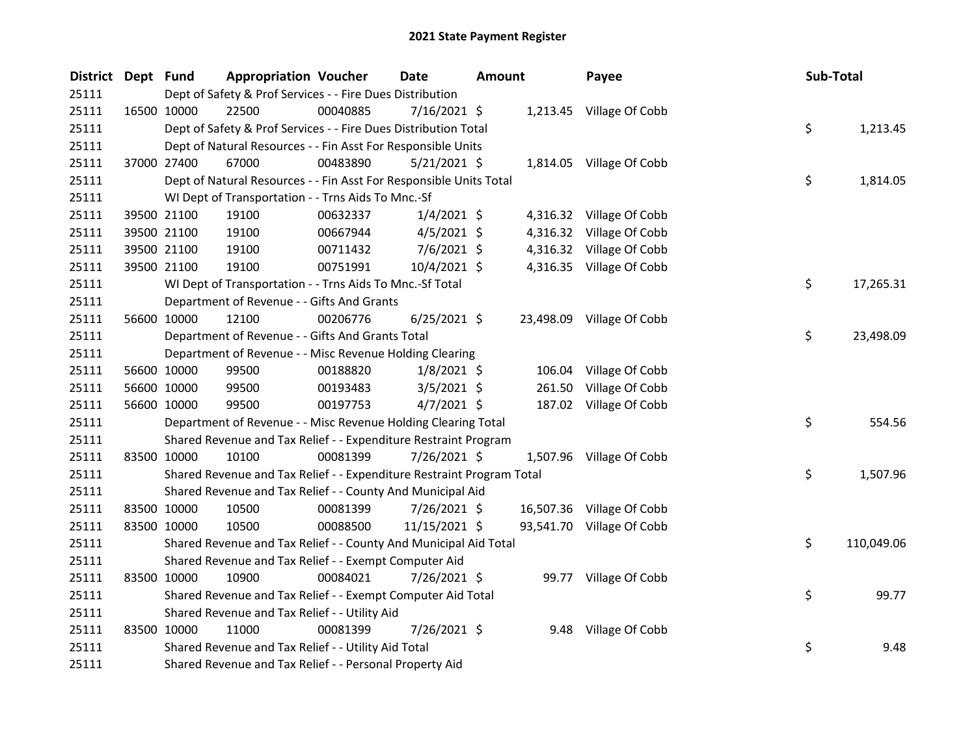| <b>District</b> | Dept Fund   |             | <b>Appropriation Voucher</b>                                          |          | Date           | <b>Amount</b> |          | Payee                     | Sub-Total |            |
|-----------------|-------------|-------------|-----------------------------------------------------------------------|----------|----------------|---------------|----------|---------------------------|-----------|------------|
| 25111           |             |             | Dept of Safety & Prof Services - - Fire Dues Distribution             |          |                |               |          |                           |           |            |
| 25111           |             | 16500 10000 | 22500                                                                 | 00040885 | 7/16/2021 \$   |               |          | 1,213.45 Village Of Cobb  |           |            |
| 25111           |             |             | Dept of Safety & Prof Services - - Fire Dues Distribution Total       |          |                |               |          |                           | \$        | 1,213.45   |
| 25111           |             |             | Dept of Natural Resources - - Fin Asst For Responsible Units          |          |                |               |          |                           |           |            |
| 25111           |             | 37000 27400 | 67000                                                                 | 00483890 | $5/21/2021$ \$ |               |          | 1,814.05 Village Of Cobb  |           |            |
| 25111           |             |             | Dept of Natural Resources - - Fin Asst For Responsible Units Total    |          |                |               |          |                           | \$        | 1,814.05   |
| 25111           |             |             | WI Dept of Transportation - - Trns Aids To Mnc.-Sf                    |          |                |               |          |                           |           |            |
| 25111           |             | 39500 21100 | 19100                                                                 | 00632337 | $1/4/2021$ \$  |               |          | 4,316.32 Village Of Cobb  |           |            |
| 25111           |             | 39500 21100 | 19100                                                                 | 00667944 | $4/5/2021$ \$  |               | 4,316.32 | Village Of Cobb           |           |            |
| 25111           |             | 39500 21100 | 19100                                                                 | 00711432 | $7/6/2021$ \$  |               |          | 4,316.32 Village Of Cobb  |           |            |
| 25111           |             | 39500 21100 | 19100                                                                 | 00751991 | 10/4/2021 \$   |               |          | 4,316.35 Village Of Cobb  |           |            |
| 25111           |             |             | WI Dept of Transportation - - Trns Aids To Mnc.-Sf Total              |          |                |               |          |                           | \$        | 17,265.31  |
| 25111           |             |             | Department of Revenue - - Gifts And Grants                            |          |                |               |          |                           |           |            |
| 25111           |             | 56600 10000 | 12100                                                                 | 00206776 | $6/25/2021$ \$ |               |          | 23,498.09 Village Of Cobb |           |            |
| 25111           |             |             | Department of Revenue - - Gifts And Grants Total                      |          |                |               |          |                           | \$        | 23,498.09  |
| 25111           |             |             | Department of Revenue - - Misc Revenue Holding Clearing               |          |                |               |          |                           |           |            |
| 25111           |             | 56600 10000 | 99500                                                                 | 00188820 | $1/8/2021$ \$  |               | 106.04   | Village Of Cobb           |           |            |
| 25111           |             | 56600 10000 | 99500                                                                 | 00193483 | $3/5/2021$ \$  |               | 261.50   | Village Of Cobb           |           |            |
| 25111           |             | 56600 10000 | 99500                                                                 | 00197753 | $4/7/2021$ \$  |               |          | 187.02 Village Of Cobb    |           |            |
| 25111           |             |             | Department of Revenue - - Misc Revenue Holding Clearing Total         |          |                |               |          |                           | \$        | 554.56     |
| 25111           |             |             | Shared Revenue and Tax Relief - - Expenditure Restraint Program       |          |                |               |          |                           |           |            |
| 25111           |             | 83500 10000 | 10100                                                                 | 00081399 | 7/26/2021 \$   |               |          | 1,507.96 Village Of Cobb  |           |            |
| 25111           |             |             | Shared Revenue and Tax Relief - - Expenditure Restraint Program Total |          |                |               |          |                           | \$        | 1,507.96   |
| 25111           |             |             | Shared Revenue and Tax Relief - - County And Municipal Aid            |          |                |               |          |                           |           |            |
| 25111           |             | 83500 10000 | 10500                                                                 | 00081399 | 7/26/2021 \$   |               |          | 16,507.36 Village Of Cobb |           |            |
| 25111           | 83500 10000 |             | 10500                                                                 | 00088500 | 11/15/2021 \$  |               |          | 93,541.70 Village Of Cobb |           |            |
| 25111           |             |             | Shared Revenue and Tax Relief - - County And Municipal Aid Total      |          |                |               |          |                           | \$        | 110,049.06 |
| 25111           |             |             | Shared Revenue and Tax Relief - - Exempt Computer Aid                 |          |                |               |          |                           |           |            |
| 25111           | 83500 10000 |             | 10900                                                                 | 00084021 | 7/26/2021 \$   |               |          | 99.77 Village Of Cobb     |           |            |
| 25111           |             |             | Shared Revenue and Tax Relief - - Exempt Computer Aid Total           |          |                |               |          |                           | \$        | 99.77      |
| 25111           |             |             | Shared Revenue and Tax Relief - - Utility Aid                         |          |                |               |          |                           |           |            |
| 25111           |             | 83500 10000 | 11000                                                                 | 00081399 | 7/26/2021 \$   |               |          | 9.48 Village Of Cobb      |           |            |
| 25111           |             |             | Shared Revenue and Tax Relief - - Utility Aid Total                   |          |                |               |          |                           | \$        | 9.48       |
| 25111           |             |             | Shared Revenue and Tax Relief - - Personal Property Aid               |          |                |               |          |                           |           |            |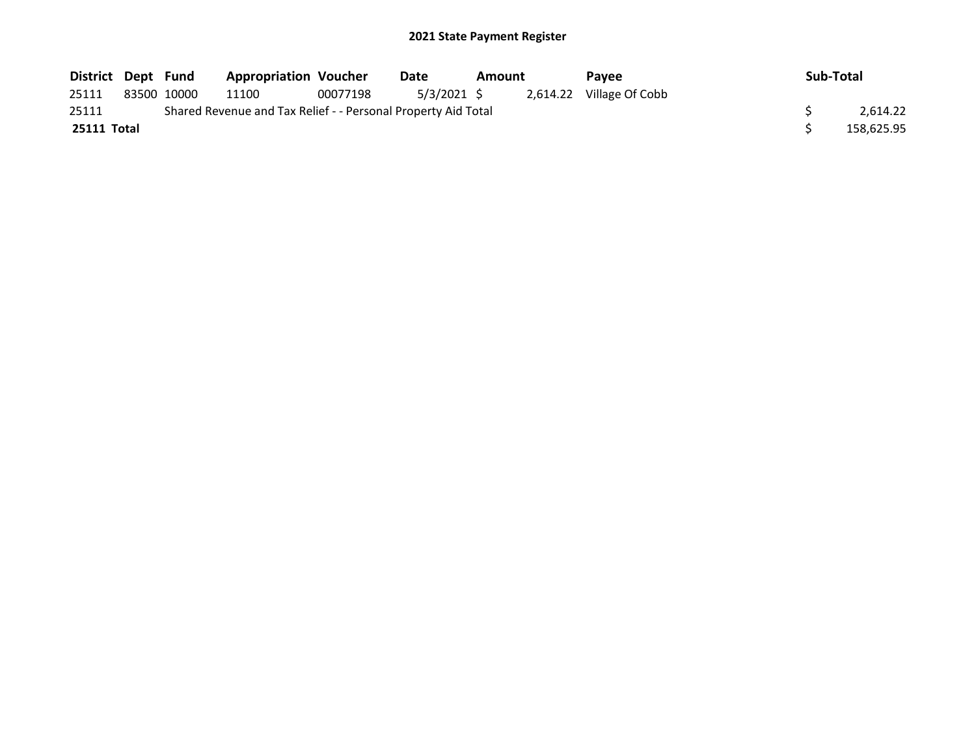| District Dept Fund |             | <b>Appropriation Voucher</b>                                  |          | Date       | <b>Amount</b> | <b>Pavee</b>             | Sub-Total  |
|--------------------|-------------|---------------------------------------------------------------|----------|------------|---------------|--------------------------|------------|
| 25111              | 83500 10000 | 11100                                                         | 00077198 | 5/3/2021 S |               | 2,614.22 Village Of Cobb |            |
| 25111              |             | Shared Revenue and Tax Relief - - Personal Property Aid Total |          |            |               |                          | 2.614.22   |
| 25111 Total        |             |                                                               |          |            |               |                          | 158,625.95 |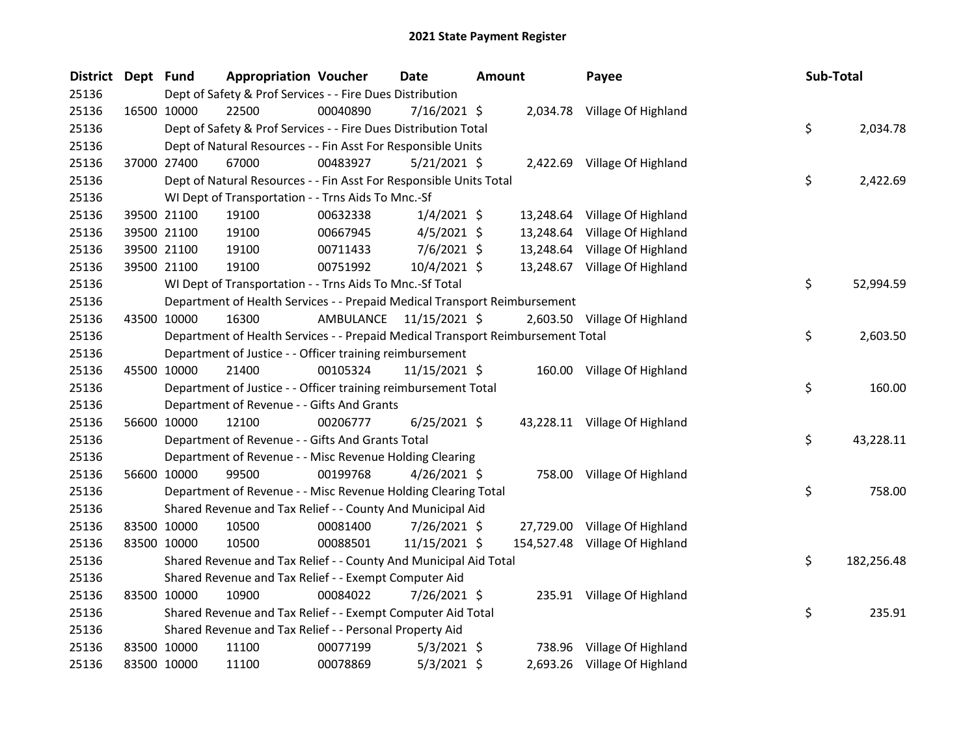| District Dept Fund |             | <b>Appropriation Voucher</b>                                                    |           | <b>Date</b>    | Amount | Payee                          | Sub-Total |            |
|--------------------|-------------|---------------------------------------------------------------------------------|-----------|----------------|--------|--------------------------------|-----------|------------|
| 25136              |             | Dept of Safety & Prof Services - - Fire Dues Distribution                       |           |                |        |                                |           |            |
| 25136              | 16500 10000 | 22500                                                                           | 00040890  | $7/16/2021$ \$ |        | 2,034.78 Village Of Highland   |           |            |
| 25136              |             | Dept of Safety & Prof Services - - Fire Dues Distribution Total                 |           |                |        |                                | \$        | 2,034.78   |
| 25136              |             | Dept of Natural Resources - - Fin Asst For Responsible Units                    |           |                |        |                                |           |            |
| 25136              | 37000 27400 | 67000                                                                           | 00483927  | $5/21/2021$ \$ |        | 2,422.69 Village Of Highland   |           |            |
| 25136              |             | Dept of Natural Resources - - Fin Asst For Responsible Units Total              |           |                |        |                                | \$        | 2,422.69   |
| 25136              |             | WI Dept of Transportation - - Trns Aids To Mnc.-Sf                              |           |                |        |                                |           |            |
| 25136              | 39500 21100 | 19100                                                                           | 00632338  | $1/4/2021$ \$  |        | 13,248.64 Village Of Highland  |           |            |
| 25136              | 39500 21100 | 19100                                                                           | 00667945  | $4/5/2021$ \$  |        | 13,248.64 Village Of Highland  |           |            |
| 25136              | 39500 21100 | 19100                                                                           | 00711433  | 7/6/2021 \$    |        | 13,248.64 Village Of Highland  |           |            |
| 25136              | 39500 21100 | 19100                                                                           | 00751992  | 10/4/2021 \$   |        | 13,248.67 Village Of Highland  |           |            |
| 25136              |             | WI Dept of Transportation - - Trns Aids To Mnc.-Sf Total                        |           |                |        |                                | \$        | 52,994.59  |
| 25136              |             | Department of Health Services - - Prepaid Medical Transport Reimbursement       |           |                |        |                                |           |            |
| 25136              | 43500 10000 | 16300                                                                           | AMBULANCE | 11/15/2021 \$  |        | 2,603.50 Village Of Highland   |           |            |
| 25136              |             | Department of Health Services - - Prepaid Medical Transport Reimbursement Total |           |                |        |                                | \$        | 2,603.50   |
| 25136              |             | Department of Justice - - Officer training reimbursement                        |           |                |        |                                |           |            |
| 25136              | 45500 10000 | 21400                                                                           | 00105324  | 11/15/2021 \$  |        | 160.00 Village Of Highland     |           |            |
| 25136              |             | Department of Justice - - Officer training reimbursement Total                  |           |                |        |                                | \$        | 160.00     |
| 25136              |             | Department of Revenue - - Gifts And Grants                                      |           |                |        |                                |           |            |
| 25136              | 56600 10000 | 12100                                                                           | 00206777  | $6/25/2021$ \$ |        | 43,228.11 Village Of Highland  |           |            |
| 25136              |             | Department of Revenue - - Gifts And Grants Total                                |           |                |        |                                | \$        | 43,228.11  |
| 25136              |             | Department of Revenue - - Misc Revenue Holding Clearing                         |           |                |        |                                |           |            |
| 25136              | 56600 10000 | 99500                                                                           | 00199768  | $4/26/2021$ \$ |        | 758.00 Village Of Highland     |           |            |
| 25136              |             | Department of Revenue - - Misc Revenue Holding Clearing Total                   |           |                |        |                                | \$        | 758.00     |
| 25136              |             | Shared Revenue and Tax Relief - - County And Municipal Aid                      |           |                |        |                                |           |            |
| 25136              | 83500 10000 | 10500                                                                           | 00081400  | 7/26/2021 \$   |        | 27,729.00 Village Of Highland  |           |            |
| 25136              | 83500 10000 | 10500                                                                           | 00088501  | 11/15/2021 \$  |        | 154,527.48 Village Of Highland |           |            |
| 25136              |             | Shared Revenue and Tax Relief - - County And Municipal Aid Total                |           |                |        |                                | \$        | 182,256.48 |
| 25136              |             | Shared Revenue and Tax Relief - - Exempt Computer Aid                           |           |                |        |                                |           |            |
| 25136              | 83500 10000 | 10900                                                                           | 00084022  | 7/26/2021 \$   |        | 235.91 Village Of Highland     |           |            |
| 25136              |             | Shared Revenue and Tax Relief - - Exempt Computer Aid Total                     |           |                |        |                                | \$        | 235.91     |
| 25136              |             | Shared Revenue and Tax Relief - - Personal Property Aid                         |           |                |        |                                |           |            |
| 25136              | 83500 10000 | 11100                                                                           | 00077199  | $5/3/2021$ \$  |        | 738.96 Village Of Highland     |           |            |
| 25136              | 83500 10000 | 11100                                                                           | 00078869  | $5/3/2021$ \$  |        | 2,693.26 Village Of Highland   |           |            |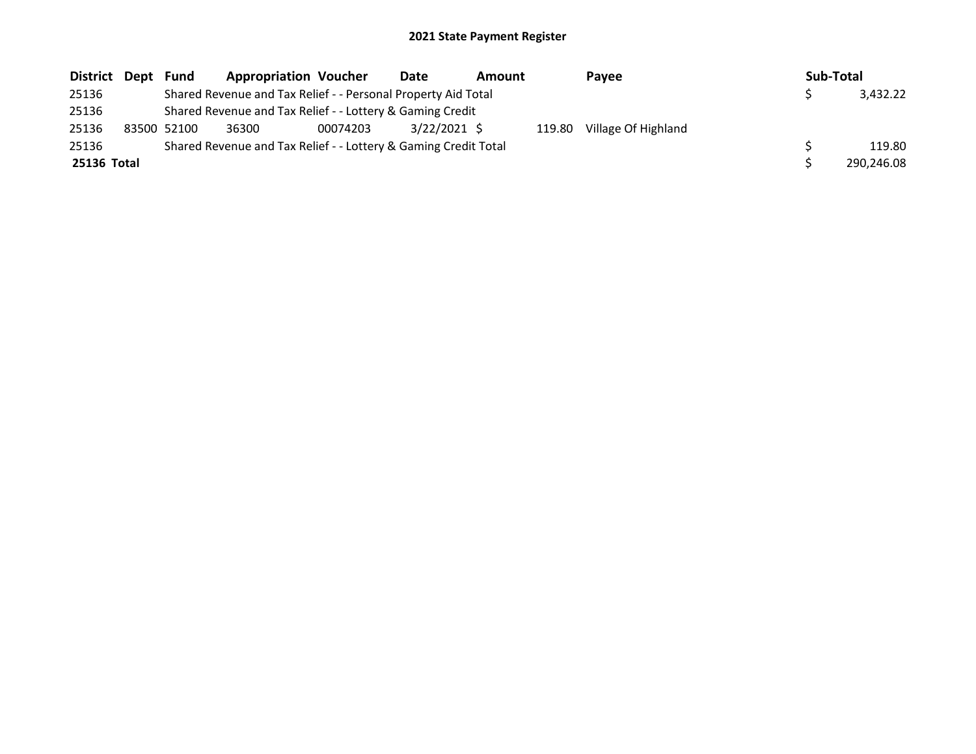| District Dept | Fund        | <b>Appropriation Voucher</b>                                    |          | Date           | Amount |        | Payee               | Sub-Total |            |
|---------------|-------------|-----------------------------------------------------------------|----------|----------------|--------|--------|---------------------|-----------|------------|
| 25136         |             | Shared Revenue and Tax Relief - - Personal Property Aid Total   |          |                |        |        |                     |           | 3.432.22   |
| 25136         |             | Shared Revenue and Tax Relief - - Lottery & Gaming Credit       |          |                |        |        |                     |           |            |
| 25136         | 83500 52100 | 36300                                                           | 00074203 | $3/22/2021$ \$ |        | 119.80 | Village Of Highland |           |            |
| 25136         |             | Shared Revenue and Tax Relief - - Lottery & Gaming Credit Total |          |                |        |        |                     |           | 119.80     |
| 25136 Total   |             |                                                                 |          |                |        |        |                     |           | 290.246.08 |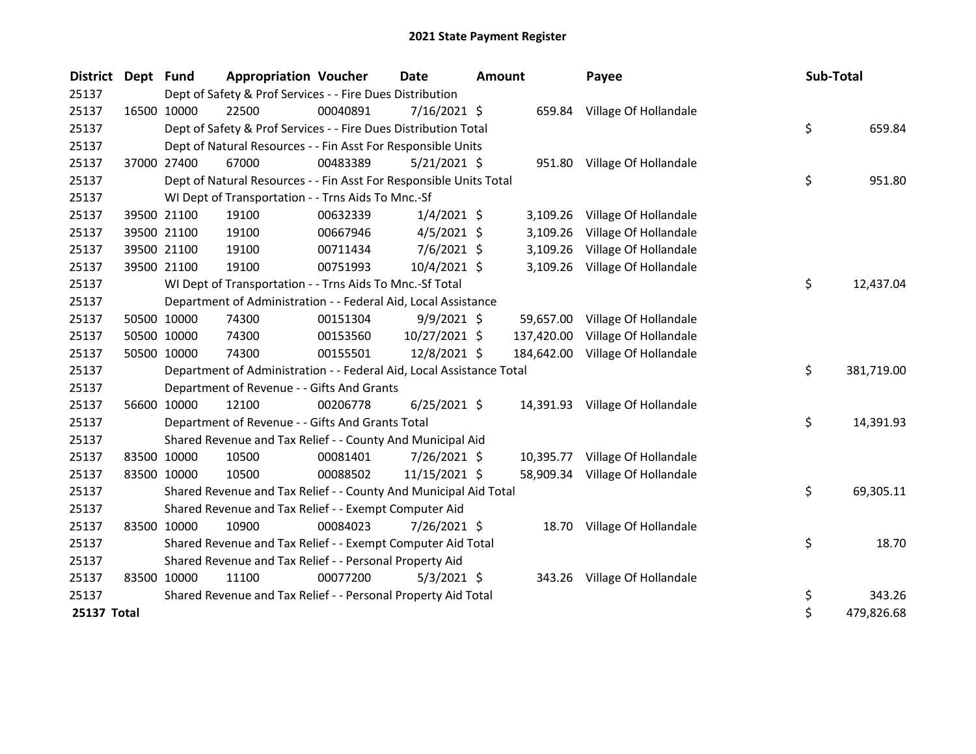| <b>District</b> | Dept Fund |             | <b>Appropriation Voucher</b>                                         |          | <b>Date</b>    | <b>Amount</b> |            | Payee                           | Sub-Total |            |
|-----------------|-----------|-------------|----------------------------------------------------------------------|----------|----------------|---------------|------------|---------------------------------|-----------|------------|
| 25137           |           |             | Dept of Safety & Prof Services - - Fire Dues Distribution            |          |                |               |            |                                 |           |            |
| 25137           |           | 16500 10000 | 22500                                                                | 00040891 | $7/16/2021$ \$ |               |            | 659.84 Village Of Hollandale    |           |            |
| 25137           |           |             | Dept of Safety & Prof Services - - Fire Dues Distribution Total      |          |                |               |            |                                 | \$.       | 659.84     |
| 25137           |           |             | Dept of Natural Resources - - Fin Asst For Responsible Units         |          |                |               |            |                                 |           |            |
| 25137           |           | 37000 27400 | 67000                                                                | 00483389 | 5/21/2021 \$   |               |            | 951.80 Village Of Hollandale    |           |            |
| 25137           |           |             | Dept of Natural Resources - - Fin Asst For Responsible Units Total   |          |                |               |            |                                 | \$        | 951.80     |
| 25137           |           |             | WI Dept of Transportation - - Trns Aids To Mnc.-Sf                   |          |                |               |            |                                 |           |            |
| 25137           |           | 39500 21100 | 19100                                                                | 00632339 | $1/4/2021$ \$  |               |            | 3,109.26 Village Of Hollandale  |           |            |
| 25137           |           | 39500 21100 | 19100                                                                | 00667946 | $4/5/2021$ \$  |               | 3,109.26   | Village Of Hollandale           |           |            |
| 25137           |           | 39500 21100 | 19100                                                                | 00711434 | $7/6/2021$ \$  |               | 3,109.26   | Village Of Hollandale           |           |            |
| 25137           |           | 39500 21100 | 19100                                                                | 00751993 | 10/4/2021 \$   |               |            | 3,109.26 Village Of Hollandale  |           |            |
| 25137           |           |             | WI Dept of Transportation - - Trns Aids To Mnc.-Sf Total             |          |                |               |            |                                 | \$        | 12,437.04  |
| 25137           |           |             | Department of Administration - - Federal Aid, Local Assistance       |          |                |               |            |                                 |           |            |
| 25137           |           | 50500 10000 | 74300                                                                | 00151304 | $9/9/2021$ \$  |               |            | 59,657.00 Village Of Hollandale |           |            |
| 25137           |           | 50500 10000 | 74300                                                                | 00153560 | 10/27/2021 \$  |               | 137,420.00 | Village Of Hollandale           |           |            |
| 25137           |           | 50500 10000 | 74300                                                                | 00155501 | 12/8/2021 \$   |               | 184,642.00 | Village Of Hollandale           |           |            |
| 25137           |           |             | Department of Administration - - Federal Aid, Local Assistance Total |          |                |               |            |                                 | \$        | 381,719.00 |
| 25137           |           |             | Department of Revenue - - Gifts And Grants                           |          |                |               |            |                                 |           |            |
| 25137           |           | 56600 10000 | 12100                                                                | 00206778 | $6/25/2021$ \$ |               |            | 14,391.93 Village Of Hollandale |           |            |
| 25137           |           |             | Department of Revenue - - Gifts And Grants Total                     |          |                |               |            |                                 | \$        | 14,391.93  |
| 25137           |           |             | Shared Revenue and Tax Relief - - County And Municipal Aid           |          |                |               |            |                                 |           |            |
| 25137           |           | 83500 10000 | 10500                                                                | 00081401 | 7/26/2021 \$   |               |            | 10,395.77 Village Of Hollandale |           |            |
| 25137           |           | 83500 10000 | 10500                                                                | 00088502 | 11/15/2021 \$  |               |            | 58,909.34 Village Of Hollandale |           |            |
| 25137           |           |             | Shared Revenue and Tax Relief - - County And Municipal Aid Total     |          |                |               |            |                                 | \$        | 69,305.11  |
| 25137           |           |             | Shared Revenue and Tax Relief - - Exempt Computer Aid                |          |                |               |            |                                 |           |            |
| 25137           |           | 83500 10000 | 10900                                                                | 00084023 | 7/26/2021 \$   |               |            | 18.70 Village Of Hollandale     |           |            |
| 25137           |           |             | Shared Revenue and Tax Relief - - Exempt Computer Aid Total          |          |                |               |            |                                 | \$        | 18.70      |
| 25137           |           |             | Shared Revenue and Tax Relief - - Personal Property Aid              |          |                |               |            |                                 |           |            |
| 25137           |           | 83500 10000 | 11100                                                                | 00077200 | $5/3/2021$ \$  |               |            | 343.26 Village Of Hollandale    |           |            |
| 25137           |           |             | Shared Revenue and Tax Relief - - Personal Property Aid Total        |          |                |               |            |                                 | \$        | 343.26     |
| 25137 Total     |           |             |                                                                      |          |                |               |            |                                 | \$        | 479,826.68 |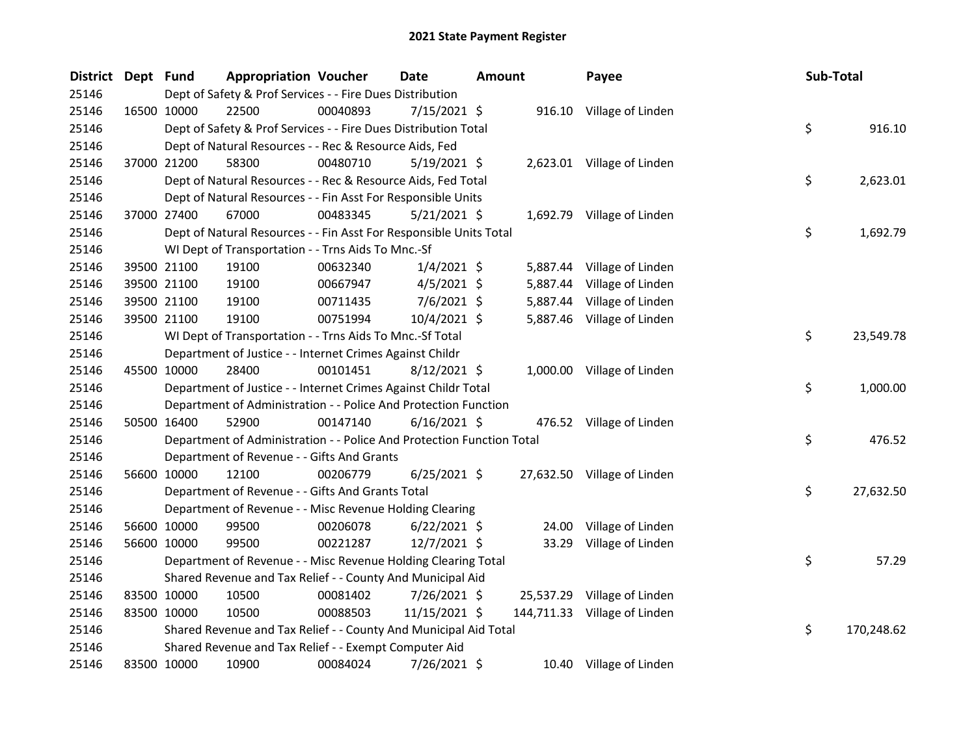| District Dept Fund |             | <b>Appropriation Voucher</b>                                          |          | <b>Date</b>    | <b>Amount</b> |          | Payee                        | Sub-Total |            |
|--------------------|-------------|-----------------------------------------------------------------------|----------|----------------|---------------|----------|------------------------------|-----------|------------|
| 25146              |             | Dept of Safety & Prof Services - - Fire Dues Distribution             |          |                |               |          |                              |           |            |
| 25146              | 16500 10000 | 22500                                                                 | 00040893 | 7/15/2021 \$   |               |          | 916.10 Village of Linden     |           |            |
| 25146              |             | Dept of Safety & Prof Services - - Fire Dues Distribution Total       |          |                |               |          |                              | \$        | 916.10     |
| 25146              |             | Dept of Natural Resources - - Rec & Resource Aids, Fed                |          |                |               |          |                              |           |            |
| 25146              | 37000 21200 | 58300                                                                 | 00480710 | $5/19/2021$ \$ |               |          | 2,623.01 Village of Linden   |           |            |
| 25146              |             | Dept of Natural Resources - - Rec & Resource Aids, Fed Total          |          |                |               |          |                              | \$        | 2,623.01   |
| 25146              |             | Dept of Natural Resources - - Fin Asst For Responsible Units          |          |                |               |          |                              |           |            |
| 25146              | 37000 27400 | 67000                                                                 | 00483345 | $5/21/2021$ \$ |               |          | 1,692.79 Village of Linden   |           |            |
| 25146              |             | Dept of Natural Resources - - Fin Asst For Responsible Units Total    |          |                |               |          |                              | \$        | 1,692.79   |
| 25146              |             | WI Dept of Transportation - - Trns Aids To Mnc.-Sf                    |          |                |               |          |                              |           |            |
| 25146              | 39500 21100 | 19100                                                                 | 00632340 | $1/4/2021$ \$  |               | 5,887.44 | Village of Linden            |           |            |
| 25146              | 39500 21100 | 19100                                                                 | 00667947 | $4/5/2021$ \$  |               | 5,887.44 | Village of Linden            |           |            |
| 25146              | 39500 21100 | 19100                                                                 | 00711435 | 7/6/2021 \$    |               | 5,887.44 | Village of Linden            |           |            |
| 25146              | 39500 21100 | 19100                                                                 | 00751994 | 10/4/2021 \$   |               |          | 5,887.46 Village of Linden   |           |            |
| 25146              |             | WI Dept of Transportation - - Trns Aids To Mnc.-Sf Total              |          |                |               |          |                              | \$        | 23,549.78  |
| 25146              |             | Department of Justice - - Internet Crimes Against Childr              |          |                |               |          |                              |           |            |
| 25146              | 45500 10000 | 28400                                                                 | 00101451 | $8/12/2021$ \$ |               |          | 1,000.00 Village of Linden   |           |            |
| 25146              |             | Department of Justice - - Internet Crimes Against Childr Total        |          |                |               |          |                              | \$        | 1,000.00   |
| 25146              |             | Department of Administration - - Police And Protection Function       |          |                |               |          |                              |           |            |
| 25146              | 50500 16400 | 52900                                                                 | 00147140 | $6/16/2021$ \$ |               |          | 476.52 Village of Linden     |           |            |
| 25146              |             | Department of Administration - - Police And Protection Function Total |          |                |               |          |                              | \$        | 476.52     |
| 25146              |             | Department of Revenue - - Gifts And Grants                            |          |                |               |          |                              |           |            |
| 25146              | 56600 10000 | 12100                                                                 | 00206779 | $6/25/2021$ \$ |               |          | 27,632.50 Village of Linden  |           |            |
| 25146              |             | Department of Revenue - - Gifts And Grants Total                      |          |                |               |          |                              | \$        | 27,632.50  |
| 25146              |             | Department of Revenue - - Misc Revenue Holding Clearing               |          |                |               |          |                              |           |            |
| 25146              | 56600 10000 | 99500                                                                 | 00206078 | $6/22/2021$ \$ |               | 24.00    | Village of Linden            |           |            |
| 25146              | 56600 10000 | 99500                                                                 | 00221287 | 12/7/2021 \$   |               |          | 33.29 Village of Linden      |           |            |
| 25146              |             | Department of Revenue - - Misc Revenue Holding Clearing Total         |          |                |               |          |                              | \$        | 57.29      |
| 25146              |             | Shared Revenue and Tax Relief - - County And Municipal Aid            |          |                |               |          |                              |           |            |
| 25146              | 83500 10000 | 10500                                                                 | 00081402 | 7/26/2021 \$   |               |          | 25,537.29 Village of Linden  |           |            |
| 25146              | 83500 10000 | 10500                                                                 | 00088503 | 11/15/2021 \$  |               |          | 144,711.33 Village of Linden |           |            |
| 25146              |             | Shared Revenue and Tax Relief - - County And Municipal Aid Total      |          |                |               |          |                              | \$        | 170,248.62 |
| 25146              |             | Shared Revenue and Tax Relief - - Exempt Computer Aid                 |          |                |               |          |                              |           |            |
| 25146              | 83500 10000 | 10900                                                                 | 00084024 | 7/26/2021 \$   |               |          | 10.40 Village of Linden      |           |            |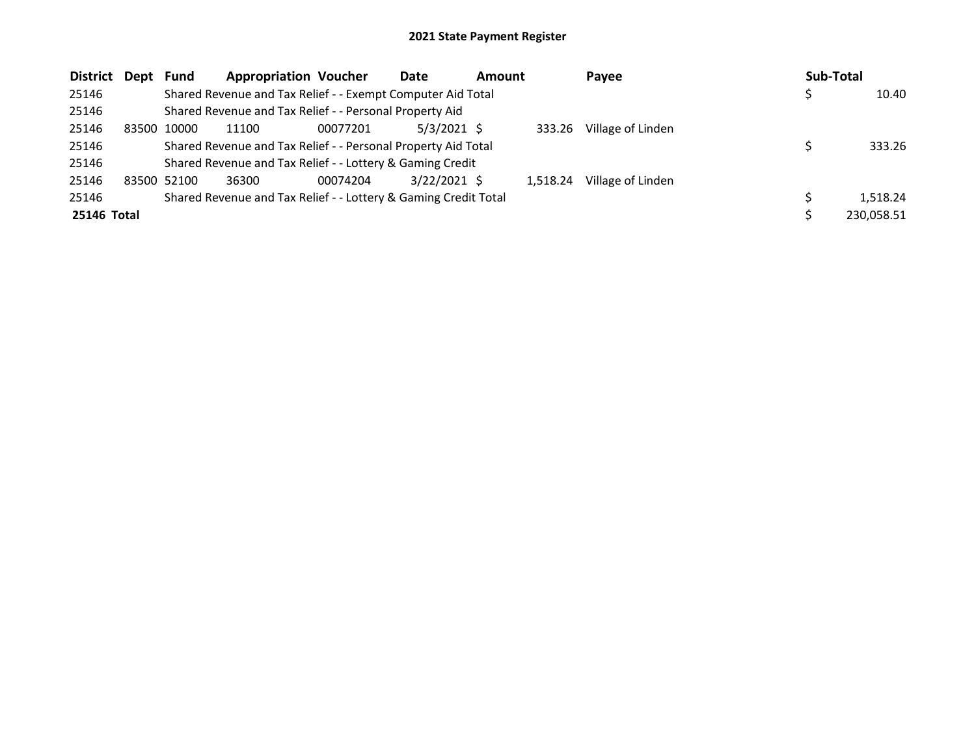| <b>District</b> | Dept  | <b>Fund</b> | <b>Appropriation Voucher</b>                                    |          | Date           | <b>Amount</b> |          | Payee             | Sub-Total |            |
|-----------------|-------|-------------|-----------------------------------------------------------------|----------|----------------|---------------|----------|-------------------|-----------|------------|
| 25146           |       |             | Shared Revenue and Tax Relief - - Exempt Computer Aid Total     |          |                |               |          |                   |           | 10.40      |
| 25146           |       |             | Shared Revenue and Tax Relief - - Personal Property Aid         |          |                |               |          |                   |           |            |
| 25146           | 83500 | 10000       | 11100                                                           | 00077201 | $5/3/2021$ \$  |               | 333.26   | Village of Linden |           |            |
| 25146           |       |             | Shared Revenue and Tax Relief - - Personal Property Aid Total   |          |                |               |          |                   |           | 333.26     |
| 25146           |       |             | Shared Revenue and Tax Relief - - Lottery & Gaming Credit       |          |                |               |          |                   |           |            |
| 25146           |       | 83500 52100 | 36300                                                           | 00074204 | $3/22/2021$ \$ |               | 1.518.24 | Village of Linden |           |            |
| 25146           |       |             | Shared Revenue and Tax Relief - - Lottery & Gaming Credit Total |          |                |               |          |                   |           | 1,518.24   |
| 25146 Total     |       |             |                                                                 |          |                |               |          |                   |           | 230.058.51 |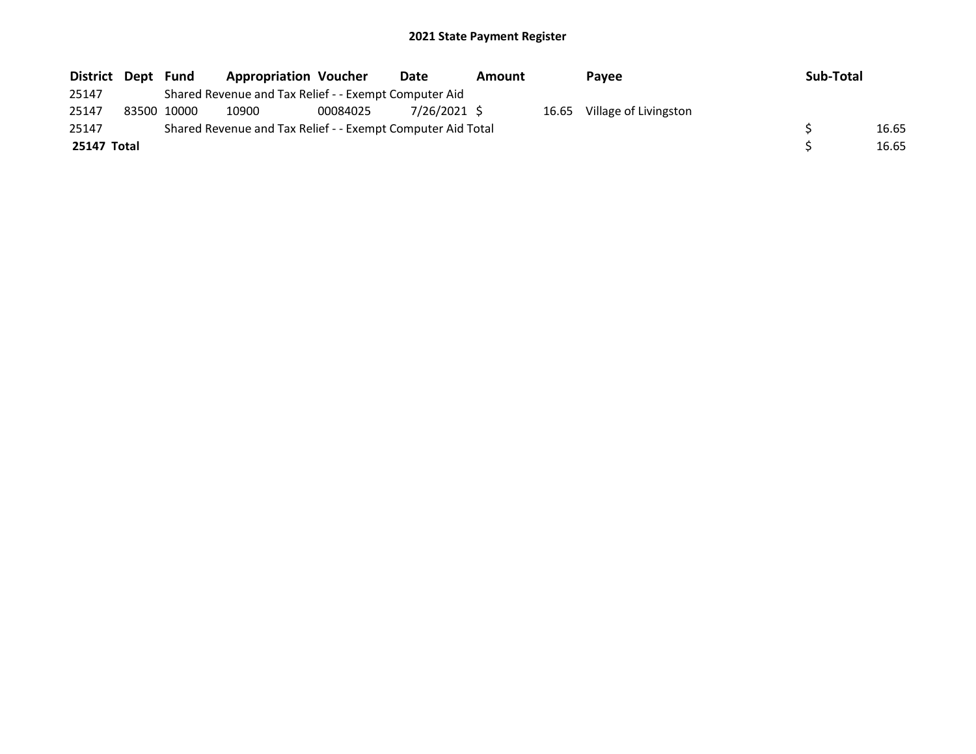| District Dept | Fund        | <b>Appropriation Voucher</b>                                |          | Date         | <b>Amount</b> | <b>Pavee</b>                | Sub-Total |       |
|---------------|-------------|-------------------------------------------------------------|----------|--------------|---------------|-----------------------------|-----------|-------|
| 25147         |             | Shared Revenue and Tax Relief - - Exempt Computer Aid       |          |              |               |                             |           |       |
| 25147         | 83500 10000 | 10900                                                       | 00084025 | 7/26/2021 \$ |               | 16.65 Village of Livingston |           |       |
| 25147         |             | Shared Revenue and Tax Relief - - Exempt Computer Aid Total |          |              |               |                             |           | 16.65 |
| 25147 Total   |             |                                                             |          |              |               |                             |           | 16.65 |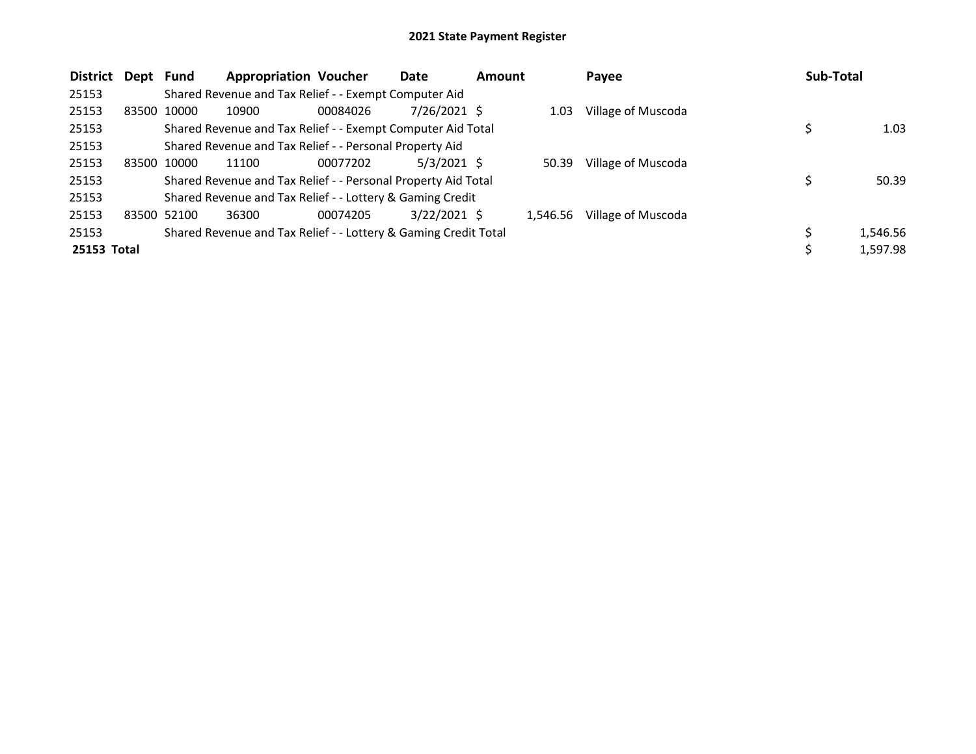| <b>District</b> | Dept  | Fund        | <b>Appropriation Voucher</b>                                    |          | Date           | <b>Amount</b> |          | Payee              | Sub-Total |          |
|-----------------|-------|-------------|-----------------------------------------------------------------|----------|----------------|---------------|----------|--------------------|-----------|----------|
| 25153           |       |             | Shared Revenue and Tax Relief - - Exempt Computer Aid           |          |                |               |          |                    |           |          |
| 25153           | 83500 | 10000       | 10900                                                           | 00084026 | 7/26/2021 \$   |               | 1.03     | Village of Muscoda |           |          |
| 25153           |       |             | Shared Revenue and Tax Relief - - Exempt Computer Aid Total     |          |                |               |          |                    | \$        | 1.03     |
| 25153           |       |             | Shared Revenue and Tax Relief - - Personal Property Aid         |          |                |               |          |                    |           |          |
| 25153           |       | 83500 10000 | 11100                                                           | 00077202 | $5/3/2021$ \$  |               | 50.39    | Village of Muscoda |           |          |
| 25153           |       |             | Shared Revenue and Tax Relief - - Personal Property Aid Total   |          |                |               |          |                    | \$        | 50.39    |
| 25153           |       |             | Shared Revenue and Tax Relief - - Lottery & Gaming Credit       |          |                |               |          |                    |           |          |
| 25153           |       | 83500 52100 | 36300                                                           | 00074205 | $3/22/2021$ \$ |               | 1.546.56 | Village of Muscoda |           |          |
| 25153           |       |             | Shared Revenue and Tax Relief - - Lottery & Gaming Credit Total |          |                |               |          |                    |           | 1,546.56 |
| 25153 Total     |       |             |                                                                 |          |                |               |          |                    | Ś         | 1,597.98 |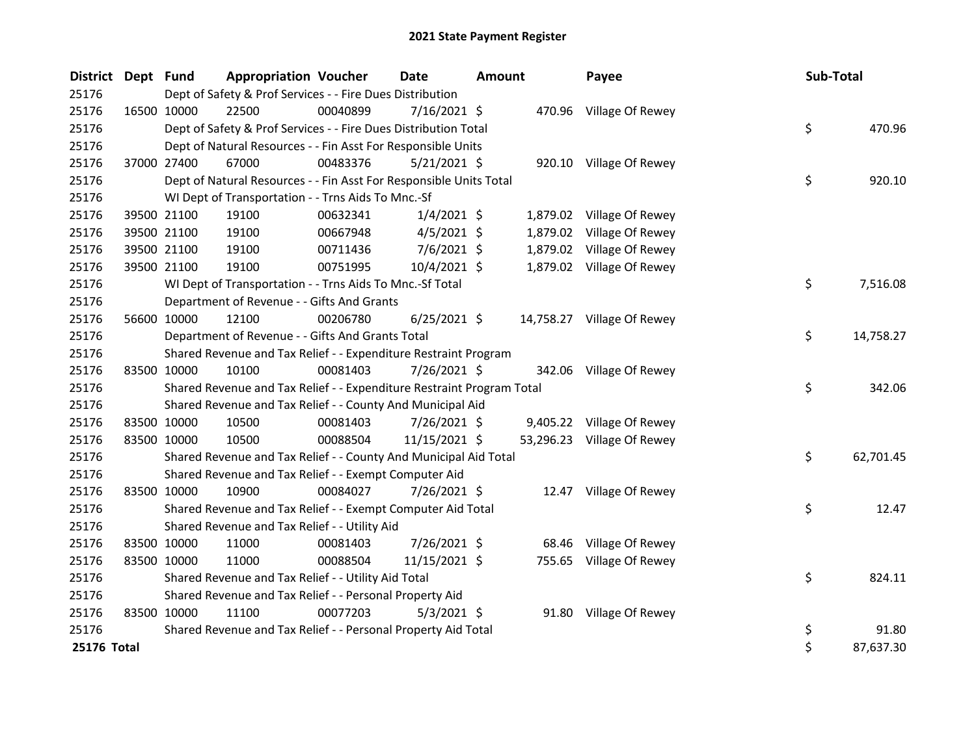| <b>District</b> | Dept Fund   |             | <b>Appropriation Voucher</b>                                          |          | <b>Date</b>    | <b>Amount</b> |          | Payee                      | Sub-Total |           |
|-----------------|-------------|-------------|-----------------------------------------------------------------------|----------|----------------|---------------|----------|----------------------------|-----------|-----------|
| 25176           |             |             | Dept of Safety & Prof Services - - Fire Dues Distribution             |          |                |               |          |                            |           |           |
| 25176           |             | 16500 10000 | 22500                                                                 | 00040899 | 7/16/2021 \$   |               |          | 470.96 Village Of Rewey    |           |           |
| 25176           |             |             | Dept of Safety & Prof Services - - Fire Dues Distribution Total       |          |                |               |          |                            | \$        | 470.96    |
| 25176           |             |             | Dept of Natural Resources - - Fin Asst For Responsible Units          |          |                |               |          |                            |           |           |
| 25176           |             | 37000 27400 | 67000                                                                 | 00483376 | $5/21/2021$ \$ |               |          | 920.10 Village Of Rewey    |           |           |
| 25176           |             |             | Dept of Natural Resources - - Fin Asst For Responsible Units Total    |          |                |               |          |                            | \$        | 920.10    |
| 25176           |             |             | WI Dept of Transportation - - Trns Aids To Mnc.-Sf                    |          |                |               |          |                            |           |           |
| 25176           |             | 39500 21100 | 19100                                                                 | 00632341 | $1/4/2021$ \$  |               |          | 1,879.02 Village Of Rewey  |           |           |
| 25176           |             | 39500 21100 | 19100                                                                 | 00667948 | $4/5/2021$ \$  |               | 1,879.02 | Village Of Rewey           |           |           |
| 25176           |             | 39500 21100 | 19100                                                                 | 00711436 | $7/6/2021$ \$  |               | 1,879.02 | Village Of Rewey           |           |           |
| 25176           |             | 39500 21100 | 19100                                                                 | 00751995 | 10/4/2021 \$   |               |          | 1,879.02 Village Of Rewey  |           |           |
| 25176           |             |             | WI Dept of Transportation - - Trns Aids To Mnc.-Sf Total              |          |                |               |          |                            | \$        | 7,516.08  |
| 25176           |             |             | Department of Revenue - - Gifts And Grants                            |          |                |               |          |                            |           |           |
| 25176           |             | 56600 10000 | 12100                                                                 | 00206780 | $6/25/2021$ \$ |               |          | 14,758.27 Village Of Rewey |           |           |
| 25176           |             |             | Department of Revenue - - Gifts And Grants Total                      |          |                |               |          |                            | \$        | 14,758.27 |
| 25176           |             |             | Shared Revenue and Tax Relief - - Expenditure Restraint Program       |          |                |               |          |                            |           |           |
| 25176           | 83500 10000 |             | 10100                                                                 | 00081403 | 7/26/2021 \$   |               | 342.06   | Village Of Rewey           |           |           |
| 25176           |             |             | Shared Revenue and Tax Relief - - Expenditure Restraint Program Total |          |                |               |          |                            | \$        | 342.06    |
| 25176           |             |             | Shared Revenue and Tax Relief - - County And Municipal Aid            |          |                |               |          |                            |           |           |
| 25176           |             | 83500 10000 | 10500                                                                 | 00081403 | 7/26/2021 \$   |               |          | 9,405.22 Village Of Rewey  |           |           |
| 25176           |             | 83500 10000 | 10500                                                                 | 00088504 | 11/15/2021 \$  |               |          | 53,296.23 Village Of Rewey |           |           |
| 25176           |             |             | Shared Revenue and Tax Relief - - County And Municipal Aid Total      |          |                |               |          |                            | \$        | 62,701.45 |
| 25176           |             |             | Shared Revenue and Tax Relief - - Exempt Computer Aid                 |          |                |               |          |                            |           |           |
| 25176           |             | 83500 10000 | 10900                                                                 | 00084027 | 7/26/2021 \$   |               |          | 12.47 Village Of Rewey     |           |           |
| 25176           |             |             | Shared Revenue and Tax Relief - - Exempt Computer Aid Total           |          |                |               |          |                            | \$        | 12.47     |
| 25176           |             |             | Shared Revenue and Tax Relief - - Utility Aid                         |          |                |               |          |                            |           |           |
| 25176           | 83500 10000 |             | 11000                                                                 | 00081403 | 7/26/2021 \$   |               | 68.46    | Village Of Rewey           |           |           |
| 25176           | 83500 10000 |             | 11000                                                                 | 00088504 | 11/15/2021 \$  |               |          | 755.65 Village Of Rewey    |           |           |
| 25176           |             |             | Shared Revenue and Tax Relief - - Utility Aid Total                   |          |                |               |          |                            | \$        | 824.11    |
| 25176           |             |             | Shared Revenue and Tax Relief - - Personal Property Aid               |          |                |               |          |                            |           |           |
| 25176           | 83500 10000 |             | 11100                                                                 | 00077203 | $5/3/2021$ \$  |               |          | 91.80 Village Of Rewey     |           |           |
| 25176           |             |             | Shared Revenue and Tax Relief - - Personal Property Aid Total         |          |                |               |          |                            | \$        | 91.80     |
| 25176 Total     |             |             |                                                                       |          |                |               |          |                            | \$        | 87,637.30 |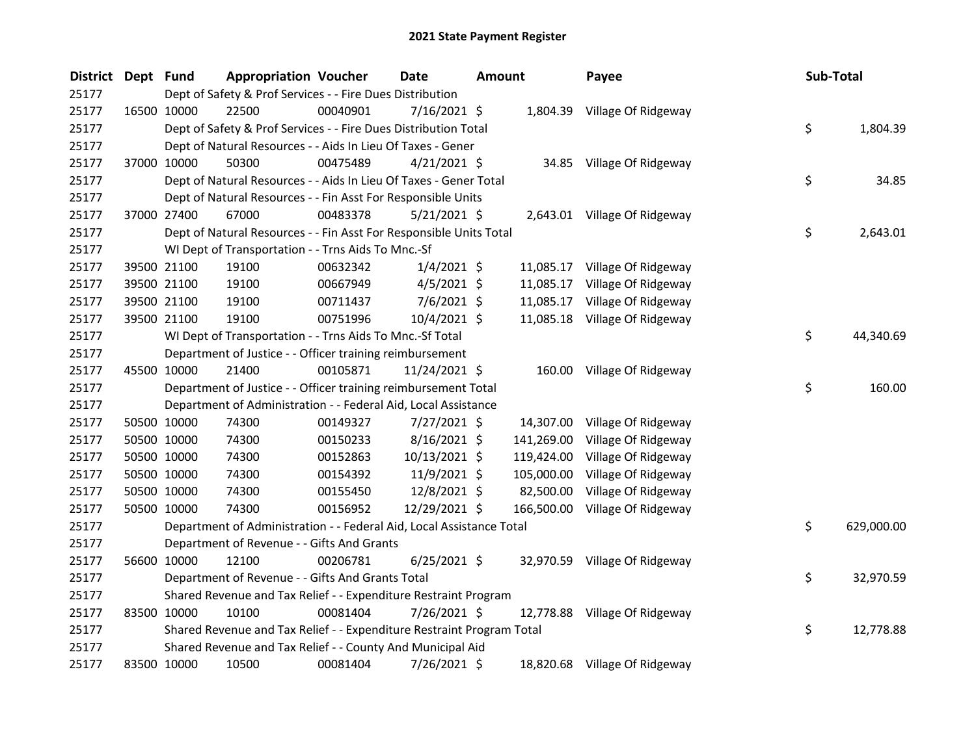| <b>District</b> | Dept Fund |             | <b>Appropriation Voucher</b>                                          |          | <b>Date</b>     | <b>Amount</b> |            | Payee                          | Sub-Total |            |
|-----------------|-----------|-------------|-----------------------------------------------------------------------|----------|-----------------|---------------|------------|--------------------------------|-----------|------------|
| 25177           |           |             | Dept of Safety & Prof Services - - Fire Dues Distribution             |          |                 |               |            |                                |           |            |
| 25177           |           | 16500 10000 | 22500                                                                 | 00040901 | $7/16/2021$ \$  |               |            | 1,804.39 Village Of Ridgeway   |           |            |
| 25177           |           |             | Dept of Safety & Prof Services - - Fire Dues Distribution Total       |          |                 |               |            |                                | \$        | 1,804.39   |
| 25177           |           |             | Dept of Natural Resources - - Aids In Lieu Of Taxes - Gener           |          |                 |               |            |                                |           |            |
| 25177           |           | 37000 10000 | 50300                                                                 | 00475489 | $4/21/2021$ \$  |               |            | 34.85 Village Of Ridgeway      |           |            |
| 25177           |           |             | Dept of Natural Resources - - Aids In Lieu Of Taxes - Gener Total     |          |                 |               |            |                                | \$        | 34.85      |
| 25177           |           |             | Dept of Natural Resources - - Fin Asst For Responsible Units          |          |                 |               |            |                                |           |            |
| 25177           |           | 37000 27400 | 67000                                                                 | 00483378 | $5/21/2021$ \$  |               |            | 2,643.01 Village Of Ridgeway   |           |            |
| 25177           |           |             | Dept of Natural Resources - - Fin Asst For Responsible Units Total    |          |                 |               |            |                                | \$        | 2,643.01   |
| 25177           |           |             | WI Dept of Transportation - - Trns Aids To Mnc.-Sf                    |          |                 |               |            |                                |           |            |
| 25177           |           | 39500 21100 | 19100                                                                 | 00632342 | $1/4/2021$ \$   |               |            | 11,085.17 Village Of Ridgeway  |           |            |
| 25177           |           | 39500 21100 | 19100                                                                 | 00667949 | $4/5/2021$ \$   |               |            | 11,085.17 Village Of Ridgeway  |           |            |
| 25177           |           | 39500 21100 | 19100                                                                 | 00711437 | 7/6/2021 \$     |               | 11,085.17  | Village Of Ridgeway            |           |            |
| 25177           |           | 39500 21100 | 19100                                                                 | 00751996 | 10/4/2021 \$    |               |            | 11,085.18 Village Of Ridgeway  |           |            |
| 25177           |           |             | WI Dept of Transportation - - Trns Aids To Mnc.-Sf Total              |          |                 |               |            |                                | \$        | 44,340.69  |
| 25177           |           |             | Department of Justice - - Officer training reimbursement              |          |                 |               |            |                                |           |            |
| 25177           |           | 45500 10000 | 21400                                                                 | 00105871 | 11/24/2021 \$   |               |            | 160.00 Village Of Ridgeway     |           |            |
| 25177           |           |             | Department of Justice - - Officer training reimbursement Total        |          |                 |               |            |                                | \$        | 160.00     |
| 25177           |           |             | Department of Administration - - Federal Aid, Local Assistance        |          |                 |               |            |                                |           |            |
| 25177           |           | 50500 10000 | 74300                                                                 | 00149327 | $7/27/2021$ \$  |               |            | 14,307.00 Village Of Ridgeway  |           |            |
| 25177           |           | 50500 10000 | 74300                                                                 | 00150233 | $8/16/2021$ \$  |               | 141,269.00 | Village Of Ridgeway            |           |            |
| 25177           |           | 50500 10000 | 74300                                                                 | 00152863 | $10/13/2021$ \$ |               | 119,424.00 | Village Of Ridgeway            |           |            |
| 25177           |           | 50500 10000 | 74300                                                                 | 00154392 | 11/9/2021 \$    |               | 105,000.00 | Village Of Ridgeway            |           |            |
| 25177           |           | 50500 10000 | 74300                                                                 | 00155450 | 12/8/2021 \$    |               | 82,500.00  | Village Of Ridgeway            |           |            |
| 25177           |           | 50500 10000 | 74300                                                                 | 00156952 | 12/29/2021 \$   |               |            | 166,500.00 Village Of Ridgeway |           |            |
| 25177           |           |             | Department of Administration - - Federal Aid, Local Assistance Total  |          |                 |               |            |                                | \$        | 629,000.00 |
| 25177           |           |             | Department of Revenue - - Gifts And Grants                            |          |                 |               |            |                                |           |            |
| 25177           |           | 56600 10000 | 12100                                                                 | 00206781 | $6/25/2021$ \$  |               |            | 32,970.59 Village Of Ridgeway  |           |            |
| 25177           |           |             | Department of Revenue - - Gifts And Grants Total                      |          |                 |               |            |                                | \$        | 32,970.59  |
| 25177           |           |             | Shared Revenue and Tax Relief - - Expenditure Restraint Program       |          |                 |               |            |                                |           |            |
| 25177           |           | 83500 10000 | 10100                                                                 | 00081404 | 7/26/2021 \$    |               |            | 12,778.88 Village Of Ridgeway  |           |            |
| 25177           |           |             | Shared Revenue and Tax Relief - - Expenditure Restraint Program Total |          |                 |               |            |                                | \$        | 12,778.88  |
| 25177           |           |             | Shared Revenue and Tax Relief - - County And Municipal Aid            |          |                 |               |            |                                |           |            |
| 25177           |           | 83500 10000 | 10500                                                                 | 00081404 | 7/26/2021 \$    |               |            | 18,820.68 Village Of Ridgeway  |           |            |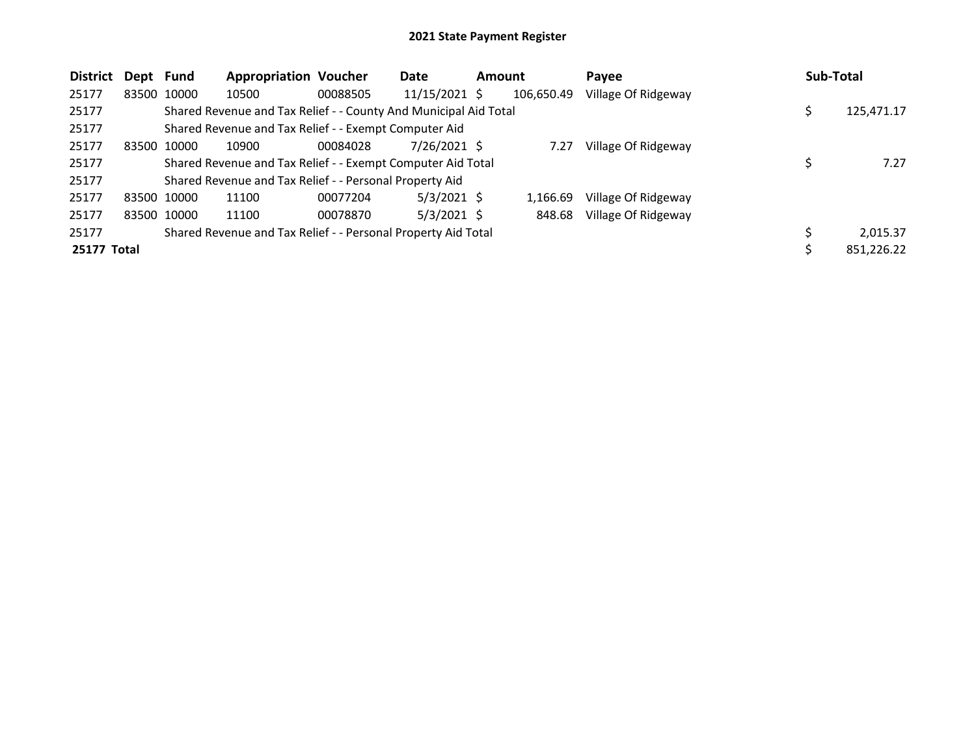| <b>District</b> | Dept Fund   |             | <b>Appropriation Voucher</b>                                     |          | Date            | <b>Amount</b> |            | Payee               |   | Sub-Total  |
|-----------------|-------------|-------------|------------------------------------------------------------------|----------|-----------------|---------------|------------|---------------------|---|------------|
| 25177           |             | 83500 10000 | 10500                                                            | 00088505 | $11/15/2021$ \$ |               | 106,650.49 | Village Of Ridgeway |   |            |
| 25177           |             |             | Shared Revenue and Tax Relief - - County And Municipal Aid Total |          |                 |               |            |                     | S | 125,471.17 |
| 25177           |             |             | Shared Revenue and Tax Relief - - Exempt Computer Aid            |          |                 |               |            |                     |   |            |
| 25177           | 83500 10000 |             | 10900                                                            | 00084028 | 7/26/2021 \$    |               | 7.27       | Village Of Ridgeway |   |            |
| 25177           |             |             | Shared Revenue and Tax Relief - - Exempt Computer Aid Total      |          |                 |               |            |                     |   | 7.27       |
| 25177           |             |             | Shared Revenue and Tax Relief - - Personal Property Aid          |          |                 |               |            |                     |   |            |
| 25177           |             | 83500 10000 | 11100                                                            | 00077204 | $5/3/2021$ \$   |               | 1,166.69   | Village Of Ridgeway |   |            |
| 25177           |             | 83500 10000 | 11100                                                            | 00078870 | $5/3/2021$ \$   |               | 848.68     | Village Of Ridgeway |   |            |
| 25177           |             |             | Shared Revenue and Tax Relief - - Personal Property Aid Total    |          |                 |               |            |                     |   | 2,015.37   |
| 25177 Total     |             |             |                                                                  |          |                 |               |            |                     | S | 851,226.22 |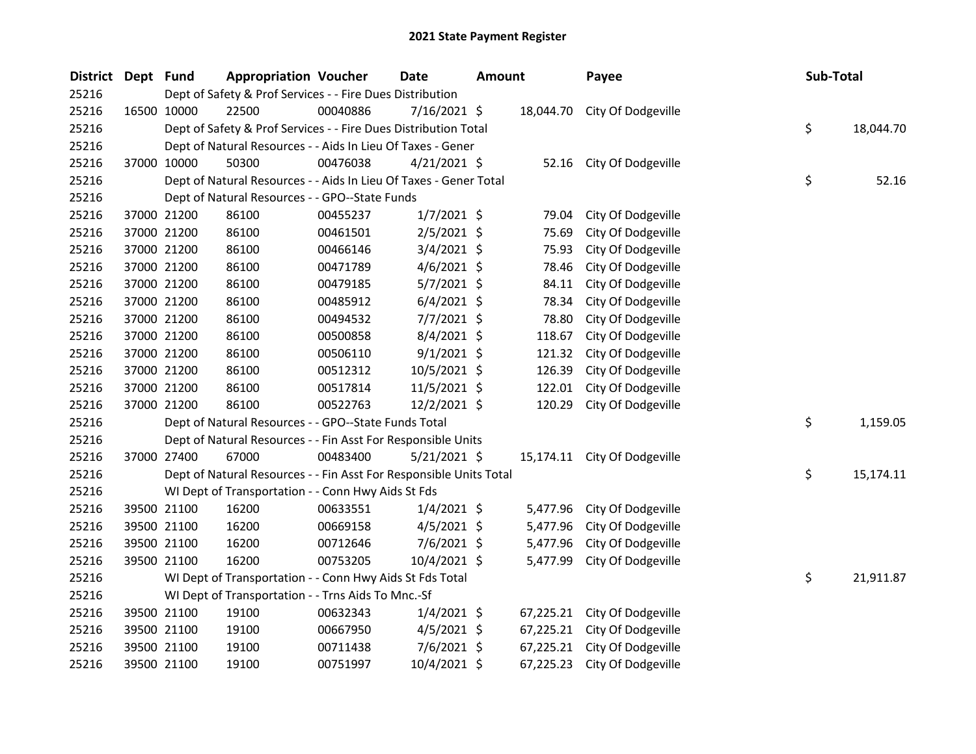| <b>District</b> | Dept Fund |                                                                 | <b>Appropriation Voucher</b>                                       |          | <b>Date</b>    | <b>Amount</b> |           | Payee                        |  | Sub-Total |           |
|-----------------|-----------|-----------------------------------------------------------------|--------------------------------------------------------------------|----------|----------------|---------------|-----------|------------------------------|--|-----------|-----------|
| 25216           |           |                                                                 | Dept of Safety & Prof Services - - Fire Dues Distribution          |          |                |               |           |                              |  |           |           |
| 25216           |           | 16500 10000                                                     | 22500                                                              | 00040886 | $7/16/2021$ \$ |               |           | 18,044.70 City Of Dodgeville |  |           |           |
| 25216           |           | Dept of Safety & Prof Services - - Fire Dues Distribution Total |                                                                    |          |                |               |           |                              |  | \$        | 18,044.70 |
| 25216           |           | Dept of Natural Resources - - Aids In Lieu Of Taxes - Gener     |                                                                    |          |                |               |           |                              |  |           |           |
| 25216           |           | 37000 10000                                                     | 50300                                                              | 00476038 | $4/21/2021$ \$ |               |           | 52.16 City Of Dodgeville     |  |           |           |
| 25216           |           |                                                                 | Dept of Natural Resources - - Aids In Lieu Of Taxes - Gener Total  |          |                |               |           |                              |  | \$        | 52.16     |
| 25216           |           |                                                                 | Dept of Natural Resources - - GPO--State Funds                     |          |                |               |           |                              |  |           |           |
| 25216           |           | 37000 21200                                                     | 86100                                                              | 00455237 | $1/7/2021$ \$  |               | 79.04     | City Of Dodgeville           |  |           |           |
| 25216           |           | 37000 21200                                                     | 86100                                                              | 00461501 | $2/5/2021$ \$  |               | 75.69     | City Of Dodgeville           |  |           |           |
| 25216           |           | 37000 21200                                                     | 86100                                                              | 00466146 | $3/4/2021$ \$  |               | 75.93     | City Of Dodgeville           |  |           |           |
| 25216           |           | 37000 21200                                                     | 86100                                                              | 00471789 | $4/6/2021$ \$  |               | 78.46     | City Of Dodgeville           |  |           |           |
| 25216           |           | 37000 21200                                                     | 86100                                                              | 00479185 | $5/7/2021$ \$  |               | 84.11     | City Of Dodgeville           |  |           |           |
| 25216           |           | 37000 21200                                                     | 86100                                                              | 00485912 | $6/4/2021$ \$  |               | 78.34     | City Of Dodgeville           |  |           |           |
| 25216           |           | 37000 21200                                                     | 86100                                                              | 00494532 | $7/7/2021$ \$  |               | 78.80     | City Of Dodgeville           |  |           |           |
| 25216           |           | 37000 21200                                                     | 86100                                                              | 00500858 | $8/4/2021$ \$  |               | 118.67    | City Of Dodgeville           |  |           |           |
| 25216           |           | 37000 21200                                                     | 86100                                                              | 00506110 | $9/1/2021$ \$  |               | 121.32    | City Of Dodgeville           |  |           |           |
| 25216           |           | 37000 21200                                                     | 86100                                                              | 00512312 | 10/5/2021 \$   |               | 126.39    | City Of Dodgeville           |  |           |           |
| 25216           |           | 37000 21200                                                     | 86100                                                              | 00517814 | 11/5/2021 \$   |               | 122.01    | City Of Dodgeville           |  |           |           |
| 25216           |           | 37000 21200                                                     | 86100                                                              | 00522763 | 12/2/2021 \$   |               | 120.29    | City Of Dodgeville           |  |           |           |
| 25216           |           |                                                                 | Dept of Natural Resources - - GPO--State Funds Total               |          |                |               |           |                              |  | \$        | 1,159.05  |
| 25216           |           |                                                                 | Dept of Natural Resources - - Fin Asst For Responsible Units       |          |                |               |           |                              |  |           |           |
| 25216           |           | 37000 27400                                                     | 67000                                                              | 00483400 | $5/21/2021$ \$ |               |           | 15,174.11 City Of Dodgeville |  |           |           |
| 25216           |           |                                                                 | Dept of Natural Resources - - Fin Asst For Responsible Units Total |          |                |               |           |                              |  | \$        | 15,174.11 |
| 25216           |           |                                                                 | WI Dept of Transportation - - Conn Hwy Aids St Fds                 |          |                |               |           |                              |  |           |           |
| 25216           |           | 39500 21100                                                     | 16200                                                              | 00633551 | $1/4/2021$ \$  |               | 5,477.96  | City Of Dodgeville           |  |           |           |
| 25216           |           | 39500 21100                                                     | 16200                                                              | 00669158 | $4/5/2021$ \$  |               | 5,477.96  | City Of Dodgeville           |  |           |           |
| 25216           |           | 39500 21100                                                     | 16200                                                              | 00712646 | $7/6/2021$ \$  |               | 5,477.96  | City Of Dodgeville           |  |           |           |
| 25216           |           | 39500 21100                                                     | 16200                                                              | 00753205 | $10/4/2021$ \$ |               | 5,477.99  | City Of Dodgeville           |  |           |           |
| 25216           |           |                                                                 | WI Dept of Transportation - - Conn Hwy Aids St Fds Total           |          |                |               |           |                              |  | \$        | 21,911.87 |
| 25216           |           |                                                                 | WI Dept of Transportation - - Trns Aids To Mnc.-Sf                 |          |                |               |           |                              |  |           |           |
| 25216           |           | 39500 21100                                                     | 19100                                                              | 00632343 | $1/4/2021$ \$  |               | 67,225.21 | City Of Dodgeville           |  |           |           |
| 25216           |           | 39500 21100                                                     | 19100                                                              | 00667950 | $4/5/2021$ \$  |               | 67,225.21 | City Of Dodgeville           |  |           |           |
| 25216           |           | 39500 21100                                                     | 19100                                                              | 00711438 | $7/6/2021$ \$  |               | 67,225.21 | City Of Dodgeville           |  |           |           |
| 25216           |           | 39500 21100                                                     | 19100                                                              | 00751997 | 10/4/2021 \$   |               | 67,225.23 | City Of Dodgeville           |  |           |           |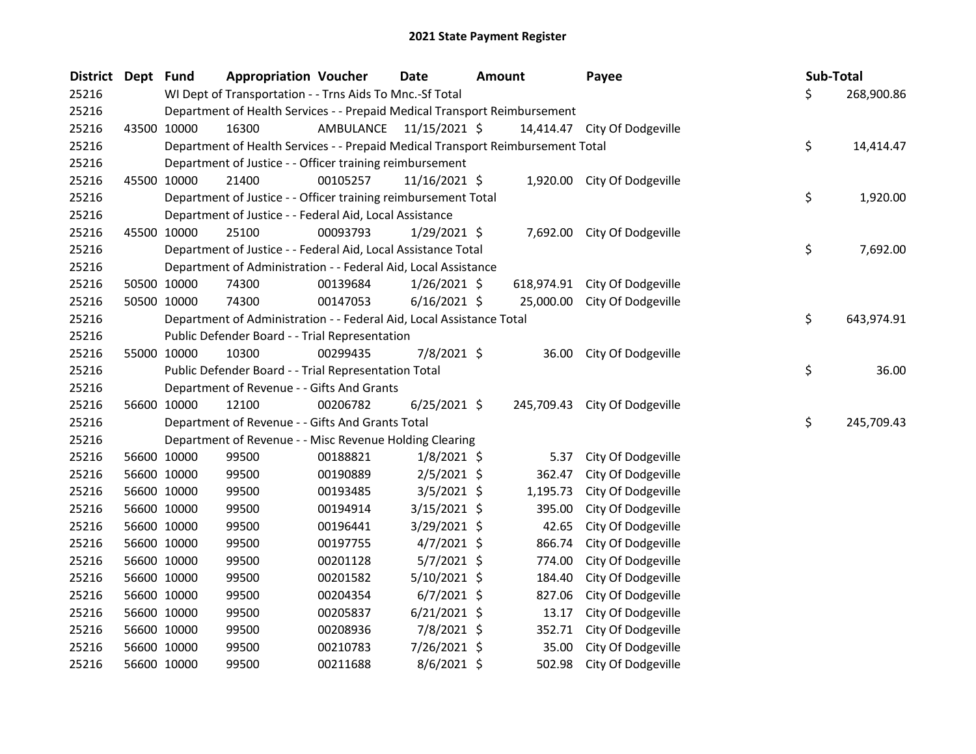| District Dept Fund |             | <b>Appropriation Voucher</b>                                                    |           | Date           | <b>Amount</b> |           | Payee                         | Sub-Total        |
|--------------------|-------------|---------------------------------------------------------------------------------|-----------|----------------|---------------|-----------|-------------------------------|------------------|
| 25216              |             | WI Dept of Transportation - - Trns Aids To Mnc.-Sf Total                        |           |                |               |           |                               | \$<br>268,900.86 |
| 25216              |             | Department of Health Services - - Prepaid Medical Transport Reimbursement       |           |                |               |           |                               |                  |
| 25216              | 43500 10000 | 16300                                                                           | AMBULANCE | 11/15/2021 \$  |               |           | 14,414.47 City Of Dodgeville  |                  |
| 25216              |             | Department of Health Services - - Prepaid Medical Transport Reimbursement Total |           |                |               |           |                               | \$<br>14,414.47  |
| 25216              |             | Department of Justice - - Officer training reimbursement                        |           |                |               |           |                               |                  |
| 25216              | 45500 10000 | 21400                                                                           | 00105257  | 11/16/2021 \$  |               |           | 1,920.00 City Of Dodgeville   |                  |
| 25216              |             | Department of Justice - - Officer training reimbursement Total                  |           |                |               |           |                               | \$<br>1,920.00   |
| 25216              |             | Department of Justice - - Federal Aid, Local Assistance                         |           |                |               |           |                               |                  |
| 25216              | 45500 10000 | 25100                                                                           | 00093793  | $1/29/2021$ \$ |               | 7,692.00  | City Of Dodgeville            |                  |
| 25216              |             | Department of Justice - - Federal Aid, Local Assistance Total                   |           |                |               |           |                               | \$<br>7,692.00   |
| 25216              |             | Department of Administration - - Federal Aid, Local Assistance                  |           |                |               |           |                               |                  |
| 25216              | 50500 10000 | 74300                                                                           | 00139684  | $1/26/2021$ \$ |               |           | 618,974.91 City Of Dodgeville |                  |
| 25216              | 50500 10000 | 74300                                                                           | 00147053  | $6/16/2021$ \$ |               | 25,000.00 | City Of Dodgeville            |                  |
| 25216              |             | Department of Administration - - Federal Aid, Local Assistance Total            |           |                |               |           |                               | \$<br>643,974.91 |
| 25216              |             | Public Defender Board - - Trial Representation                                  |           |                |               |           |                               |                  |
| 25216              | 55000 10000 | 10300                                                                           | 00299435  | 7/8/2021 \$    |               | 36.00     | City Of Dodgeville            |                  |
| 25216              |             | Public Defender Board - - Trial Representation Total                            |           |                |               |           |                               | \$<br>36.00      |
| 25216              |             | Department of Revenue - - Gifts And Grants                                      |           |                |               |           |                               |                  |
| 25216              | 56600 10000 | 12100                                                                           | 00206782  | $6/25/2021$ \$ |               |           | 245,709.43 City Of Dodgeville |                  |
| 25216              |             | Department of Revenue - - Gifts And Grants Total                                |           |                |               |           |                               | \$<br>245,709.43 |
| 25216              |             | Department of Revenue - - Misc Revenue Holding Clearing                         |           |                |               |           |                               |                  |
| 25216              | 56600 10000 | 99500                                                                           | 00188821  | $1/8/2021$ \$  |               | 5.37      | City Of Dodgeville            |                  |
| 25216              | 56600 10000 | 99500                                                                           | 00190889  | $2/5/2021$ \$  |               | 362.47    | City Of Dodgeville            |                  |
| 25216              | 56600 10000 | 99500                                                                           | 00193485  | $3/5/2021$ \$  |               | 1,195.73  | City Of Dodgeville            |                  |
| 25216              | 56600 10000 | 99500                                                                           | 00194914  | 3/15/2021 \$   |               | 395.00    | City Of Dodgeville            |                  |
| 25216              | 56600 10000 | 99500                                                                           | 00196441  | $3/29/2021$ \$ |               | 42.65     | City Of Dodgeville            |                  |
| 25216              | 56600 10000 | 99500                                                                           | 00197755  | $4/7/2021$ \$  |               | 866.74    | City Of Dodgeville            |                  |
| 25216              | 56600 10000 | 99500                                                                           | 00201128  | $5/7/2021$ \$  |               | 774.00    | City Of Dodgeville            |                  |
| 25216              | 56600 10000 | 99500                                                                           | 00201582  | 5/10/2021 \$   |               | 184.40    | City Of Dodgeville            |                  |
| 25216              | 56600 10000 | 99500                                                                           | 00204354  | $6/7/2021$ \$  |               | 827.06    | City Of Dodgeville            |                  |
| 25216              | 56600 10000 | 99500                                                                           | 00205837  | $6/21/2021$ \$ |               | 13.17     | City Of Dodgeville            |                  |
| 25216              | 56600 10000 | 99500                                                                           | 00208936  | 7/8/2021 \$    |               | 352.71    | City Of Dodgeville            |                  |
| 25216              | 56600 10000 | 99500                                                                           | 00210783  | 7/26/2021 \$   |               | 35.00     | City Of Dodgeville            |                  |
| 25216              | 56600 10000 | 99500                                                                           | 00211688  | $8/6/2021$ \$  |               | 502.98    | City Of Dodgeville            |                  |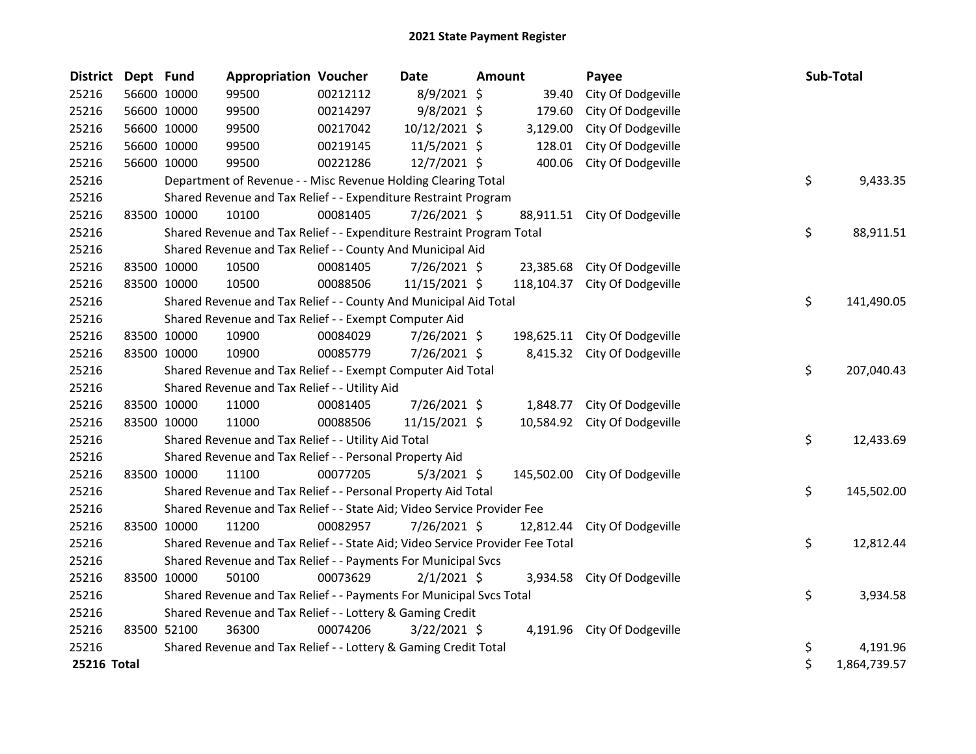| <b>District</b> | Dept Fund |             | <b>Appropriation Voucher</b>                                                  |          | <b>Date</b>   | Amount |            | Payee                         | <b>Sub-Total</b>   |  |
|-----------------|-----------|-------------|-------------------------------------------------------------------------------|----------|---------------|--------|------------|-------------------------------|--------------------|--|
| 25216           |           | 56600 10000 | 99500                                                                         | 00212112 | 8/9/2021 \$   |        | 39.40      | City Of Dodgeville            |                    |  |
| 25216           |           | 56600 10000 | 99500                                                                         | 00214297 | 9/8/2021 \$   |        | 179.60     | City Of Dodgeville            |                    |  |
| 25216           |           | 56600 10000 | 99500                                                                         | 00217042 | 10/12/2021 \$ |        | 3,129.00   | City Of Dodgeville            |                    |  |
| 25216           |           | 56600 10000 | 99500                                                                         | 00219145 | 11/5/2021 \$  |        | 128.01     | City Of Dodgeville            |                    |  |
| 25216           |           | 56600 10000 | 99500                                                                         | 00221286 | 12/7/2021 \$  |        | 400.06     | City Of Dodgeville            |                    |  |
| 25216           |           |             | Department of Revenue - - Misc Revenue Holding Clearing Total                 |          |               |        |            |                               | \$<br>9,433.35     |  |
| 25216           |           |             | Shared Revenue and Tax Relief - - Expenditure Restraint Program               |          |               |        |            |                               |                    |  |
| 25216           |           | 83500 10000 | 10100                                                                         | 00081405 | 7/26/2021 \$  |        | 88,911.51  | City Of Dodgeville            |                    |  |
| 25216           |           |             | Shared Revenue and Tax Relief - - Expenditure Restraint Program Total         |          |               |        |            |                               | \$<br>88,911.51    |  |
| 25216           |           |             | Shared Revenue and Tax Relief - - County And Municipal Aid                    |          |               |        |            |                               |                    |  |
| 25216           |           | 83500 10000 | 10500                                                                         | 00081405 | 7/26/2021 \$  |        | 23,385.68  | City Of Dodgeville            |                    |  |
| 25216           |           | 83500 10000 | 10500                                                                         | 00088506 | 11/15/2021 \$ |        | 118,104.37 | City Of Dodgeville            |                    |  |
| 25216           |           |             | Shared Revenue and Tax Relief - - County And Municipal Aid Total              |          |               |        |            |                               | \$<br>141,490.05   |  |
| 25216           |           |             | Shared Revenue and Tax Relief - - Exempt Computer Aid                         |          |               |        |            |                               |                    |  |
| 25216           |           | 83500 10000 | 10900                                                                         | 00084029 | 7/26/2021 \$  |        |            | 198,625.11 City Of Dodgeville |                    |  |
| 25216           |           | 83500 10000 | 10900                                                                         | 00085779 | 7/26/2021 \$  |        |            | 8,415.32 City Of Dodgeville   |                    |  |
| 25216           |           |             | Shared Revenue and Tax Relief - - Exempt Computer Aid Total                   |          |               |        |            |                               | \$<br>207,040.43   |  |
| 25216           |           |             | Shared Revenue and Tax Relief - - Utility Aid                                 |          |               |        |            |                               |                    |  |
| 25216           |           | 83500 10000 | 11000                                                                         | 00081405 | 7/26/2021 \$  |        | 1,848.77   | City Of Dodgeville            |                    |  |
| 25216           |           | 83500 10000 | 11000                                                                         | 00088506 | 11/15/2021 \$ |        | 10,584.92  | City Of Dodgeville            |                    |  |
| 25216           |           |             | Shared Revenue and Tax Relief - - Utility Aid Total                           |          |               |        |            |                               | \$<br>12,433.69    |  |
| 25216           |           |             | Shared Revenue and Tax Relief - - Personal Property Aid                       |          |               |        |            |                               |                    |  |
| 25216           |           | 83500 10000 | 11100                                                                         | 00077205 | $5/3/2021$ \$ |        |            | 145,502.00 City Of Dodgeville |                    |  |
| 25216           |           |             | Shared Revenue and Tax Relief - - Personal Property Aid Total                 |          |               |        |            |                               | \$<br>145,502.00   |  |
| 25216           |           |             | Shared Revenue and Tax Relief - - State Aid; Video Service Provider Fee       |          |               |        |            |                               |                    |  |
| 25216           |           | 83500 10000 | 11200                                                                         | 00082957 | 7/26/2021 \$  |        | 12,812.44  | City Of Dodgeville            |                    |  |
| 25216           |           |             | Shared Revenue and Tax Relief - - State Aid; Video Service Provider Fee Total |          |               |        |            |                               | \$<br>12,812.44    |  |
| 25216           |           |             | Shared Revenue and Tax Relief - - Payments For Municipal Svcs                 |          |               |        |            |                               |                    |  |
| 25216           |           | 83500 10000 | 50100                                                                         | 00073629 | $2/1/2021$ \$ |        | 3,934.58   | City Of Dodgeville            |                    |  |
| 25216           |           |             | Shared Revenue and Tax Relief - - Payments For Municipal Svcs Total           |          |               |        |            |                               | \$<br>3,934.58     |  |
| 25216           |           |             | Shared Revenue and Tax Relief - - Lottery & Gaming Credit                     |          |               |        |            |                               |                    |  |
| 25216           |           | 83500 52100 | 36300                                                                         | 00074206 | 3/22/2021 \$  |        |            | 4,191.96 City Of Dodgeville   |                    |  |
| 25216           |           |             | Shared Revenue and Tax Relief - - Lottery & Gaming Credit Total               |          |               |        |            |                               | \$<br>4,191.96     |  |
| 25216 Total     |           |             |                                                                               |          |               |        |            |                               | \$<br>1,864,739.57 |  |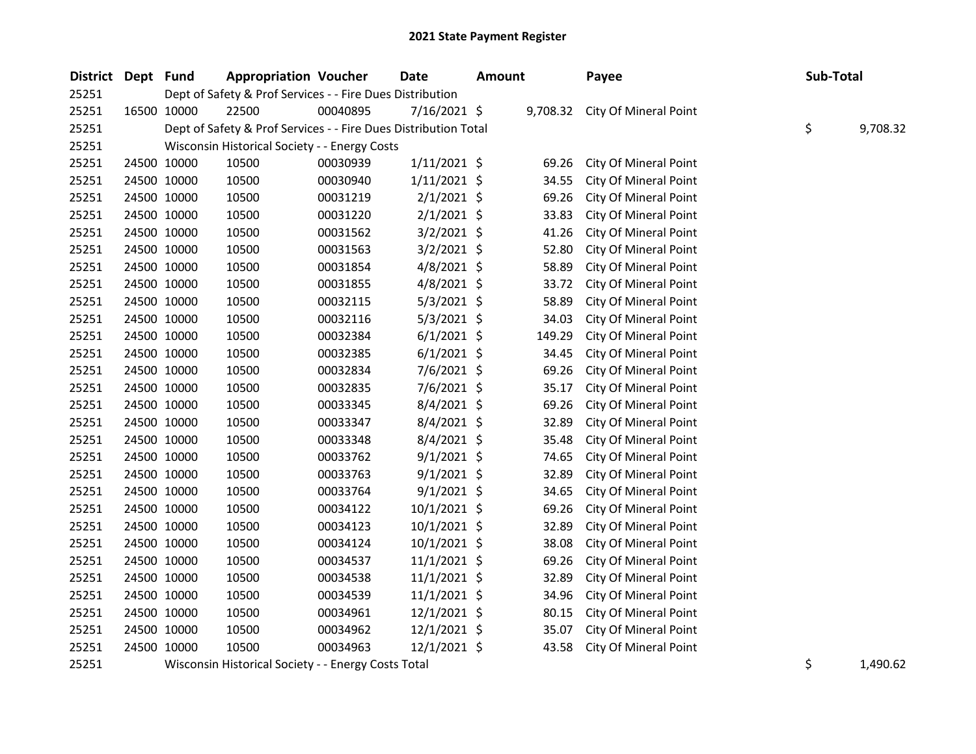| District | Dept Fund |             | <b>Appropriation Voucher</b>                                    |                                                                                  | Date           | <b>Amount</b> |        | Payee                          | Sub-Total |          |
|----------|-----------|-------------|-----------------------------------------------------------------|----------------------------------------------------------------------------------|----------------|---------------|--------|--------------------------------|-----------|----------|
| 25251    |           |             | Dept of Safety & Prof Services - - Fire Dues Distribution       |                                                                                  |                |               |        |                                |           |          |
| 25251    |           | 16500 10000 | 22500                                                           | 00040895                                                                         | 7/16/2021 \$   |               |        | 9,708.32 City Of Mineral Point |           |          |
| 25251    |           |             | Dept of Safety & Prof Services - - Fire Dues Distribution Total |                                                                                  |                |               |        |                                | \$        | 9,708.32 |
| 25251    |           |             | Wisconsin Historical Society - - Energy Costs                   |                                                                                  |                |               |        |                                |           |          |
| 25251    |           | 24500 10000 | 10500                                                           | 00030939                                                                         | $1/11/2021$ \$ |               | 69.26  | City Of Mineral Point          |           |          |
| 25251    |           | 24500 10000 | 10500                                                           | 00030940                                                                         | $1/11/2021$ \$ |               | 34.55  | City Of Mineral Point          |           |          |
| 25251    |           | 24500 10000 | 10500                                                           | 00031219                                                                         | $2/1/2021$ \$  |               | 69.26  | City Of Mineral Point          |           |          |
| 25251    |           | 24500 10000 | 10500                                                           | 00031220                                                                         | $2/1/2021$ \$  |               | 33.83  | City Of Mineral Point          |           |          |
| 25251    |           | 24500 10000 | 10500                                                           | 00031562                                                                         | $3/2/2021$ \$  |               | 41.26  | City Of Mineral Point          |           |          |
| 25251    |           | 24500 10000 | 10500                                                           | 00031563                                                                         | $3/2/2021$ \$  |               | 52.80  | City Of Mineral Point          |           |          |
| 25251    |           | 24500 10000 | 10500                                                           | 00031854                                                                         | $4/8/2021$ \$  |               | 58.89  | City Of Mineral Point          |           |          |
| 25251    |           | 24500 10000 | 10500                                                           | 00031855                                                                         | $4/8/2021$ \$  |               | 33.72  | City Of Mineral Point          |           |          |
| 25251    |           | 24500 10000 | 10500                                                           | 00032115                                                                         | $5/3/2021$ \$  |               | 58.89  | City Of Mineral Point          |           |          |
| 25251    |           | 24500 10000 | 10500                                                           | 00032116                                                                         | $5/3/2021$ \$  |               | 34.03  | City Of Mineral Point          |           |          |
| 25251    |           | 24500 10000 | 10500                                                           | 00032384                                                                         | $6/1/2021$ \$  |               | 149.29 | City Of Mineral Point          |           |          |
| 25251    |           | 24500 10000 | 10500                                                           | 00032385                                                                         | $6/1/2021$ \$  |               | 34.45  | City Of Mineral Point          |           |          |
| 25251    |           | 24500 10000 | 10500                                                           | 00032834                                                                         | $7/6/2021$ \$  |               | 69.26  | City Of Mineral Point          |           |          |
| 25251    |           | 24500 10000 | 10500                                                           | 00032835                                                                         | 7/6/2021 \$    |               | 35.17  | City Of Mineral Point          |           |          |
| 25251    |           | 24500 10000 | 10500                                                           | 00033345                                                                         | 8/4/2021 \$    |               | 69.26  | City Of Mineral Point          |           |          |
| 25251    |           | 24500 10000 | 10500                                                           | 00033347                                                                         | 8/4/2021 \$    |               | 32.89  | City Of Mineral Point          |           |          |
| 25251    |           | 24500 10000 | 10500                                                           | 00033348                                                                         | $8/4/2021$ \$  |               | 35.48  | City Of Mineral Point          |           |          |
| 25251    |           | 24500 10000 | 10500                                                           | 00033762                                                                         | $9/1/2021$ \$  |               | 74.65  | City Of Mineral Point          |           |          |
| 25251    |           | 24500 10000 | 10500                                                           | 00033763                                                                         | $9/1/2021$ \$  |               | 32.89  | City Of Mineral Point          |           |          |
| 25251    |           | 24500 10000 | 10500                                                           | 00033764                                                                         | $9/1/2021$ \$  |               | 34.65  | City Of Mineral Point          |           |          |
| 25251    |           | 24500 10000 | 10500                                                           | 00034122                                                                         | $10/1/2021$ \$ |               | 69.26  | City Of Mineral Point          |           |          |
| 25251    |           | 24500 10000 | 10500                                                           | 00034123                                                                         | $10/1/2021$ \$ |               | 32.89  | City Of Mineral Point          |           |          |
| 25251    |           | 24500 10000 | 10500                                                           | 00034124                                                                         | $10/1/2021$ \$ |               | 38.08  | City Of Mineral Point          |           |          |
| 25251    |           | 24500 10000 | 10500                                                           | 00034537                                                                         | $11/1/2021$ \$ |               | 69.26  | City Of Mineral Point          |           |          |
| 25251    |           | 24500 10000 | 10500                                                           | 00034538                                                                         | $11/1/2021$ \$ |               | 32.89  | City Of Mineral Point          |           |          |
| 25251    |           | 24500 10000 | 10500                                                           | 00034539                                                                         | $11/1/2021$ \$ |               | 34.96  | City Of Mineral Point          |           |          |
| 25251    |           | 24500 10000 | 10500                                                           | 00034961                                                                         | 12/1/2021 \$   |               | 80.15  | City Of Mineral Point          |           |          |
| 25251    |           | 24500 10000 | 10500                                                           | 00034962                                                                         | 12/1/2021 \$   |               | 35.07  | City Of Mineral Point          |           |          |
| 25251    |           | 24500 10000 | 10500                                                           | 00034963                                                                         | $12/1/2021$ \$ |               | 43.58  | City Of Mineral Point          |           |          |
| 20225    |           |             | a a la attachitat a lata al 19 a ataultar                       | $\ldots$ $\sim$ $\sim$ $\ldots$ $\sim$ $\sim$ $\sim$ $\sim$ $\sim$ $\sim$ $\sim$ |                |               |        |                                |           | 1.000c   |

25251 Wisconsin Historical Society - - Energy Costs Total **1,490.62** 1,490.62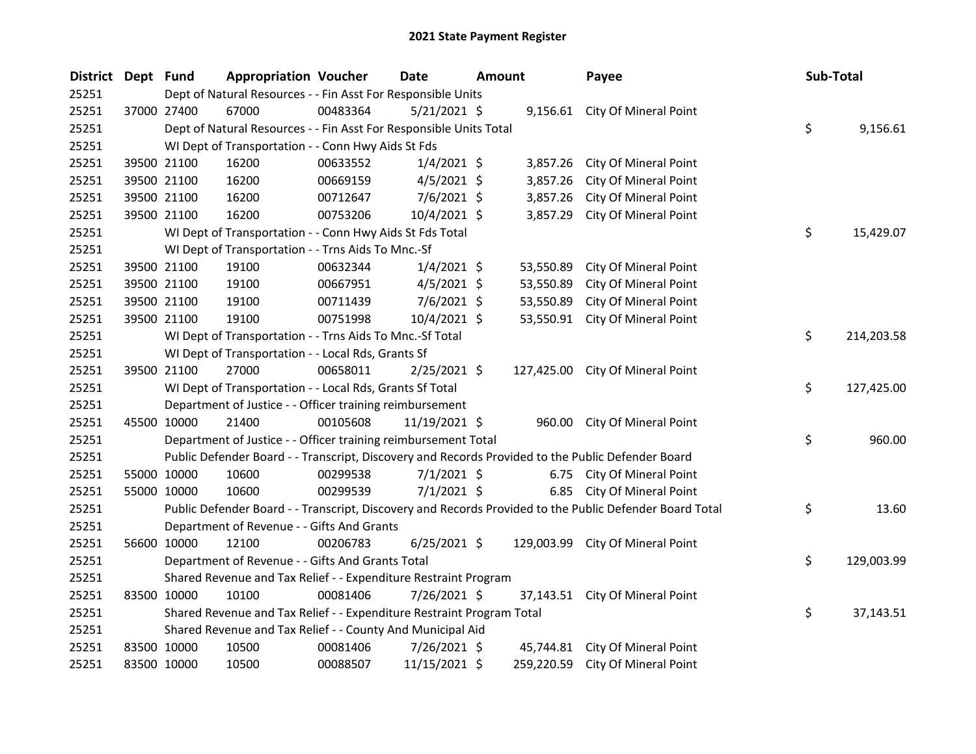| District Dept Fund |             | <b>Appropriation Voucher</b>                                          |          | <b>Date</b>    | <b>Amount</b> |           | Payee                                                                                                   | Sub-Total        |  |
|--------------------|-------------|-----------------------------------------------------------------------|----------|----------------|---------------|-----------|---------------------------------------------------------------------------------------------------------|------------------|--|
| 25251              |             | Dept of Natural Resources - - Fin Asst For Responsible Units          |          |                |               |           |                                                                                                         |                  |  |
| 25251              | 37000 27400 | 67000                                                                 | 00483364 | $5/21/2021$ \$ |               |           | 9,156.61 City Of Mineral Point                                                                          |                  |  |
| 25251              |             | Dept of Natural Resources - - Fin Asst For Responsible Units Total    |          |                |               |           |                                                                                                         | \$<br>9,156.61   |  |
| 25251              |             | WI Dept of Transportation - - Conn Hwy Aids St Fds                    |          |                |               |           |                                                                                                         |                  |  |
| 25251              | 39500 21100 | 16200                                                                 | 00633552 | $1/4/2021$ \$  |               | 3,857.26  | City Of Mineral Point                                                                                   |                  |  |
| 25251              | 39500 21100 | 16200                                                                 | 00669159 | $4/5/2021$ \$  |               | 3,857.26  | City Of Mineral Point                                                                                   |                  |  |
| 25251              | 39500 21100 | 16200                                                                 | 00712647 | $7/6/2021$ \$  |               | 3,857.26  | City Of Mineral Point                                                                                   |                  |  |
| 25251              | 39500 21100 | 16200                                                                 | 00753206 | 10/4/2021 \$   |               | 3,857.29  | City Of Mineral Point                                                                                   |                  |  |
| 25251              |             | WI Dept of Transportation - - Conn Hwy Aids St Fds Total              |          |                |               |           |                                                                                                         | \$<br>15,429.07  |  |
| 25251              |             | WI Dept of Transportation - - Trns Aids To Mnc.-Sf                    |          |                |               |           |                                                                                                         |                  |  |
| 25251              | 39500 21100 | 19100                                                                 | 00632344 | $1/4/2021$ \$  |               |           | 53,550.89 City Of Mineral Point                                                                         |                  |  |
| 25251              | 39500 21100 | 19100                                                                 | 00667951 | $4/5/2021$ \$  |               | 53,550.89 | City Of Mineral Point                                                                                   |                  |  |
| 25251              | 39500 21100 | 19100                                                                 | 00711439 | $7/6/2021$ \$  |               | 53,550.89 | City Of Mineral Point                                                                                   |                  |  |
| 25251              | 39500 21100 | 19100                                                                 | 00751998 | 10/4/2021 \$   |               |           | 53,550.91 City Of Mineral Point                                                                         |                  |  |
| 25251              |             | WI Dept of Transportation - - Trns Aids To Mnc.-Sf Total              |          |                |               |           |                                                                                                         | \$<br>214,203.58 |  |
| 25251              |             | WI Dept of Transportation - - Local Rds, Grants Sf                    |          |                |               |           |                                                                                                         |                  |  |
| 25251              | 39500 21100 | 27000                                                                 | 00658011 | $2/25/2021$ \$ |               |           | 127,425.00 City Of Mineral Point                                                                        |                  |  |
| 25251              |             | WI Dept of Transportation - - Local Rds, Grants Sf Total              |          |                |               |           |                                                                                                         | \$<br>127,425.00 |  |
| 25251              |             | Department of Justice - - Officer training reimbursement              |          |                |               |           |                                                                                                         |                  |  |
| 25251              | 45500 10000 | 21400                                                                 | 00105608 | 11/19/2021 \$  |               |           | 960.00 City Of Mineral Point                                                                            |                  |  |
| 25251              |             | Department of Justice - - Officer training reimbursement Total        |          |                |               |           |                                                                                                         | \$<br>960.00     |  |
| 25251              |             |                                                                       |          |                |               |           | Public Defender Board - - Transcript, Discovery and Records Provided to the Public Defender Board       |                  |  |
| 25251              | 55000 10000 | 10600                                                                 | 00299538 | $7/1/2021$ \$  |               |           | 6.75 City Of Mineral Point                                                                              |                  |  |
| 25251              | 55000 10000 | 10600                                                                 | 00299539 | $7/1/2021$ \$  |               |           | 6.85 City Of Mineral Point                                                                              |                  |  |
| 25251              |             |                                                                       |          |                |               |           | Public Defender Board - - Transcript, Discovery and Records Provided to the Public Defender Board Total | \$<br>13.60      |  |
| 25251              |             | Department of Revenue - - Gifts And Grants                            |          |                |               |           |                                                                                                         |                  |  |
| 25251              | 56600 10000 | 12100                                                                 | 00206783 | $6/25/2021$ \$ |               |           | 129,003.99 City Of Mineral Point                                                                        |                  |  |
| 25251              |             | Department of Revenue - - Gifts And Grants Total                      |          |                |               |           |                                                                                                         | \$<br>129,003.99 |  |
| 25251              |             | Shared Revenue and Tax Relief - - Expenditure Restraint Program       |          |                |               |           |                                                                                                         |                  |  |
| 25251              | 83500 10000 | 10100                                                                 | 00081406 | 7/26/2021 \$   |               |           | 37,143.51 City Of Mineral Point                                                                         |                  |  |
| 25251              |             | Shared Revenue and Tax Relief - - Expenditure Restraint Program Total |          |                |               |           |                                                                                                         | \$<br>37,143.51  |  |
| 25251              |             | Shared Revenue and Tax Relief - - County And Municipal Aid            |          |                |               |           |                                                                                                         |                  |  |
| 25251              | 83500 10000 | 10500                                                                 | 00081406 | $7/26/2021$ \$ |               |           | 45,744.81 City Of Mineral Point                                                                         |                  |  |
| 25251              | 83500 10000 | 10500                                                                 | 00088507 | 11/15/2021 \$  |               |           | 259,220.59 City Of Mineral Point                                                                        |                  |  |